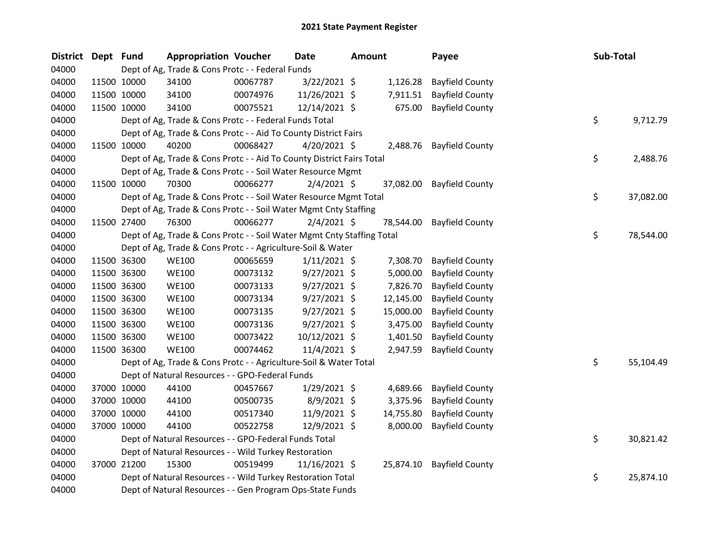| <b>District</b> | Dept Fund |             | <b>Appropriation Voucher</b>                                           |          | <b>Date</b>     | <b>Amount</b> |           | Payee                  | Sub-Total |           |
|-----------------|-----------|-------------|------------------------------------------------------------------------|----------|-----------------|---------------|-----------|------------------------|-----------|-----------|
| 04000           |           |             | Dept of Ag, Trade & Cons Protc - - Federal Funds                       |          |                 |               |           |                        |           |           |
| 04000           |           | 11500 10000 | 34100                                                                  | 00067787 | $3/22/2021$ \$  |               | 1,126.28  | <b>Bayfield County</b> |           |           |
| 04000           |           | 11500 10000 | 34100                                                                  | 00074976 | 11/26/2021 \$   |               | 7,911.51  | <b>Bayfield County</b> |           |           |
| 04000           |           | 11500 10000 | 34100                                                                  | 00075521 | 12/14/2021 \$   |               | 675.00    | <b>Bayfield County</b> |           |           |
| 04000           |           |             | Dept of Ag, Trade & Cons Protc - - Federal Funds Total                 |          |                 |               |           |                        | \$        | 9,712.79  |
| 04000           |           |             | Dept of Ag, Trade & Cons Protc - - Aid To County District Fairs        |          |                 |               |           |                        |           |           |
| 04000           |           | 11500 10000 | 40200                                                                  | 00068427 | $4/20/2021$ \$  |               | 2,488.76  | <b>Bayfield County</b> |           |           |
| 04000           |           |             | Dept of Ag, Trade & Cons Protc - - Aid To County District Fairs Total  |          |                 |               |           |                        | \$        | 2,488.76  |
| 04000           |           |             | Dept of Ag, Trade & Cons Protc - - Soil Water Resource Mgmt            |          |                 |               |           |                        |           |           |
| 04000           |           | 11500 10000 | 70300                                                                  | 00066277 | $2/4/2021$ \$   |               | 37,082.00 | <b>Bayfield County</b> |           |           |
| 04000           |           |             | Dept of Ag, Trade & Cons Protc - - Soil Water Resource Mgmt Total      |          |                 |               |           |                        | \$        | 37,082.00 |
| 04000           |           |             | Dept of Ag, Trade & Cons Protc - - Soil Water Mgmt Cnty Staffing       |          |                 |               |           |                        |           |           |
| 04000           |           | 11500 27400 | 76300                                                                  | 00066277 | $2/4/2021$ \$   |               | 78,544.00 | <b>Bayfield County</b> |           |           |
| 04000           |           |             | Dept of Ag, Trade & Cons Protc - - Soil Water Mgmt Cnty Staffing Total |          |                 |               |           |                        | \$        | 78,544.00 |
| 04000           |           |             | Dept of Ag, Trade & Cons Protc - - Agriculture-Soil & Water            |          |                 |               |           |                        |           |           |
| 04000           |           | 11500 36300 | <b>WE100</b>                                                           | 00065659 | $1/11/2021$ \$  |               | 7,308.70  | <b>Bayfield County</b> |           |           |
| 04000           |           | 11500 36300 | <b>WE100</b>                                                           | 00073132 | $9/27/2021$ \$  |               | 5,000.00  | <b>Bayfield County</b> |           |           |
| 04000           |           | 11500 36300 | <b>WE100</b>                                                           | 00073133 | $9/27/2021$ \$  |               | 7,826.70  | <b>Bayfield County</b> |           |           |
| 04000           |           | 11500 36300 | <b>WE100</b>                                                           | 00073134 | $9/27/2021$ \$  |               | 12,145.00 | <b>Bayfield County</b> |           |           |
| 04000           |           | 11500 36300 | <b>WE100</b>                                                           | 00073135 | $9/27/2021$ \$  |               | 15,000.00 | <b>Bayfield County</b> |           |           |
| 04000           |           | 11500 36300 | <b>WE100</b>                                                           | 00073136 | $9/27/2021$ \$  |               | 3,475.00  | <b>Bayfield County</b> |           |           |
| 04000           |           | 11500 36300 | <b>WE100</b>                                                           | 00073422 | 10/12/2021 \$   |               | 1,401.50  | <b>Bayfield County</b> |           |           |
| 04000           |           | 11500 36300 | <b>WE100</b>                                                           | 00074462 | 11/4/2021 \$    |               | 2,947.59  | <b>Bayfield County</b> |           |           |
| 04000           |           |             | Dept of Ag, Trade & Cons Protc - - Agriculture-Soil & Water Total      |          |                 |               |           |                        | \$        | 55,104.49 |
| 04000           |           |             | Dept of Natural Resources - - GPO-Federal Funds                        |          |                 |               |           |                        |           |           |
| 04000           |           | 37000 10000 | 44100                                                                  | 00457667 | $1/29/2021$ \$  |               | 4,689.66  | <b>Bayfield County</b> |           |           |
| 04000           |           | 37000 10000 | 44100                                                                  | 00500735 | 8/9/2021 \$     |               | 3,375.96  | <b>Bayfield County</b> |           |           |
| 04000           |           | 37000 10000 | 44100                                                                  | 00517340 | 11/9/2021 \$    |               | 14,755.80 | <b>Bayfield County</b> |           |           |
| 04000           |           | 37000 10000 | 44100                                                                  | 00522758 | 12/9/2021 \$    |               | 8,000.00  | <b>Bayfield County</b> |           |           |
| 04000           |           |             | Dept of Natural Resources - - GPO-Federal Funds Total                  |          |                 |               |           |                        | \$        | 30,821.42 |
| 04000           |           |             | Dept of Natural Resources - - Wild Turkey Restoration                  |          |                 |               |           |                        |           |           |
| 04000           |           | 37000 21200 | 15300                                                                  | 00519499 | $11/16/2021$ \$ |               | 25,874.10 | <b>Bayfield County</b> |           |           |
| 04000           |           |             | Dept of Natural Resources - - Wild Turkey Restoration Total            |          |                 |               |           |                        | \$        | 25,874.10 |
| 04000           |           |             | Dept of Natural Resources - - Gen Program Ops-State Funds              |          |                 |               |           |                        |           |           |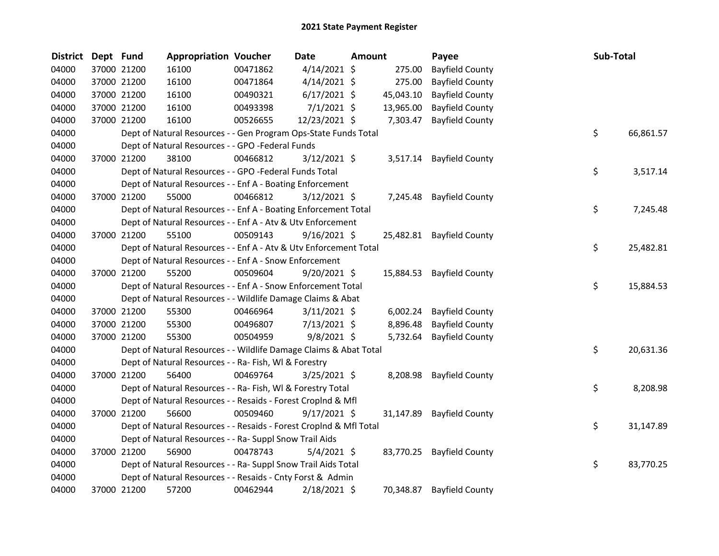| <b>District</b> | Dept Fund |             | <b>Appropriation Voucher</b>                                       |          | Date           | <b>Amount</b> |           | Payee                  | Sub-Total |           |
|-----------------|-----------|-------------|--------------------------------------------------------------------|----------|----------------|---------------|-----------|------------------------|-----------|-----------|
| 04000           |           | 37000 21200 | 16100                                                              | 00471862 | $4/14/2021$ \$ |               | 275.00    | <b>Bayfield County</b> |           |           |
| 04000           |           | 37000 21200 | 16100                                                              | 00471864 | $4/14/2021$ \$ |               | 275.00    | <b>Bayfield County</b> |           |           |
| 04000           |           | 37000 21200 | 16100                                                              | 00490321 | $6/17/2021$ \$ |               | 45,043.10 | <b>Bayfield County</b> |           |           |
| 04000           |           | 37000 21200 | 16100                                                              | 00493398 | 7/1/2021 \$    |               | 13,965.00 | <b>Bayfield County</b> |           |           |
| 04000           |           | 37000 21200 | 16100                                                              | 00526655 | 12/23/2021 \$  |               | 7,303.47  | <b>Bayfield County</b> |           |           |
| 04000           |           |             | Dept of Natural Resources - - Gen Program Ops-State Funds Total    |          |                |               |           |                        | \$        | 66,861.57 |
| 04000           |           |             | Dept of Natural Resources - - GPO -Federal Funds                   |          |                |               |           |                        |           |           |
| 04000           |           | 37000 21200 | 38100                                                              | 00466812 | $3/12/2021$ \$ |               | 3,517.14  | <b>Bayfield County</b> |           |           |
| 04000           |           |             | Dept of Natural Resources - - GPO -Federal Funds Total             |          |                |               |           |                        | \$        | 3,517.14  |
| 04000           |           |             | Dept of Natural Resources - - Enf A - Boating Enforcement          |          |                |               |           |                        |           |           |
| 04000           |           | 37000 21200 | 55000                                                              | 00466812 | $3/12/2021$ \$ |               | 7,245.48  | <b>Bayfield County</b> |           |           |
| 04000           |           |             | Dept of Natural Resources - - Enf A - Boating Enforcement Total    |          |                |               |           |                        | \$        | 7,245.48  |
| 04000           |           |             | Dept of Natural Resources - - Enf A - Atv & Utv Enforcement        |          |                |               |           |                        |           |           |
| 04000           |           | 37000 21200 | 55100                                                              | 00509143 | $9/16/2021$ \$ |               | 25,482.81 | <b>Bayfield County</b> |           |           |
| 04000           |           |             | Dept of Natural Resources - - Enf A - Atv & Utv Enforcement Total  |          |                |               |           |                        | \$        | 25,482.81 |
| 04000           |           |             | Dept of Natural Resources - - Enf A - Snow Enforcement             |          |                |               |           |                        |           |           |
| 04000           |           | 37000 21200 | 55200                                                              | 00509604 | $9/20/2021$ \$ |               | 15,884.53 | <b>Bayfield County</b> |           |           |
| 04000           |           |             | Dept of Natural Resources - - Enf A - Snow Enforcement Total       |          |                |               |           |                        | \$        | 15,884.53 |
| 04000           |           |             | Dept of Natural Resources - - Wildlife Damage Claims & Abat        |          |                |               |           |                        |           |           |
| 04000           |           | 37000 21200 | 55300                                                              | 00466964 | $3/11/2021$ \$ |               | 6,002.24  | <b>Bayfield County</b> |           |           |
| 04000           |           | 37000 21200 | 55300                                                              | 00496807 | $7/13/2021$ \$ |               | 8,896.48  | <b>Bayfield County</b> |           |           |
| 04000           |           | 37000 21200 | 55300                                                              | 00504959 | 9/8/2021 \$    |               | 5,732.64  | <b>Bayfield County</b> |           |           |
| 04000           |           |             | Dept of Natural Resources - - Wildlife Damage Claims & Abat Total  |          |                |               |           |                        | \$        | 20,631.36 |
| 04000           |           |             | Dept of Natural Resources - - Ra- Fish, WI & Forestry              |          |                |               |           |                        |           |           |
| 04000           |           | 37000 21200 | 56400                                                              | 00469764 | $3/25/2021$ \$ |               | 8,208.98  | <b>Bayfield County</b> |           |           |
| 04000           |           |             | Dept of Natural Resources - - Ra- Fish, WI & Forestry Total        |          |                |               |           |                        | \$        | 8,208.98  |
| 04000           |           |             | Dept of Natural Resources - - Resaids - Forest Croplnd & Mfl       |          |                |               |           |                        |           |           |
| 04000           |           | 37000 21200 | 56600                                                              | 00509460 | $9/17/2021$ \$ |               | 31,147.89 | <b>Bayfield County</b> |           |           |
| 04000           |           |             | Dept of Natural Resources - - Resaids - Forest CropInd & Mfl Total |          |                |               |           |                        | \$        | 31,147.89 |
| 04000           |           |             | Dept of Natural Resources - - Ra- Suppl Snow Trail Aids            |          |                |               |           |                        |           |           |
| 04000           |           | 37000 21200 | 56900                                                              | 00478743 | $5/4/2021$ \$  |               | 83,770.25 | <b>Bayfield County</b> |           |           |
| 04000           |           |             | Dept of Natural Resources - - Ra- Suppl Snow Trail Aids Total      |          |                |               |           |                        | \$        | 83,770.25 |
| 04000           |           |             | Dept of Natural Resources - - Resaids - Cnty Forst & Admin         |          |                |               |           |                        |           |           |
| 04000           |           | 37000 21200 | 57200                                                              | 00462944 | $2/18/2021$ \$ |               | 70,348.87 | <b>Bayfield County</b> |           |           |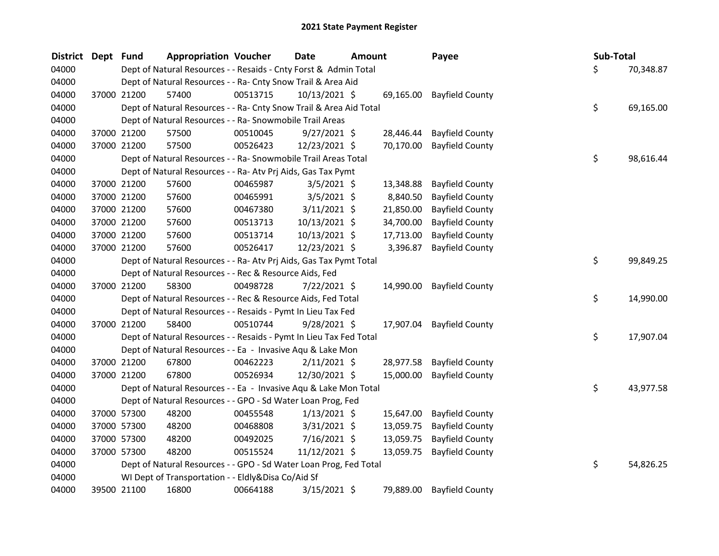| <b>District</b> | Dept Fund |             | <b>Appropriation Voucher</b>                                       |          | <b>Date</b>    | <b>Amount</b> |           | Payee                     | Sub-Total |           |
|-----------------|-----------|-------------|--------------------------------------------------------------------|----------|----------------|---------------|-----------|---------------------------|-----------|-----------|
| 04000           |           |             | Dept of Natural Resources - - Resaids - Cnty Forst & Admin Total   |          |                |               |           |                           | \$        | 70,348.87 |
| 04000           |           |             | Dept of Natural Resources - - Ra- Cnty Snow Trail & Area Aid       |          |                |               |           |                           |           |           |
| 04000           |           | 37000 21200 | 57400                                                              | 00513715 | 10/13/2021 \$  |               |           | 69,165.00 Bayfield County |           |           |
| 04000           |           |             | Dept of Natural Resources - - Ra- Cnty Snow Trail & Area Aid Total |          |                |               |           |                           | \$        | 69,165.00 |
| 04000           |           |             | Dept of Natural Resources - - Ra- Snowmobile Trail Areas           |          |                |               |           |                           |           |           |
| 04000           |           | 37000 21200 | 57500                                                              | 00510045 | $9/27/2021$ \$ |               | 28,446.44 | <b>Bayfield County</b>    |           |           |
| 04000           |           | 37000 21200 | 57500                                                              | 00526423 | 12/23/2021 \$  |               | 70,170.00 | <b>Bayfield County</b>    |           |           |
| 04000           |           |             | Dept of Natural Resources - - Ra- Snowmobile Trail Areas Total     |          |                |               |           |                           | \$        | 98,616.44 |
| 04000           |           |             | Dept of Natural Resources - - Ra- Atv Prj Aids, Gas Tax Pymt       |          |                |               |           |                           |           |           |
| 04000           |           | 37000 21200 | 57600                                                              | 00465987 | $3/5/2021$ \$  |               | 13,348.88 | <b>Bayfield County</b>    |           |           |
| 04000           |           | 37000 21200 | 57600                                                              | 00465991 | $3/5/2021$ \$  |               | 8,840.50  | <b>Bayfield County</b>    |           |           |
| 04000           |           | 37000 21200 | 57600                                                              | 00467380 | $3/11/2021$ \$ |               | 21,850.00 | <b>Bayfield County</b>    |           |           |
| 04000           |           | 37000 21200 | 57600                                                              | 00513713 | 10/13/2021 \$  |               | 34,700.00 | <b>Bayfield County</b>    |           |           |
| 04000           |           | 37000 21200 | 57600                                                              | 00513714 | 10/13/2021 \$  |               | 17,713.00 | <b>Bayfield County</b>    |           |           |
| 04000           |           | 37000 21200 | 57600                                                              | 00526417 | 12/23/2021 \$  |               | 3,396.87  | <b>Bayfield County</b>    |           |           |
| 04000           |           |             | Dept of Natural Resources - - Ra- Atv Prj Aids, Gas Tax Pymt Total |          |                |               |           |                           | \$        | 99,849.25 |
| 04000           |           |             | Dept of Natural Resources - - Rec & Resource Aids, Fed             |          |                |               |           |                           |           |           |
| 04000           |           | 37000 21200 | 58300                                                              | 00498728 | $7/22/2021$ \$ |               | 14,990.00 | <b>Bayfield County</b>    |           |           |
| 04000           |           |             | Dept of Natural Resources - - Rec & Resource Aids, Fed Total       |          |                |               |           |                           | \$        | 14,990.00 |
| 04000           |           |             | Dept of Natural Resources - - Resaids - Pymt In Lieu Tax Fed       |          |                |               |           |                           |           |           |
| 04000           |           | 37000 21200 | 58400                                                              | 00510744 | $9/28/2021$ \$ |               | 17,907.04 | <b>Bayfield County</b>    |           |           |
| 04000           |           |             | Dept of Natural Resources - - Resaids - Pymt In Lieu Tax Fed Total |          |                |               |           |                           | \$        | 17,907.04 |
| 04000           |           |             | Dept of Natural Resources - - Ea - Invasive Aqu & Lake Mon         |          |                |               |           |                           |           |           |
| 04000           |           | 37000 21200 | 67800                                                              | 00462223 | $2/11/2021$ \$ |               | 28,977.58 | <b>Bayfield County</b>    |           |           |
| 04000           |           | 37000 21200 | 67800                                                              | 00526934 | 12/30/2021 \$  |               | 15,000.00 | <b>Bayfield County</b>    |           |           |
| 04000           |           |             | Dept of Natural Resources - - Ea - Invasive Aqu & Lake Mon Total   |          |                |               |           |                           | \$        | 43,977.58 |
| 04000           |           |             | Dept of Natural Resources - - GPO - Sd Water Loan Prog, Fed        |          |                |               |           |                           |           |           |
| 04000           |           | 37000 57300 | 48200                                                              | 00455548 | $1/13/2021$ \$ |               | 15,647.00 | <b>Bayfield County</b>    |           |           |
| 04000           |           | 37000 57300 | 48200                                                              | 00468808 | 3/31/2021 \$   |               | 13,059.75 | <b>Bayfield County</b>    |           |           |
| 04000           |           | 37000 57300 | 48200                                                              | 00492025 | 7/16/2021 \$   |               | 13,059.75 | <b>Bayfield County</b>    |           |           |
| 04000           |           | 37000 57300 | 48200                                                              | 00515524 | 11/12/2021 \$  |               | 13,059.75 | <b>Bayfield County</b>    |           |           |
| 04000           |           |             | Dept of Natural Resources - - GPO - Sd Water Loan Prog, Fed Total  |          |                |               |           |                           | \$        | 54,826.25 |
| 04000           |           |             | WI Dept of Transportation - - Eldly&Disa Co/Aid Sf                 |          |                |               |           |                           |           |           |
| 04000           |           | 39500 21100 | 16800                                                              | 00664188 | 3/15/2021 \$   |               | 79,889.00 | <b>Bayfield County</b>    |           |           |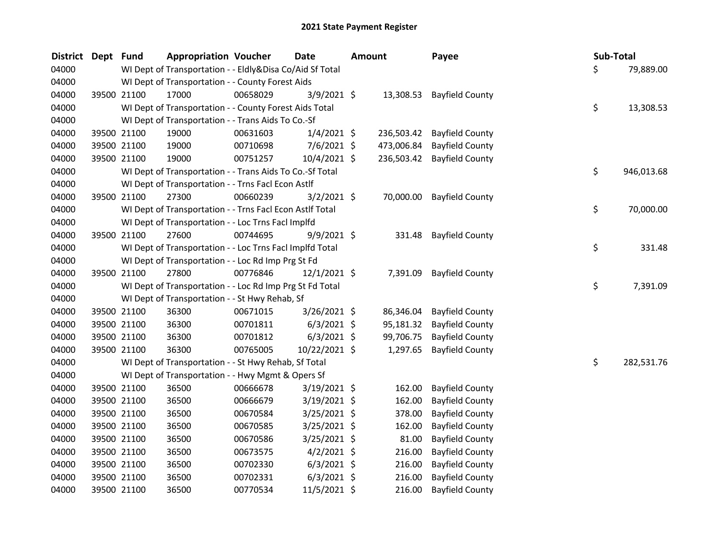| <b>District</b> | Dept Fund |             | <b>Appropriation Voucher</b>                             |          | <b>Date</b>    | <b>Amount</b> |            | Payee                     | Sub-Total |            |
|-----------------|-----------|-------------|----------------------------------------------------------|----------|----------------|---------------|------------|---------------------------|-----------|------------|
| 04000           |           |             | WI Dept of Transportation - - Eldly&Disa Co/Aid Sf Total |          |                |               |            |                           | \$        | 79,889.00  |
| 04000           |           |             | WI Dept of Transportation - - County Forest Aids         |          |                |               |            |                           |           |            |
| 04000           |           | 39500 21100 | 17000                                                    | 00658029 | 3/9/2021 \$    |               |            | 13,308.53 Bayfield County |           |            |
| 04000           |           |             | WI Dept of Transportation - - County Forest Aids Total   |          |                |               |            |                           | \$        | 13,308.53  |
| 04000           |           |             | WI Dept of Transportation - - Trans Aids To Co.-Sf       |          |                |               |            |                           |           |            |
| 04000           |           | 39500 21100 | 19000                                                    | 00631603 | $1/4/2021$ \$  |               | 236,503.42 | <b>Bayfield County</b>    |           |            |
| 04000           |           | 39500 21100 | 19000                                                    | 00710698 | $7/6/2021$ \$  |               | 473,006.84 | <b>Bayfield County</b>    |           |            |
| 04000           |           | 39500 21100 | 19000                                                    | 00751257 | $10/4/2021$ \$ |               | 236,503.42 | <b>Bayfield County</b>    |           |            |
| 04000           |           |             | WI Dept of Transportation - - Trans Aids To Co.-Sf Total |          |                |               |            |                           | \$        | 946,013.68 |
| 04000           |           |             | WI Dept of Transportation - - Trns Facl Econ Astlf       |          |                |               |            |                           |           |            |
| 04000           |           | 39500 21100 | 27300                                                    | 00660239 | $3/2/2021$ \$  |               | 70,000.00  | <b>Bayfield County</b>    |           |            |
| 04000           |           |             | WI Dept of Transportation - - Trns Facl Econ Astlf Total |          |                |               |            |                           | \$        | 70,000.00  |
| 04000           |           |             | WI Dept of Transportation - - Loc Trns Facl Implfd       |          |                |               |            |                           |           |            |
| 04000           |           | 39500 21100 | 27600                                                    | 00744695 | $9/9/2021$ \$  |               | 331.48     | <b>Bayfield County</b>    |           |            |
| 04000           |           |             | WI Dept of Transportation - - Loc Trns Facl Implfd Total |          |                |               |            |                           | \$        | 331.48     |
| 04000           |           |             | WI Dept of Transportation - - Loc Rd Imp Prg St Fd       |          |                |               |            |                           |           |            |
| 04000           |           | 39500 21100 | 27800                                                    | 00776846 | $12/1/2021$ \$ |               | 7,391.09   | <b>Bayfield County</b>    |           |            |
| 04000           |           |             | WI Dept of Transportation - - Loc Rd Imp Prg St Fd Total |          |                |               |            |                           | \$        | 7,391.09   |
| 04000           |           |             | WI Dept of Transportation - - St Hwy Rehab, Sf           |          |                |               |            |                           |           |            |
| 04000           |           | 39500 21100 | 36300                                                    | 00671015 | 3/26/2021 \$   |               | 86,346.04  | <b>Bayfield County</b>    |           |            |
| 04000           |           | 39500 21100 | 36300                                                    | 00701811 | $6/3/2021$ \$  |               | 95,181.32  | <b>Bayfield County</b>    |           |            |
| 04000           |           | 39500 21100 | 36300                                                    | 00701812 | $6/3/2021$ \$  |               | 99,706.75  | <b>Bayfield County</b>    |           |            |
| 04000           |           | 39500 21100 | 36300                                                    | 00765005 | 10/22/2021 \$  |               | 1,297.65   | <b>Bayfield County</b>    |           |            |
| 04000           |           |             | WI Dept of Transportation - - St Hwy Rehab, Sf Total     |          |                |               |            |                           | \$        | 282,531.76 |
| 04000           |           |             | WI Dept of Transportation - - Hwy Mgmt & Opers Sf        |          |                |               |            |                           |           |            |
| 04000           |           | 39500 21100 | 36500                                                    | 00666678 | 3/19/2021 \$   |               | 162.00     | <b>Bayfield County</b>    |           |            |
| 04000           |           | 39500 21100 | 36500                                                    | 00666679 | 3/19/2021 \$   |               | 162.00     | <b>Bayfield County</b>    |           |            |
| 04000           |           | 39500 21100 | 36500                                                    | 00670584 | 3/25/2021 \$   |               | 378.00     | <b>Bayfield County</b>    |           |            |
| 04000           |           | 39500 21100 | 36500                                                    | 00670585 | 3/25/2021 \$   |               | 162.00     | <b>Bayfield County</b>    |           |            |
| 04000           |           | 39500 21100 | 36500                                                    | 00670586 | 3/25/2021 \$   |               | 81.00      | <b>Bayfield County</b>    |           |            |
| 04000           |           | 39500 21100 | 36500                                                    | 00673575 | $4/2/2021$ \$  |               | 216.00     | <b>Bayfield County</b>    |           |            |
| 04000           |           | 39500 21100 | 36500                                                    | 00702330 | $6/3/2021$ \$  |               | 216.00     | <b>Bayfield County</b>    |           |            |
| 04000           |           | 39500 21100 | 36500                                                    | 00702331 | $6/3/2021$ \$  |               | 216.00     | <b>Bayfield County</b>    |           |            |
| 04000           |           | 39500 21100 | 36500                                                    | 00770534 | 11/5/2021 \$   |               | 216.00     | <b>Bayfield County</b>    |           |            |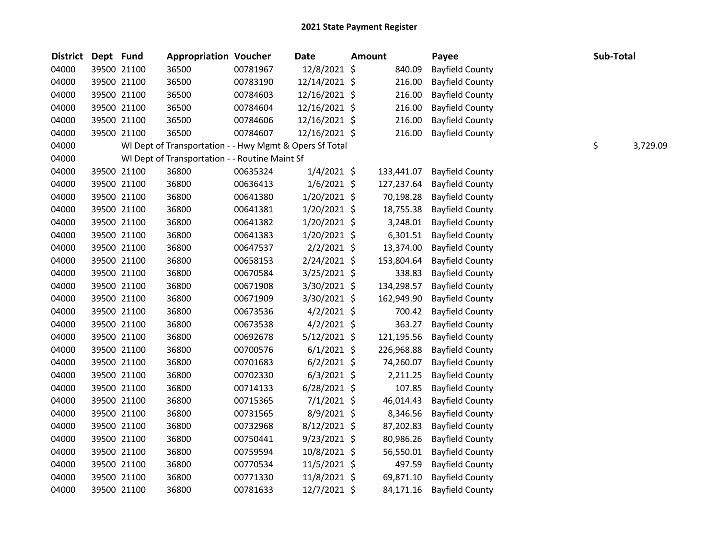| <b>District</b> | Dept Fund |             | <b>Appropriation Voucher</b>                            |          | <b>Date</b>    | <b>Amount</b> | Payee                  | Sub-Total |          |
|-----------------|-----------|-------------|---------------------------------------------------------|----------|----------------|---------------|------------------------|-----------|----------|
| 04000           |           | 39500 21100 | 36500                                                   | 00781967 | 12/8/2021 \$   | 840.09        | <b>Bayfield County</b> |           |          |
| 04000           |           | 39500 21100 | 36500                                                   | 00783190 | 12/14/2021 \$  | 216.00        | <b>Bayfield County</b> |           |          |
| 04000           |           | 39500 21100 | 36500                                                   | 00784603 | 12/16/2021 \$  | 216.00        | <b>Bayfield County</b> |           |          |
| 04000           |           | 39500 21100 | 36500                                                   | 00784604 | 12/16/2021 \$  | 216.00        | <b>Bayfield County</b> |           |          |
| 04000           |           | 39500 21100 | 36500                                                   | 00784606 | 12/16/2021 \$  | 216.00        | <b>Bayfield County</b> |           |          |
| 04000           |           | 39500 21100 | 36500                                                   | 00784607 | 12/16/2021 \$  | 216.00        | <b>Bayfield County</b> |           |          |
| 04000           |           |             | WI Dept of Transportation - - Hwy Mgmt & Opers Sf Total |          |                |               |                        | \$        | 3,729.09 |
| 04000           |           |             | WI Dept of Transportation - - Routine Maint Sf          |          |                |               |                        |           |          |
| 04000           |           | 39500 21100 | 36800                                                   | 00635324 | 1/4/2021 \$    | 133,441.07    | <b>Bayfield County</b> |           |          |
| 04000           |           | 39500 21100 | 36800                                                   | 00636413 | $1/6/2021$ \$  | 127,237.64    | <b>Bayfield County</b> |           |          |
| 04000           |           | 39500 21100 | 36800                                                   | 00641380 | 1/20/2021 \$   | 70,198.28     | <b>Bayfield County</b> |           |          |
| 04000           |           | 39500 21100 | 36800                                                   | 00641381 | $1/20/2021$ \$ | 18,755.38     | <b>Bayfield County</b> |           |          |
| 04000           |           | 39500 21100 | 36800                                                   | 00641382 | $1/20/2021$ \$ | 3,248.01      | <b>Bayfield County</b> |           |          |
| 04000           |           | 39500 21100 | 36800                                                   | 00641383 | 1/20/2021 \$   | 6,301.51      | <b>Bayfield County</b> |           |          |
| 04000           |           | 39500 21100 | 36800                                                   | 00647537 | $2/2/2021$ \$  | 13,374.00     | <b>Bayfield County</b> |           |          |
| 04000           |           | 39500 21100 | 36800                                                   | 00658153 | 2/24/2021 \$   | 153,804.64    | <b>Bayfield County</b> |           |          |
| 04000           |           | 39500 21100 | 36800                                                   | 00670584 | 3/25/2021 \$   | 338.83        | <b>Bayfield County</b> |           |          |
| 04000           |           | 39500 21100 | 36800                                                   | 00671908 | 3/30/2021 \$   | 134,298.57    | <b>Bayfield County</b> |           |          |
| 04000           |           | 39500 21100 | 36800                                                   | 00671909 | 3/30/2021 \$   | 162,949.90    | <b>Bayfield County</b> |           |          |
| 04000           |           | 39500 21100 | 36800                                                   | 00673536 | $4/2/2021$ \$  | 700.42        | <b>Bayfield County</b> |           |          |
| 04000           |           | 39500 21100 | 36800                                                   | 00673538 | $4/2/2021$ \$  | 363.27        | <b>Bayfield County</b> |           |          |
| 04000           |           | 39500 21100 | 36800                                                   | 00692678 | $5/12/2021$ \$ | 121,195.56    | <b>Bayfield County</b> |           |          |
| 04000           |           | 39500 21100 | 36800                                                   | 00700576 | $6/1/2021$ \$  | 226,968.88    | <b>Bayfield County</b> |           |          |
| 04000           |           | 39500 21100 | 36800                                                   | 00701683 | $6/2/2021$ \$  | 74,260.07     | <b>Bayfield County</b> |           |          |
| 04000           |           | 39500 21100 | 36800                                                   | 00702330 | $6/3/2021$ \$  | 2,211.25      | <b>Bayfield County</b> |           |          |
| 04000           |           | 39500 21100 | 36800                                                   | 00714133 | $6/28/2021$ \$ | 107.85        | <b>Bayfield County</b> |           |          |
| 04000           |           | 39500 21100 | 36800                                                   | 00715365 | $7/1/2021$ \$  | 46,014.43     | <b>Bayfield County</b> |           |          |
| 04000           |           | 39500 21100 | 36800                                                   | 00731565 | 8/9/2021 \$    | 8,346.56      | <b>Bayfield County</b> |           |          |
| 04000           |           | 39500 21100 | 36800                                                   | 00732968 | $8/12/2021$ \$ | 87,202.83     | <b>Bayfield County</b> |           |          |
| 04000           |           | 39500 21100 | 36800                                                   | 00750441 | $9/23/2021$ \$ | 80,986.26     | <b>Bayfield County</b> |           |          |
| 04000           |           | 39500 21100 | 36800                                                   | 00759594 | 10/8/2021 \$   | 56,550.01     | <b>Bayfield County</b> |           |          |
| 04000           |           | 39500 21100 | 36800                                                   | 00770534 | $11/5/2021$ \$ | 497.59        | <b>Bayfield County</b> |           |          |
| 04000           |           | 39500 21100 | 36800                                                   | 00771330 | 11/8/2021 \$   | 69,871.10     | <b>Bayfield County</b> |           |          |
| 04000           |           | 39500 21100 | 36800                                                   | 00781633 | 12/7/2021 \$   | 84,171.16     | <b>Bayfield County</b> |           |          |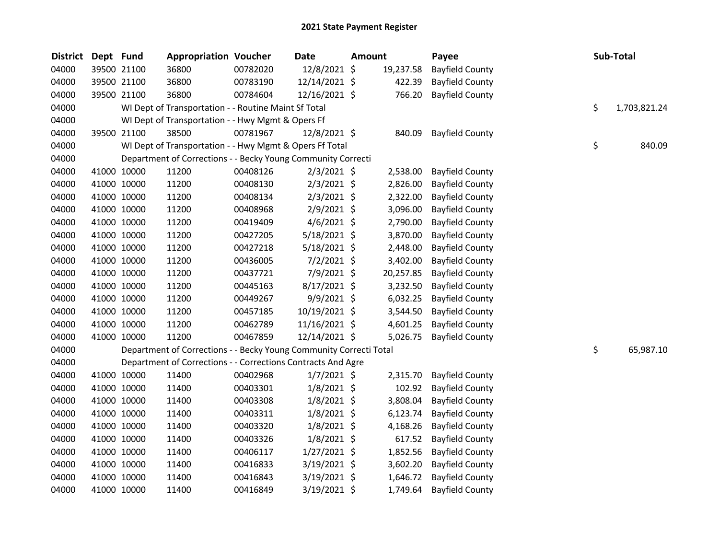| <b>District</b> | Dept Fund |             | <b>Appropriation Voucher</b>                                       |          | <b>Date</b>    | <b>Amount</b> |           | Payee                  | Sub-Total          |
|-----------------|-----------|-------------|--------------------------------------------------------------------|----------|----------------|---------------|-----------|------------------------|--------------------|
| 04000           |           | 39500 21100 | 36800                                                              | 00782020 | 12/8/2021 \$   |               | 19,237.58 | <b>Bayfield County</b> |                    |
| 04000           |           | 39500 21100 | 36800                                                              | 00783190 | 12/14/2021 \$  |               | 422.39    | <b>Bayfield County</b> |                    |
| 04000           |           | 39500 21100 | 36800                                                              | 00784604 | 12/16/2021 \$  |               | 766.20    | <b>Bayfield County</b> |                    |
| 04000           |           |             | WI Dept of Transportation - - Routine Maint Sf Total               |          |                |               |           |                        | \$<br>1,703,821.24 |
| 04000           |           |             | WI Dept of Transportation - - Hwy Mgmt & Opers Ff                  |          |                |               |           |                        |                    |
| 04000           |           | 39500 21100 | 38500                                                              | 00781967 | 12/8/2021 \$   |               | 840.09    | <b>Bayfield County</b> |                    |
| 04000           |           |             | WI Dept of Transportation - - Hwy Mgmt & Opers Ff Total            |          |                |               |           |                        | \$<br>840.09       |
| 04000           |           |             | Department of Corrections - - Becky Young Community Correcti       |          |                |               |           |                        |                    |
| 04000           |           | 41000 10000 | 11200                                                              | 00408126 | $2/3/2021$ \$  |               | 2,538.00  | <b>Bayfield County</b> |                    |
| 04000           |           | 41000 10000 | 11200                                                              | 00408130 | $2/3/2021$ \$  |               | 2,826.00  | <b>Bayfield County</b> |                    |
| 04000           |           | 41000 10000 | 11200                                                              | 00408134 | $2/3/2021$ \$  |               | 2,322.00  | <b>Bayfield County</b> |                    |
| 04000           |           | 41000 10000 | 11200                                                              | 00408968 | $2/9/2021$ \$  |               | 3,096.00  | <b>Bayfield County</b> |                    |
| 04000           |           | 41000 10000 | 11200                                                              | 00419409 | $4/6/2021$ \$  |               | 2,790.00  | <b>Bayfield County</b> |                    |
| 04000           |           | 41000 10000 | 11200                                                              | 00427205 | 5/18/2021 \$   |               | 3,870.00  | <b>Bayfield County</b> |                    |
| 04000           |           | 41000 10000 | 11200                                                              | 00427218 | 5/18/2021 \$   |               | 2,448.00  | <b>Bayfield County</b> |                    |
| 04000           |           | 41000 10000 | 11200                                                              | 00436005 | $7/2/2021$ \$  |               | 3,402.00  | <b>Bayfield County</b> |                    |
| 04000           |           | 41000 10000 | 11200                                                              | 00437721 | 7/9/2021 \$    |               | 20,257.85 | <b>Bayfield County</b> |                    |
| 04000           |           | 41000 10000 | 11200                                                              | 00445163 | 8/17/2021 \$   |               | 3,232.50  | <b>Bayfield County</b> |                    |
| 04000           |           | 41000 10000 | 11200                                                              | 00449267 | 9/9/2021 \$    |               | 6,032.25  | <b>Bayfield County</b> |                    |
| 04000           |           | 41000 10000 | 11200                                                              | 00457185 | 10/19/2021 \$  |               | 3,544.50  | <b>Bayfield County</b> |                    |
| 04000           |           | 41000 10000 | 11200                                                              | 00462789 | 11/16/2021 \$  |               | 4,601.25  | <b>Bayfield County</b> |                    |
| 04000           |           | 41000 10000 | 11200                                                              | 00467859 | 12/14/2021 \$  |               | 5,026.75  | <b>Bayfield County</b> |                    |
| 04000           |           |             | Department of Corrections - - Becky Young Community Correcti Total |          |                |               |           |                        | \$<br>65,987.10    |
| 04000           |           |             | Department of Corrections - - Corrections Contracts And Agre       |          |                |               |           |                        |                    |
| 04000           |           | 41000 10000 | 11400                                                              | 00402968 | $1/7/2021$ \$  |               | 2,315.70  | <b>Bayfield County</b> |                    |
| 04000           |           | 41000 10000 | 11400                                                              | 00403301 | $1/8/2021$ \$  |               | 102.92    | <b>Bayfield County</b> |                    |
| 04000           |           | 41000 10000 | 11400                                                              | 00403308 | 1/8/2021 \$    |               | 3,808.04  | <b>Bayfield County</b> |                    |
| 04000           |           | 41000 10000 | 11400                                                              | 00403311 | $1/8/2021$ \$  |               | 6,123.74  | <b>Bayfield County</b> |                    |
| 04000           |           | 41000 10000 | 11400                                                              | 00403320 | $1/8/2021$ \$  |               | 4,168.26  | <b>Bayfield County</b> |                    |
| 04000           |           | 41000 10000 | 11400                                                              | 00403326 | $1/8/2021$ \$  |               | 617.52    | <b>Bayfield County</b> |                    |
| 04000           |           | 41000 10000 | 11400                                                              | 00406117 | $1/27/2021$ \$ |               | 1,852.56  | <b>Bayfield County</b> |                    |
| 04000           |           | 41000 10000 | 11400                                                              | 00416833 | 3/19/2021 \$   |               | 3,602.20  | <b>Bayfield County</b> |                    |
| 04000           |           | 41000 10000 | 11400                                                              | 00416843 | 3/19/2021 \$   |               | 1,646.72  | <b>Bayfield County</b> |                    |
| 04000           |           | 41000 10000 | 11400                                                              | 00416849 | 3/19/2021 \$   |               | 1,749.64  | <b>Bayfield County</b> |                    |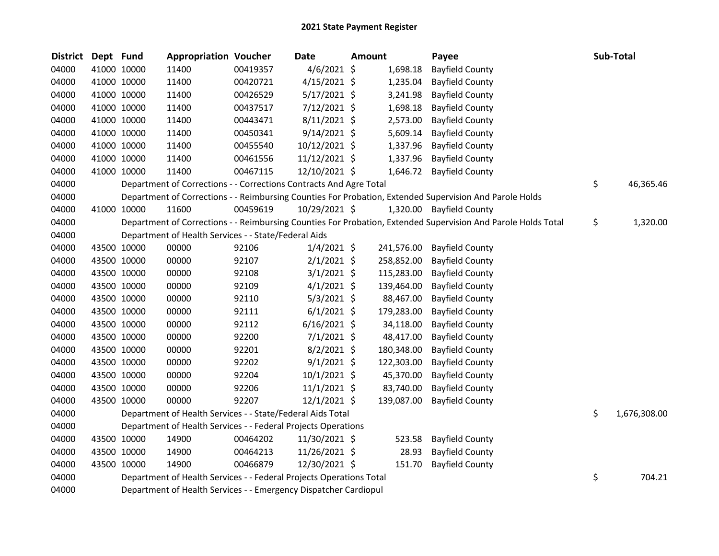| <b>District</b> | Dept Fund |             | <b>Appropriation Voucher</b>                                        |          | <b>Date</b>    | <b>Amount</b> |            | Payee                                                                                                         | Sub-Total          |
|-----------------|-----------|-------------|---------------------------------------------------------------------|----------|----------------|---------------|------------|---------------------------------------------------------------------------------------------------------------|--------------------|
| 04000           |           | 41000 10000 | 11400                                                               | 00419357 | 4/6/2021 \$    |               | 1,698.18   | <b>Bayfield County</b>                                                                                        |                    |
| 04000           |           | 41000 10000 | 11400                                                               | 00420721 | $4/15/2021$ \$ |               | 1,235.04   | <b>Bayfield County</b>                                                                                        |                    |
| 04000           |           | 41000 10000 | 11400                                                               | 00426529 | $5/17/2021$ \$ |               | 3,241.98   | <b>Bayfield County</b>                                                                                        |                    |
| 04000           |           | 41000 10000 | 11400                                                               | 00437517 | $7/12/2021$ \$ |               | 1,698.18   | <b>Bayfield County</b>                                                                                        |                    |
| 04000           |           | 41000 10000 | 11400                                                               | 00443471 | $8/11/2021$ \$ |               | 2,573.00   | <b>Bayfield County</b>                                                                                        |                    |
| 04000           |           | 41000 10000 | 11400                                                               | 00450341 | $9/14/2021$ \$ |               | 5,609.14   | <b>Bayfield County</b>                                                                                        |                    |
| 04000           |           | 41000 10000 | 11400                                                               | 00455540 | 10/12/2021 \$  |               | 1,337.96   | <b>Bayfield County</b>                                                                                        |                    |
| 04000           |           | 41000 10000 | 11400                                                               | 00461556 | 11/12/2021 \$  |               | 1,337.96   | <b>Bayfield County</b>                                                                                        |                    |
| 04000           |           | 41000 10000 | 11400                                                               | 00467115 | 12/10/2021 \$  |               | 1,646.72   | <b>Bayfield County</b>                                                                                        |                    |
| 04000           |           |             | Department of Corrections - - Corrections Contracts And Agre Total  |          |                |               |            |                                                                                                               | \$<br>46,365.46    |
| 04000           |           |             |                                                                     |          |                |               |            | Department of Corrections - - Reimbursing Counties For Probation, Extended Supervision And Parole Holds       |                    |
| 04000           |           | 41000 10000 | 11600                                                               | 00459619 | 10/29/2021 \$  |               |            | 1,320.00 Bayfield County                                                                                      |                    |
| 04000           |           |             |                                                                     |          |                |               |            | Department of Corrections - - Reimbursing Counties For Probation, Extended Supervision And Parole Holds Total | \$<br>1,320.00     |
| 04000           |           |             | Department of Health Services - - State/Federal Aids                |          |                |               |            |                                                                                                               |                    |
| 04000           |           | 43500 10000 | 00000                                                               | 92106    | $1/4/2021$ \$  |               | 241,576.00 | <b>Bayfield County</b>                                                                                        |                    |
| 04000           |           | 43500 10000 | 00000                                                               | 92107    | $2/1/2021$ \$  |               | 258,852.00 | <b>Bayfield County</b>                                                                                        |                    |
| 04000           |           | 43500 10000 | 00000                                                               | 92108    | $3/1/2021$ \$  |               | 115,283.00 | <b>Bayfield County</b>                                                                                        |                    |
| 04000           |           | 43500 10000 | 00000                                                               | 92109    | $4/1/2021$ \$  |               | 139,464.00 | <b>Bayfield County</b>                                                                                        |                    |
| 04000           |           | 43500 10000 | 00000                                                               | 92110    | $5/3/2021$ \$  |               | 88,467.00  | <b>Bayfield County</b>                                                                                        |                    |
| 04000           |           | 43500 10000 | 00000                                                               | 92111    | $6/1/2021$ \$  |               | 179,283.00 | <b>Bayfield County</b>                                                                                        |                    |
| 04000           |           | 43500 10000 | 00000                                                               | 92112    | $6/16/2021$ \$ |               | 34,118.00  | <b>Bayfield County</b>                                                                                        |                    |
| 04000           |           | 43500 10000 | 00000                                                               | 92200    | $7/1/2021$ \$  |               | 48,417.00  | <b>Bayfield County</b>                                                                                        |                    |
| 04000           |           | 43500 10000 | 00000                                                               | 92201    | 8/2/2021 \$    |               | 180,348.00 | <b>Bayfield County</b>                                                                                        |                    |
| 04000           |           | 43500 10000 | 00000                                                               | 92202    | $9/1/2021$ \$  |               | 122,303.00 | <b>Bayfield County</b>                                                                                        |                    |
| 04000           |           | 43500 10000 | 00000                                                               | 92204    | 10/1/2021 \$   |               | 45,370.00  | <b>Bayfield County</b>                                                                                        |                    |
| 04000           |           | 43500 10000 | 00000                                                               | 92206    | $11/1/2021$ \$ |               | 83,740.00  | <b>Bayfield County</b>                                                                                        |                    |
| 04000           |           | 43500 10000 | 00000                                                               | 92207    | $12/1/2021$ \$ |               | 139,087.00 | <b>Bayfield County</b>                                                                                        |                    |
| 04000           |           |             | Department of Health Services - - State/Federal Aids Total          |          |                |               |            |                                                                                                               | \$<br>1,676,308.00 |
| 04000           |           |             | Department of Health Services - - Federal Projects Operations       |          |                |               |            |                                                                                                               |                    |
| 04000           |           | 43500 10000 | 14900                                                               | 00464202 | 11/30/2021 \$  |               | 523.58     | <b>Bayfield County</b>                                                                                        |                    |
| 04000           |           | 43500 10000 | 14900                                                               | 00464213 | 11/26/2021 \$  |               | 28.93      | <b>Bayfield County</b>                                                                                        |                    |
| 04000           |           | 43500 10000 | 14900                                                               | 00466879 | 12/30/2021 \$  |               | 151.70     | <b>Bayfield County</b>                                                                                        |                    |
| 04000           |           |             | Department of Health Services - - Federal Projects Operations Total |          |                |               |            |                                                                                                               | \$<br>704.21       |
| 04000           |           |             | Department of Health Services - - Emergency Dispatcher Cardiopul    |          |                |               |            |                                                                                                               |                    |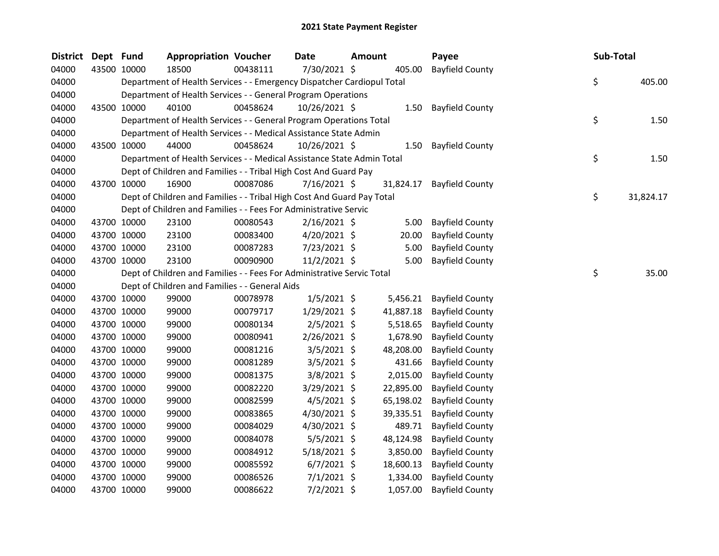| <b>District</b> | Dept Fund   |             | <b>Appropriation Voucher</b>                                           |          | <b>Date</b>    | <b>Amount</b> |           | Payee                  | Sub-Total |           |
|-----------------|-------------|-------------|------------------------------------------------------------------------|----------|----------------|---------------|-----------|------------------------|-----------|-----------|
| 04000           |             | 43500 10000 | 18500                                                                  | 00438111 | 7/30/2021 \$   |               | 405.00    | <b>Bayfield County</b> |           |           |
| 04000           |             |             | Department of Health Services - - Emergency Dispatcher Cardiopul Total |          |                |               |           |                        | \$        | 405.00    |
| 04000           |             |             | Department of Health Services - - General Program Operations           |          |                |               |           |                        |           |           |
| 04000           |             | 43500 10000 | 40100                                                                  | 00458624 | 10/26/2021 \$  |               | 1.50      | <b>Bayfield County</b> |           |           |
| 04000           |             |             | Department of Health Services - - General Program Operations Total     |          |                |               |           |                        | \$        | 1.50      |
| 04000           |             |             | Department of Health Services - - Medical Assistance State Admin       |          |                |               |           |                        |           |           |
| 04000           |             | 43500 10000 | 44000                                                                  | 00458624 | 10/26/2021 \$  |               | 1.50      | <b>Bayfield County</b> |           |           |
| 04000           |             |             | Department of Health Services - - Medical Assistance State Admin Total |          |                |               |           |                        | \$        | 1.50      |
| 04000           |             |             | Dept of Children and Families - - Tribal High Cost And Guard Pay       |          |                |               |           |                        |           |           |
| 04000           |             | 43700 10000 | 16900                                                                  | 00087086 | 7/16/2021 \$   |               | 31,824.17 | <b>Bayfield County</b> |           |           |
| 04000           |             |             | Dept of Children and Families - - Tribal High Cost And Guard Pay Total |          |                |               |           |                        | \$        | 31,824.17 |
| 04000           |             |             | Dept of Children and Families - - Fees For Administrative Servic       |          |                |               |           |                        |           |           |
| 04000           |             | 43700 10000 | 23100                                                                  | 00080543 | $2/16/2021$ \$ |               | 5.00      | <b>Bayfield County</b> |           |           |
| 04000           |             | 43700 10000 | 23100                                                                  | 00083400 | $4/20/2021$ \$ |               | 20.00     | <b>Bayfield County</b> |           |           |
| 04000           |             | 43700 10000 | 23100                                                                  | 00087283 | 7/23/2021 \$   |               | 5.00      | <b>Bayfield County</b> |           |           |
| 04000           |             | 43700 10000 | 23100                                                                  | 00090900 | 11/2/2021 \$   |               | 5.00      | <b>Bayfield County</b> |           |           |
| 04000           |             |             | Dept of Children and Families - - Fees For Administrative Servic Total |          |                |               |           |                        | \$        | 35.00     |
| 04000           |             |             | Dept of Children and Families - - General Aids                         |          |                |               |           |                        |           |           |
| 04000           |             | 43700 10000 | 99000                                                                  | 00078978 | $1/5/2021$ \$  |               | 5,456.21  | <b>Bayfield County</b> |           |           |
| 04000           |             | 43700 10000 | 99000                                                                  | 00079717 | 1/29/2021 \$   |               | 41,887.18 | <b>Bayfield County</b> |           |           |
| 04000           | 43700 10000 |             | 99000                                                                  | 00080134 | $2/5/2021$ \$  |               | 5,518.65  | <b>Bayfield County</b> |           |           |
| 04000           |             | 43700 10000 | 99000                                                                  | 00080941 | 2/26/2021 \$   |               | 1,678.90  | <b>Bayfield County</b> |           |           |
| 04000           |             | 43700 10000 | 99000                                                                  | 00081216 | $3/5/2021$ \$  |               | 48,208.00 | <b>Bayfield County</b> |           |           |
| 04000           |             | 43700 10000 | 99000                                                                  | 00081289 | $3/5/2021$ \$  |               | 431.66    | <b>Bayfield County</b> |           |           |
| 04000           |             | 43700 10000 | 99000                                                                  | 00081375 | $3/8/2021$ \$  |               | 2,015.00  | <b>Bayfield County</b> |           |           |
| 04000           |             | 43700 10000 | 99000                                                                  | 00082220 | 3/29/2021 \$   |               | 22,895.00 | <b>Bayfield County</b> |           |           |
| 04000           |             | 43700 10000 | 99000                                                                  | 00082599 | $4/5/2021$ \$  |               | 65,198.02 | <b>Bayfield County</b> |           |           |
| 04000           |             | 43700 10000 | 99000                                                                  | 00083865 | 4/30/2021 \$   |               | 39,335.51 | <b>Bayfield County</b> |           |           |
| 04000           |             | 43700 10000 | 99000                                                                  | 00084029 | 4/30/2021 \$   |               | 489.71    | <b>Bayfield County</b> |           |           |
| 04000           |             | 43700 10000 | 99000                                                                  | 00084078 | 5/5/2021 \$    |               | 48,124.98 | <b>Bayfield County</b> |           |           |
| 04000           |             | 43700 10000 | 99000                                                                  | 00084912 | 5/18/2021 \$   |               | 3,850.00  | <b>Bayfield County</b> |           |           |
| 04000           |             | 43700 10000 | 99000                                                                  | 00085592 | $6/7/2021$ \$  |               | 18,600.13 | <b>Bayfield County</b> |           |           |
| 04000           |             | 43700 10000 | 99000                                                                  | 00086526 | $7/1/2021$ \$  |               | 1,334.00  | <b>Bayfield County</b> |           |           |
| 04000           |             | 43700 10000 | 99000                                                                  | 00086622 | $7/2/2021$ \$  |               | 1,057.00  | <b>Bayfield County</b> |           |           |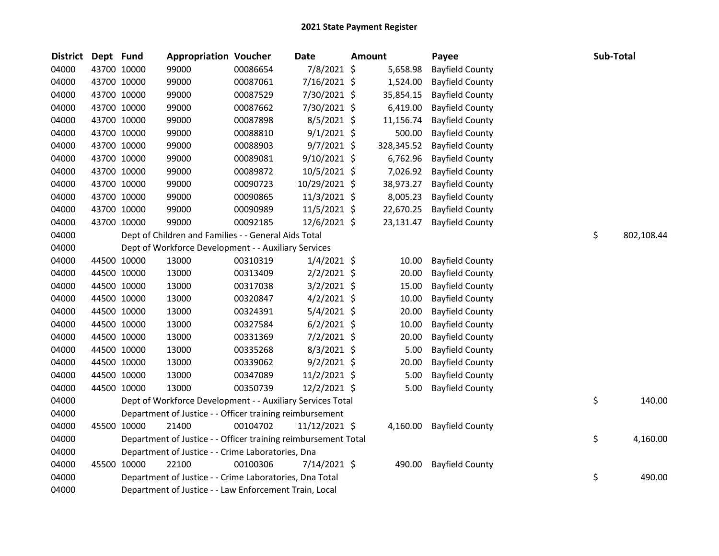|       | District | Dept Fund |             | <b>Appropriation Voucher</b>                                   |          | Date           | <b>Amount</b> | Payee                  |    | <b>Sub-Total</b> |
|-------|----------|-----------|-------------|----------------------------------------------------------------|----------|----------------|---------------|------------------------|----|------------------|
| 04000 |          |           | 43700 10000 | 99000                                                          | 00086654 | 7/8/2021 \$    | 5,658.98      | <b>Bayfield County</b> |    |                  |
| 04000 |          |           | 43700 10000 | 99000                                                          | 00087061 | 7/16/2021 \$   | 1,524.00      | <b>Bayfield County</b> |    |                  |
| 04000 |          |           | 43700 10000 | 99000                                                          | 00087529 | 7/30/2021 \$   | 35,854.15     | <b>Bayfield County</b> |    |                  |
| 04000 |          |           | 43700 10000 | 99000                                                          | 00087662 | 7/30/2021 \$   | 6,419.00      | <b>Bayfield County</b> |    |                  |
| 04000 |          |           | 43700 10000 | 99000                                                          | 00087898 | $8/5/2021$ \$  | 11,156.74     | <b>Bayfield County</b> |    |                  |
| 04000 |          |           | 43700 10000 | 99000                                                          | 00088810 | $9/1/2021$ \$  | 500.00        | <b>Bayfield County</b> |    |                  |
| 04000 |          |           | 43700 10000 | 99000                                                          | 00088903 | $9/7/2021$ \$  | 328,345.52    | <b>Bayfield County</b> |    |                  |
| 04000 |          |           | 43700 10000 | 99000                                                          | 00089081 | $9/10/2021$ \$ | 6,762.96      | <b>Bayfield County</b> |    |                  |
| 04000 |          |           | 43700 10000 | 99000                                                          | 00089872 | 10/5/2021 \$   | 7,026.92      | <b>Bayfield County</b> |    |                  |
| 04000 |          |           | 43700 10000 | 99000                                                          | 00090723 | 10/29/2021 \$  | 38,973.27     | <b>Bayfield County</b> |    |                  |
| 04000 |          |           | 43700 10000 | 99000                                                          | 00090865 | 11/3/2021 \$   | 8,005.23      | <b>Bayfield County</b> |    |                  |
| 04000 |          |           | 43700 10000 | 99000                                                          | 00090989 | $11/5/2021$ \$ | 22,670.25     | <b>Bayfield County</b> |    |                  |
| 04000 |          |           | 43700 10000 | 99000                                                          | 00092185 | 12/6/2021 \$   | 23,131.47     | <b>Bayfield County</b> |    |                  |
| 04000 |          |           |             | Dept of Children and Families - - General Aids Total           |          |                |               |                        | \$ | 802,108.44       |
| 04000 |          |           |             | Dept of Workforce Development - - Auxiliary Services           |          |                |               |                        |    |                  |
| 04000 |          |           | 44500 10000 | 13000                                                          | 00310319 | $1/4/2021$ \$  | 10.00         | <b>Bayfield County</b> |    |                  |
| 04000 |          |           | 44500 10000 | 13000                                                          | 00313409 | $2/2/2021$ \$  | 20.00         | <b>Bayfield County</b> |    |                  |
| 04000 |          |           | 44500 10000 | 13000                                                          | 00317038 | $3/2/2021$ \$  | 15.00         | <b>Bayfield County</b> |    |                  |
| 04000 |          |           | 44500 10000 | 13000                                                          | 00320847 | $4/2/2021$ \$  | 10.00         | <b>Bayfield County</b> |    |                  |
| 04000 |          |           | 44500 10000 | 13000                                                          | 00324391 | $5/4/2021$ \$  | 20.00         | <b>Bayfield County</b> |    |                  |
| 04000 |          |           | 44500 10000 | 13000                                                          | 00327584 | $6/2/2021$ \$  | 10.00         | <b>Bayfield County</b> |    |                  |
| 04000 |          |           | 44500 10000 | 13000                                                          | 00331369 | $7/2/2021$ \$  | 20.00         | <b>Bayfield County</b> |    |                  |
| 04000 |          |           | 44500 10000 | 13000                                                          | 00335268 | 8/3/2021 \$    | 5.00          | <b>Bayfield County</b> |    |                  |
| 04000 |          |           | 44500 10000 | 13000                                                          | 00339062 | $9/2/2021$ \$  | 20.00         | <b>Bayfield County</b> |    |                  |
| 04000 |          |           | 44500 10000 | 13000                                                          | 00347089 | 11/2/2021 \$   | 5.00          | <b>Bayfield County</b> |    |                  |
| 04000 |          |           | 44500 10000 | 13000                                                          | 00350739 | 12/2/2021 \$   | 5.00          | <b>Bayfield County</b> |    |                  |
| 04000 |          |           |             | Dept of Workforce Development - - Auxiliary Services Total     |          |                |               |                        | \$ | 140.00           |
| 04000 |          |           |             | Department of Justice - - Officer training reimbursement       |          |                |               |                        |    |                  |
| 04000 |          |           | 45500 10000 | 21400                                                          | 00104702 | 11/12/2021 \$  | 4,160.00      | <b>Bayfield County</b> |    |                  |
| 04000 |          |           |             | Department of Justice - - Officer training reimbursement Total |          |                |               |                        | \$ | 4,160.00         |
| 04000 |          |           |             | Department of Justice - - Crime Laboratories, Dna              |          |                |               |                        |    |                  |
| 04000 |          |           | 45500 10000 | 22100                                                          | 00100306 | 7/14/2021 \$   | 490.00        | <b>Bayfield County</b> |    |                  |
| 04000 |          |           |             | Department of Justice - - Crime Laboratories, Dna Total        |          |                |               |                        | \$ | 490.00           |
| 04000 |          |           |             | Department of Justice - - Law Enforcement Train, Local         |          |                |               |                        |    |                  |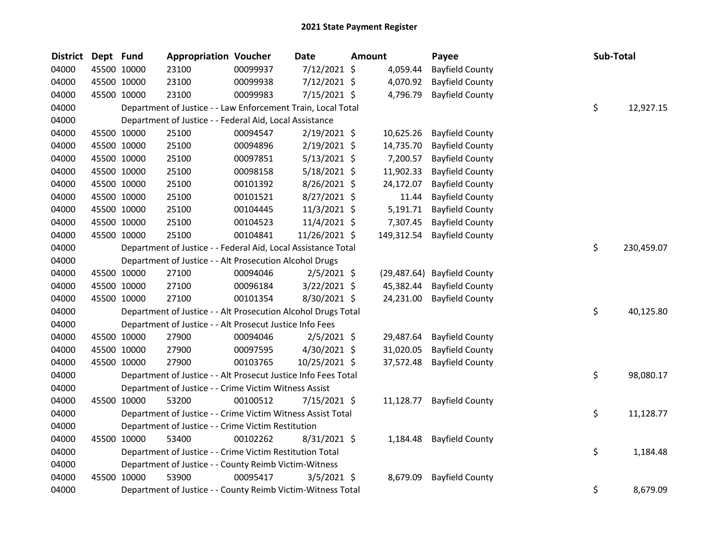| <b>District</b> | Dept Fund |             | <b>Appropriation Voucher</b>                                   |          | <b>Date</b>    | <b>Amount</b> |            | Payee                       | Sub-Total |            |
|-----------------|-----------|-------------|----------------------------------------------------------------|----------|----------------|---------------|------------|-----------------------------|-----------|------------|
| 04000           |           | 45500 10000 | 23100                                                          | 00099937 | 7/12/2021 \$   |               | 4,059.44   | <b>Bayfield County</b>      |           |            |
| 04000           |           | 45500 10000 | 23100                                                          | 00099938 | 7/12/2021 \$   |               | 4,070.92   | <b>Bayfield County</b>      |           |            |
| 04000           |           | 45500 10000 | 23100                                                          | 00099983 | 7/15/2021 \$   |               | 4,796.79   | <b>Bayfield County</b>      |           |            |
| 04000           |           |             | Department of Justice - - Law Enforcement Train, Local Total   |          |                |               |            |                             | \$        | 12,927.15  |
| 04000           |           |             | Department of Justice - - Federal Aid, Local Assistance        |          |                |               |            |                             |           |            |
| 04000           |           | 45500 10000 | 25100                                                          | 00094547 | 2/19/2021 \$   |               | 10,625.26  | <b>Bayfield County</b>      |           |            |
| 04000           |           | 45500 10000 | 25100                                                          | 00094896 | 2/19/2021 \$   |               | 14,735.70  | <b>Bayfield County</b>      |           |            |
| 04000           |           | 45500 10000 | 25100                                                          | 00097851 | $5/13/2021$ \$ |               | 7,200.57   | <b>Bayfield County</b>      |           |            |
| 04000           |           | 45500 10000 | 25100                                                          | 00098158 | 5/18/2021 \$   |               | 11,902.33  | <b>Bayfield County</b>      |           |            |
| 04000           |           | 45500 10000 | 25100                                                          | 00101392 | 8/26/2021 \$   |               | 24,172.07  | <b>Bayfield County</b>      |           |            |
| 04000           |           | 45500 10000 | 25100                                                          | 00101521 | 8/27/2021 \$   |               | 11.44      | <b>Bayfield County</b>      |           |            |
| 04000           |           | 45500 10000 | 25100                                                          | 00104445 | 11/3/2021 \$   |               | 5,191.71   | <b>Bayfield County</b>      |           |            |
| 04000           |           | 45500 10000 | 25100                                                          | 00104523 | 11/4/2021 \$   |               | 7,307.45   | <b>Bayfield County</b>      |           |            |
| 04000           |           | 45500 10000 | 25100                                                          | 00104841 | 11/26/2021 \$  |               | 149,312.54 | <b>Bayfield County</b>      |           |            |
| 04000           |           |             | Department of Justice - - Federal Aid, Local Assistance Total  |          |                |               |            |                             | \$        | 230,459.07 |
| 04000           |           |             | Department of Justice - - Alt Prosecution Alcohol Drugs        |          |                |               |            |                             |           |            |
| 04000           |           | 45500 10000 | 27100                                                          | 00094046 | $2/5/2021$ \$  |               |            | (29,487.64) Bayfield County |           |            |
| 04000           |           | 45500 10000 | 27100                                                          | 00096184 | $3/22/2021$ \$ |               | 45,382.44  | <b>Bayfield County</b>      |           |            |
| 04000           |           | 45500 10000 | 27100                                                          | 00101354 | 8/30/2021 \$   |               | 24,231.00  | <b>Bayfield County</b>      |           |            |
| 04000           |           |             | Department of Justice - - Alt Prosecution Alcohol Drugs Total  |          |                |               |            |                             | \$        | 40,125.80  |
| 04000           |           |             | Department of Justice - - Alt Prosecut Justice Info Fees       |          |                |               |            |                             |           |            |
| 04000           |           | 45500 10000 | 27900                                                          | 00094046 | $2/5/2021$ \$  |               | 29,487.64  | <b>Bayfield County</b>      |           |            |
| 04000           |           | 45500 10000 | 27900                                                          | 00097595 | 4/30/2021 \$   |               | 31,020.05  | <b>Bayfield County</b>      |           |            |
| 04000           |           | 45500 10000 | 27900                                                          | 00103765 | 10/25/2021 \$  |               | 37,572.48  | <b>Bayfield County</b>      |           |            |
| 04000           |           |             | Department of Justice - - Alt Prosecut Justice Info Fees Total |          |                |               |            |                             | \$        | 98,080.17  |
| 04000           |           |             | Department of Justice - - Crime Victim Witness Assist          |          |                |               |            |                             |           |            |
| 04000           |           | 45500 10000 | 53200                                                          | 00100512 | $7/15/2021$ \$ |               | 11,128.77  | <b>Bayfield County</b>      |           |            |
| 04000           |           |             | Department of Justice - - Crime Victim Witness Assist Total    |          |                |               |            |                             | \$        | 11,128.77  |
| 04000           |           |             | Department of Justice - - Crime Victim Restitution             |          |                |               |            |                             |           |            |
| 04000           |           | 45500 10000 | 53400                                                          | 00102262 | 8/31/2021 \$   |               | 1,184.48   | <b>Bayfield County</b>      |           |            |
| 04000           |           |             | Department of Justice - - Crime Victim Restitution Total       |          |                |               |            |                             | \$        | 1,184.48   |
| 04000           |           |             | Department of Justice - - County Reimb Victim-Witness          |          |                |               |            |                             |           |            |
| 04000           | 45500     | 10000       | 53900                                                          | 00095417 | $3/5/2021$ \$  |               | 8,679.09   | <b>Bayfield County</b>      |           |            |
| 04000           |           |             | Department of Justice - - County Reimb Victim-Witness Total    |          |                |               |            |                             | \$        | 8,679.09   |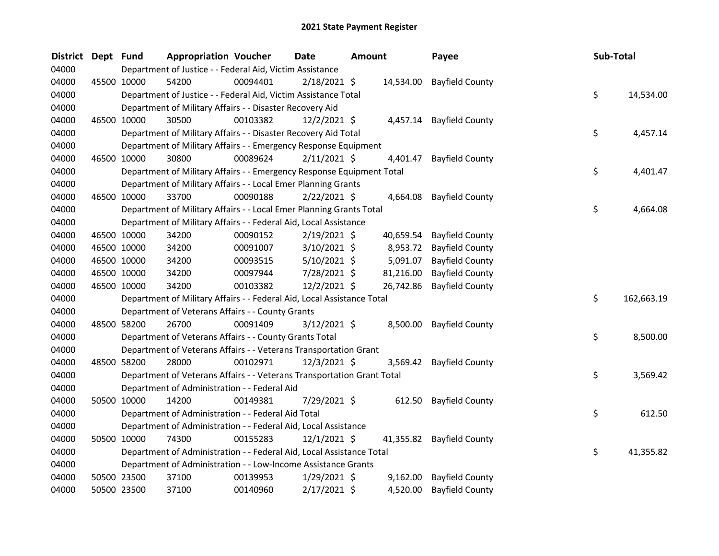| <b>District</b> | Dept Fund |             | <b>Appropriation Voucher</b>                                           |          | <b>Date</b>    | Amount |           | Payee                    | Sub-Total |            |
|-----------------|-----------|-------------|------------------------------------------------------------------------|----------|----------------|--------|-----------|--------------------------|-----------|------------|
| 04000           |           |             | Department of Justice - - Federal Aid, Victim Assistance               |          |                |        |           |                          |           |            |
| 04000           |           | 45500 10000 | 54200                                                                  | 00094401 | $2/18/2021$ \$ |        | 14,534.00 | <b>Bayfield County</b>   |           |            |
| 04000           |           |             | Department of Justice - - Federal Aid, Victim Assistance Total         |          |                |        |           |                          | \$        | 14,534.00  |
| 04000           |           |             | Department of Military Affairs - - Disaster Recovery Aid               |          |                |        |           |                          |           |            |
| 04000           |           | 46500 10000 | 30500                                                                  | 00103382 | $12/2/2021$ \$ |        |           | 4,457.14 Bayfield County |           |            |
| 04000           |           |             | Department of Military Affairs - - Disaster Recovery Aid Total         |          |                |        |           |                          | \$        | 4,457.14   |
| 04000           |           |             | Department of Military Affairs - - Emergency Response Equipment        |          |                |        |           |                          |           |            |
| 04000           |           | 46500 10000 | 30800                                                                  | 00089624 | $2/11/2021$ \$ |        | 4,401.47  | <b>Bayfield County</b>   |           |            |
| 04000           |           |             | Department of Military Affairs - - Emergency Response Equipment Total  |          |                |        |           |                          | \$        | 4,401.47   |
| 04000           |           |             | Department of Military Affairs - - Local Emer Planning Grants          |          |                |        |           |                          |           |            |
| 04000           |           | 46500 10000 | 33700                                                                  | 00090188 | $2/22/2021$ \$ |        | 4,664.08  | <b>Bayfield County</b>   |           |            |
| 04000           |           |             | Department of Military Affairs - - Local Emer Planning Grants Total    |          |                |        |           |                          | \$        | 4,664.08   |
| 04000           |           |             | Department of Military Affairs - - Federal Aid, Local Assistance       |          |                |        |           |                          |           |            |
| 04000           |           | 46500 10000 | 34200                                                                  | 00090152 | 2/19/2021 \$   |        | 40,659.54 | <b>Bayfield County</b>   |           |            |
| 04000           |           | 46500 10000 | 34200                                                                  | 00091007 | $3/10/2021$ \$ |        | 8,953.72  | <b>Bayfield County</b>   |           |            |
| 04000           |           | 46500 10000 | 34200                                                                  | 00093515 | $5/10/2021$ \$ |        | 5,091.07  | <b>Bayfield County</b>   |           |            |
| 04000           |           | 46500 10000 | 34200                                                                  | 00097944 | 7/28/2021 \$   |        | 81,216.00 | <b>Bayfield County</b>   |           |            |
| 04000           |           | 46500 10000 | 34200                                                                  | 00103382 | 12/2/2021 \$   |        | 26,742.86 | <b>Bayfield County</b>   |           |            |
| 04000           |           |             | Department of Military Affairs - - Federal Aid, Local Assistance Total |          |                |        |           |                          | \$        | 162,663.19 |
| 04000           |           |             | Department of Veterans Affairs - - County Grants                       |          |                |        |           |                          |           |            |
| 04000           |           | 48500 58200 | 26700                                                                  | 00091409 | $3/12/2021$ \$ |        | 8,500.00  | <b>Bayfield County</b>   |           |            |
| 04000           |           |             | Department of Veterans Affairs - - County Grants Total                 |          |                |        |           |                          | \$        | 8,500.00   |
| 04000           |           |             | Department of Veterans Affairs - - Veterans Transportation Grant       |          |                |        |           |                          |           |            |
| 04000           |           | 48500 58200 | 28000                                                                  | 00102971 | 12/3/2021 \$   |        | 3,569.42  | <b>Bayfield County</b>   |           |            |
| 04000           |           |             | Department of Veterans Affairs - - Veterans Transportation Grant Total |          |                |        |           |                          | \$        | 3,569.42   |
| 04000           |           |             | Department of Administration - - Federal Aid                           |          |                |        |           |                          |           |            |
| 04000           |           | 50500 10000 | 14200                                                                  | 00149381 | 7/29/2021 \$   |        | 612.50    | <b>Bayfield County</b>   |           |            |
| 04000           |           |             | Department of Administration - - Federal Aid Total                     |          |                |        |           |                          | \$        | 612.50     |
| 04000           |           |             | Department of Administration - - Federal Aid, Local Assistance         |          |                |        |           |                          |           |            |
| 04000           |           | 50500 10000 | 74300                                                                  | 00155283 | $12/1/2021$ \$ |        | 41,355.82 | <b>Bayfield County</b>   |           |            |
| 04000           |           |             | Department of Administration - - Federal Aid, Local Assistance Total   |          |                |        |           |                          | \$        | 41,355.82  |
| 04000           |           |             | Department of Administration - - Low-Income Assistance Grants          |          |                |        |           |                          |           |            |
| 04000           |           | 50500 23500 | 37100                                                                  | 00139953 | $1/29/2021$ \$ |        | 9,162.00  | <b>Bayfield County</b>   |           |            |
| 04000           |           | 50500 23500 | 37100                                                                  | 00140960 | 2/17/2021 \$   |        | 4,520.00  | <b>Bayfield County</b>   |           |            |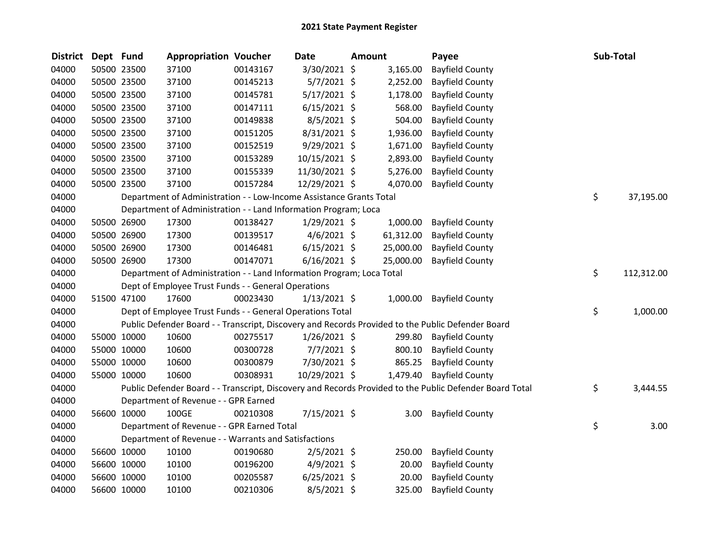| <b>District</b> | Dept Fund |             | <b>Appropriation Voucher</b>                                          |          | <b>Date</b>    | <b>Amount</b> | Payee                                                                                                   | Sub-Total        |
|-----------------|-----------|-------------|-----------------------------------------------------------------------|----------|----------------|---------------|---------------------------------------------------------------------------------------------------------|------------------|
| 04000           |           | 50500 23500 | 37100                                                                 | 00143167 | 3/30/2021 \$   | 3,165.00      | <b>Bayfield County</b>                                                                                  |                  |
| 04000           |           | 50500 23500 | 37100                                                                 | 00145213 | 5/7/2021 \$    | 2,252.00      | <b>Bayfield County</b>                                                                                  |                  |
| 04000           |           | 50500 23500 | 37100                                                                 | 00145781 | $5/17/2021$ \$ | 1,178.00      | <b>Bayfield County</b>                                                                                  |                  |
| 04000           |           | 50500 23500 | 37100                                                                 | 00147111 | $6/15/2021$ \$ | 568.00        | <b>Bayfield County</b>                                                                                  |                  |
| 04000           |           | 50500 23500 | 37100                                                                 | 00149838 | $8/5/2021$ \$  | 504.00        | <b>Bayfield County</b>                                                                                  |                  |
| 04000           |           | 50500 23500 | 37100                                                                 | 00151205 | 8/31/2021 \$   | 1,936.00      | <b>Bayfield County</b>                                                                                  |                  |
| 04000           |           | 50500 23500 | 37100                                                                 | 00152519 | $9/29/2021$ \$ | 1,671.00      | <b>Bayfield County</b>                                                                                  |                  |
| 04000           |           | 50500 23500 | 37100                                                                 | 00153289 | 10/15/2021 \$  | 2,893.00      | <b>Bayfield County</b>                                                                                  |                  |
| 04000           |           | 50500 23500 | 37100                                                                 | 00155339 | 11/30/2021 \$  | 5,276.00      | <b>Bayfield County</b>                                                                                  |                  |
| 04000           |           | 50500 23500 | 37100                                                                 | 00157284 | 12/29/2021 \$  | 4,070.00      | <b>Bayfield County</b>                                                                                  |                  |
| 04000           |           |             | Department of Administration - - Low-Income Assistance Grants Total   |          |                |               |                                                                                                         | \$<br>37,195.00  |
| 04000           |           |             | Department of Administration - - Land Information Program; Loca       |          |                |               |                                                                                                         |                  |
| 04000           |           | 50500 26900 | 17300                                                                 | 00138427 | $1/29/2021$ \$ | 1,000.00      | <b>Bayfield County</b>                                                                                  |                  |
| 04000           |           | 50500 26900 | 17300                                                                 | 00139517 | $4/6/2021$ \$  | 61,312.00     | <b>Bayfield County</b>                                                                                  |                  |
| 04000           |           | 50500 26900 | 17300                                                                 | 00146481 | $6/15/2021$ \$ | 25,000.00     | <b>Bayfield County</b>                                                                                  |                  |
| 04000           |           | 50500 26900 | 17300                                                                 | 00147071 | $6/16/2021$ \$ | 25,000.00     | <b>Bayfield County</b>                                                                                  |                  |
| 04000           |           |             | Department of Administration - - Land Information Program; Loca Total |          |                |               |                                                                                                         | \$<br>112,312.00 |
| 04000           |           |             | Dept of Employee Trust Funds - - General Operations                   |          |                |               |                                                                                                         |                  |
| 04000           |           | 51500 47100 | 17600                                                                 | 00023430 | $1/13/2021$ \$ | 1,000.00      | <b>Bayfield County</b>                                                                                  |                  |
| 04000           |           |             | Dept of Employee Trust Funds - - General Operations Total             |          |                |               |                                                                                                         | \$<br>1,000.00   |
| 04000           |           |             |                                                                       |          |                |               | Public Defender Board - - Transcript, Discovery and Records Provided to the Public Defender Board       |                  |
| 04000           |           | 55000 10000 | 10600                                                                 | 00275517 | $1/26/2021$ \$ | 299.80        | <b>Bayfield County</b>                                                                                  |                  |
| 04000           |           | 55000 10000 | 10600                                                                 | 00300728 | $7/7/2021$ \$  | 800.10        | <b>Bayfield County</b>                                                                                  |                  |
| 04000           |           | 55000 10000 | 10600                                                                 | 00300879 | 7/30/2021 \$   | 865.25        | <b>Bayfield County</b>                                                                                  |                  |
| 04000           |           | 55000 10000 | 10600                                                                 | 00308931 | 10/29/2021 \$  | 1,479.40      | <b>Bayfield County</b>                                                                                  |                  |
| 04000           |           |             |                                                                       |          |                |               | Public Defender Board - - Transcript, Discovery and Records Provided to the Public Defender Board Total | \$<br>3,444.55   |
| 04000           |           |             | Department of Revenue - - GPR Earned                                  |          |                |               |                                                                                                         |                  |
| 04000           |           | 56600 10000 | 100GE                                                                 | 00210308 | 7/15/2021 \$   | 3.00          | <b>Bayfield County</b>                                                                                  |                  |
| 04000           |           |             | Department of Revenue - - GPR Earned Total                            |          |                |               |                                                                                                         | \$<br>3.00       |
| 04000           |           |             | Department of Revenue - - Warrants and Satisfactions                  |          |                |               |                                                                                                         |                  |
| 04000           |           | 56600 10000 | 10100                                                                 | 00190680 | $2/5/2021$ \$  | 250.00        | <b>Bayfield County</b>                                                                                  |                  |
| 04000           |           | 56600 10000 | 10100                                                                 | 00196200 | $4/9/2021$ \$  | 20.00         | <b>Bayfield County</b>                                                                                  |                  |
| 04000           |           | 56600 10000 | 10100                                                                 | 00205587 | $6/25/2021$ \$ | 20.00         | <b>Bayfield County</b>                                                                                  |                  |
| 04000           |           | 56600 10000 | 10100                                                                 | 00210306 | 8/5/2021 \$    | 325.00        | <b>Bayfield County</b>                                                                                  |                  |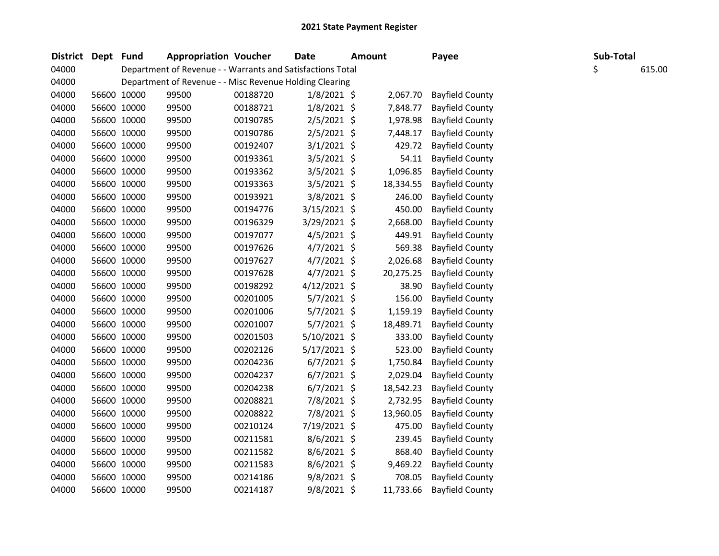| District Dept Fund |             | <b>Appropriation Voucher</b>                               |          | <b>Date</b>    | <b>Amount</b> |           | Payee                  | Sub-Total |        |
|--------------------|-------------|------------------------------------------------------------|----------|----------------|---------------|-----------|------------------------|-----------|--------|
| 04000              |             | Department of Revenue - - Warrants and Satisfactions Total |          |                |               |           |                        | \$        | 615.00 |
| 04000              |             | Department of Revenue - - Misc Revenue Holding Clearing    |          |                |               |           |                        |           |        |
| 04000              | 56600 10000 | 99500                                                      | 00188720 | $1/8/2021$ \$  |               | 2,067.70  | <b>Bayfield County</b> |           |        |
| 04000              | 56600 10000 | 99500                                                      | 00188721 | $1/8/2021$ \$  |               | 7,848.77  | <b>Bayfield County</b> |           |        |
| 04000              | 56600 10000 | 99500                                                      | 00190785 | $2/5/2021$ \$  |               | 1,978.98  | <b>Bayfield County</b> |           |        |
| 04000              | 56600 10000 | 99500                                                      | 00190786 | $2/5/2021$ \$  |               | 7,448.17  | <b>Bayfield County</b> |           |        |
| 04000              | 56600 10000 | 99500                                                      | 00192407 | $3/1/2021$ \$  |               | 429.72    | <b>Bayfield County</b> |           |        |
| 04000              | 56600 10000 | 99500                                                      | 00193361 | $3/5/2021$ \$  |               | 54.11     | <b>Bayfield County</b> |           |        |
| 04000              | 56600 10000 | 99500                                                      | 00193362 | $3/5/2021$ \$  |               | 1,096.85  | <b>Bayfield County</b> |           |        |
| 04000              | 56600 10000 | 99500                                                      | 00193363 | $3/5/2021$ \$  |               | 18,334.55 | <b>Bayfield County</b> |           |        |
| 04000              | 56600 10000 | 99500                                                      | 00193921 | 3/8/2021 \$    |               | 246.00    | <b>Bayfield County</b> |           |        |
| 04000              | 56600 10000 | 99500                                                      | 00194776 | $3/15/2021$ \$ |               | 450.00    | <b>Bayfield County</b> |           |        |
| 04000              | 56600 10000 | 99500                                                      | 00196329 | 3/29/2021 \$   |               | 2,668.00  | <b>Bayfield County</b> |           |        |
| 04000              | 56600 10000 | 99500                                                      | 00197077 | $4/5/2021$ \$  |               | 449.91    | <b>Bayfield County</b> |           |        |
| 04000              | 56600 10000 | 99500                                                      | 00197626 | $4/7/2021$ \$  |               | 569.38    | <b>Bayfield County</b> |           |        |
| 04000              | 56600 10000 | 99500                                                      | 00197627 | $4/7/2021$ \$  |               | 2,026.68  | <b>Bayfield County</b> |           |        |
| 04000              | 56600 10000 | 99500                                                      | 00197628 | $4/7/2021$ \$  |               | 20,275.25 | <b>Bayfield County</b> |           |        |
| 04000              | 56600 10000 | 99500                                                      | 00198292 | $4/12/2021$ \$ |               | 38.90     | <b>Bayfield County</b> |           |        |
| 04000              | 56600 10000 | 99500                                                      | 00201005 | $5/7/2021$ \$  |               | 156.00    | <b>Bayfield County</b> |           |        |
| 04000              | 56600 10000 | 99500                                                      | 00201006 | $5/7/2021$ \$  |               | 1,159.19  | <b>Bayfield County</b> |           |        |
| 04000              | 56600 10000 | 99500                                                      | 00201007 | 5/7/2021 \$    |               | 18,489.71 | <b>Bayfield County</b> |           |        |
| 04000              | 56600 10000 | 99500                                                      | 00201503 | 5/10/2021 \$   |               | 333.00    | <b>Bayfield County</b> |           |        |
| 04000              | 56600 10000 | 99500                                                      | 00202126 | 5/17/2021 \$   |               | 523.00    | <b>Bayfield County</b> |           |        |
| 04000              | 56600 10000 | 99500                                                      | 00204236 | $6/7/2021$ \$  |               | 1,750.84  | <b>Bayfield County</b> |           |        |
| 04000              | 56600 10000 | 99500                                                      | 00204237 | $6/7/2021$ \$  |               | 2,029.04  | <b>Bayfield County</b> |           |        |
| 04000              | 56600 10000 | 99500                                                      | 00204238 | $6/7/2021$ \$  |               | 18,542.23 | <b>Bayfield County</b> |           |        |
| 04000              | 56600 10000 | 99500                                                      | 00208821 | 7/8/2021 \$    |               | 2,732.95  | <b>Bayfield County</b> |           |        |
| 04000              | 56600 10000 | 99500                                                      | 00208822 | 7/8/2021 \$    |               | 13,960.05 | <b>Bayfield County</b> |           |        |
| 04000              | 56600 10000 | 99500                                                      | 00210124 | 7/19/2021 \$   |               | 475.00    | <b>Bayfield County</b> |           |        |
| 04000              | 56600 10000 | 99500                                                      | 00211581 | $8/6/2021$ \$  |               | 239.45    | <b>Bayfield County</b> |           |        |
| 04000              | 56600 10000 | 99500                                                      | 00211582 | $8/6/2021$ \$  |               | 868.40    | <b>Bayfield County</b> |           |        |
| 04000              | 56600 10000 | 99500                                                      | 00211583 | $8/6/2021$ \$  |               | 9,469.22  | <b>Bayfield County</b> |           |        |
| 04000              | 56600 10000 | 99500                                                      | 00214186 | $9/8/2021$ \$  |               | 708.05    | <b>Bayfield County</b> |           |        |
| 04000              | 56600 10000 | 99500                                                      | 00214187 | 9/8/2021 \$    |               | 11,733.66 | <b>Bayfield County</b> |           |        |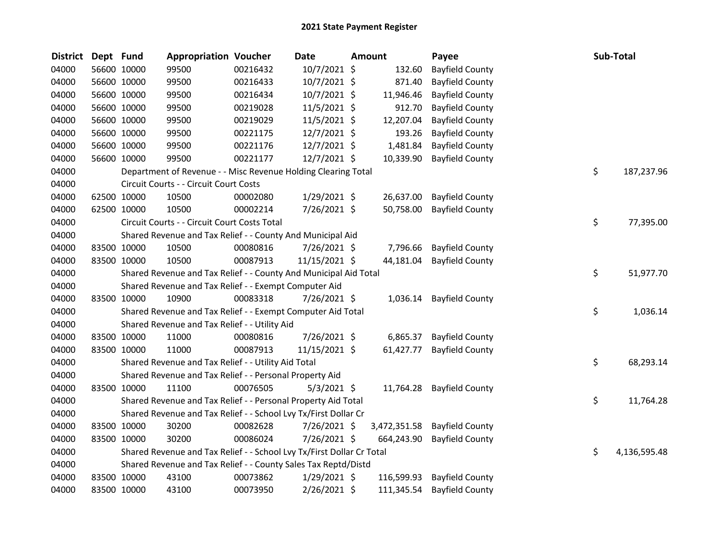| <b>District</b> | Dept Fund |             | <b>Appropriation Voucher</b>                                          |          | <b>Date</b>    | <b>Amount</b> | Payee                  | Sub-Total          |
|-----------------|-----------|-------------|-----------------------------------------------------------------------|----------|----------------|---------------|------------------------|--------------------|
| 04000           |           | 56600 10000 | 99500                                                                 | 00216432 | 10/7/2021 \$   | 132.60        | <b>Bayfield County</b> |                    |
| 04000           |           | 56600 10000 | 99500                                                                 | 00216433 | 10/7/2021 \$   | 871.40        | <b>Bayfield County</b> |                    |
| 04000           |           | 56600 10000 | 99500                                                                 | 00216434 | 10/7/2021 \$   | 11,946.46     | <b>Bayfield County</b> |                    |
| 04000           |           | 56600 10000 | 99500                                                                 | 00219028 | 11/5/2021 \$   | 912.70        | <b>Bayfield County</b> |                    |
| 04000           |           | 56600 10000 | 99500                                                                 | 00219029 | 11/5/2021 \$   | 12,207.04     | <b>Bayfield County</b> |                    |
| 04000           |           | 56600 10000 | 99500                                                                 | 00221175 | 12/7/2021 \$   | 193.26        | <b>Bayfield County</b> |                    |
| 04000           |           | 56600 10000 | 99500                                                                 | 00221176 | $12/7/2021$ \$ | 1,481.84      | <b>Bayfield County</b> |                    |
| 04000           |           | 56600 10000 | 99500                                                                 | 00221177 | 12/7/2021 \$   | 10,339.90     | <b>Bayfield County</b> |                    |
| 04000           |           |             | Department of Revenue - - Misc Revenue Holding Clearing Total         |          |                |               |                        | \$<br>187,237.96   |
| 04000           |           |             | Circuit Courts - - Circuit Court Costs                                |          |                |               |                        |                    |
| 04000           |           | 62500 10000 | 10500                                                                 | 00002080 | 1/29/2021 \$   | 26,637.00     | <b>Bayfield County</b> |                    |
| 04000           |           | 62500 10000 | 10500                                                                 | 00002214 | 7/26/2021 \$   | 50,758.00     | <b>Bayfield County</b> |                    |
| 04000           |           |             | Circuit Courts - - Circuit Court Costs Total                          |          |                |               |                        | \$<br>77,395.00    |
| 04000           |           |             | Shared Revenue and Tax Relief - - County And Municipal Aid            |          |                |               |                        |                    |
| 04000           |           | 83500 10000 | 10500                                                                 | 00080816 | 7/26/2021 \$   | 7,796.66      | <b>Bayfield County</b> |                    |
| 04000           |           | 83500 10000 | 10500                                                                 | 00087913 | 11/15/2021 \$  | 44,181.04     | <b>Bayfield County</b> |                    |
| 04000           |           |             | Shared Revenue and Tax Relief - - County And Municipal Aid Total      |          |                |               |                        | \$<br>51,977.70    |
| 04000           |           |             | Shared Revenue and Tax Relief - - Exempt Computer Aid                 |          |                |               |                        |                    |
| 04000           |           | 83500 10000 | 10900                                                                 | 00083318 | 7/26/2021 \$   | 1,036.14      | <b>Bayfield County</b> |                    |
| 04000           |           |             | Shared Revenue and Tax Relief - - Exempt Computer Aid Total           |          |                |               |                        | \$<br>1,036.14     |
| 04000           |           |             | Shared Revenue and Tax Relief - - Utility Aid                         |          |                |               |                        |                    |
| 04000           |           | 83500 10000 | 11000                                                                 | 00080816 | 7/26/2021 \$   | 6,865.37      | <b>Bayfield County</b> |                    |
| 04000           |           | 83500 10000 | 11000                                                                 | 00087913 | 11/15/2021 \$  | 61,427.77     | <b>Bayfield County</b> |                    |
| 04000           |           |             | Shared Revenue and Tax Relief - - Utility Aid Total                   |          |                |               |                        | \$<br>68,293.14    |
| 04000           |           |             | Shared Revenue and Tax Relief - - Personal Property Aid               |          |                |               |                        |                    |
| 04000           |           | 83500 10000 | 11100                                                                 | 00076505 | $5/3/2021$ \$  | 11,764.28     | <b>Bayfield County</b> |                    |
| 04000           |           |             | Shared Revenue and Tax Relief - - Personal Property Aid Total         |          |                |               |                        | \$<br>11,764.28    |
| 04000           |           |             | Shared Revenue and Tax Relief - - School Lvy Tx/First Dollar Cr       |          |                |               |                        |                    |
| 04000           |           | 83500 10000 | 30200                                                                 | 00082628 | 7/26/2021 \$   | 3,472,351.58  | <b>Bayfield County</b> |                    |
| 04000           |           | 83500 10000 | 30200                                                                 | 00086024 | 7/26/2021 \$   | 664,243.90    | <b>Bayfield County</b> |                    |
| 04000           |           |             | Shared Revenue and Tax Relief - - School Lvy Tx/First Dollar Cr Total |          |                |               |                        | \$<br>4,136,595.48 |
| 04000           |           |             | Shared Revenue and Tax Relief - - County Sales Tax Reptd/Distd        |          |                |               |                        |                    |
| 04000           |           | 83500 10000 | 43100                                                                 | 00073862 | $1/29/2021$ \$ | 116,599.93    | <b>Bayfield County</b> |                    |
| 04000           |           | 83500 10000 | 43100                                                                 | 00073950 | 2/26/2021 \$   | 111,345.54    | <b>Bayfield County</b> |                    |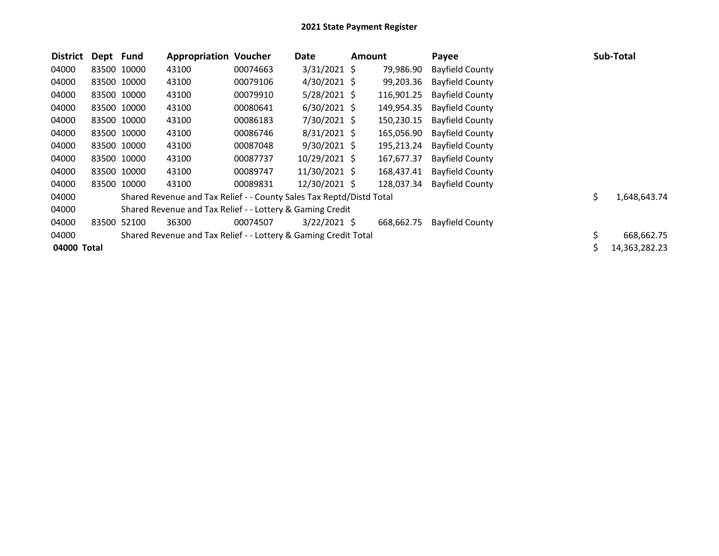| <b>District</b> | Dept Fund   |             | <b>Appropriation Voucher</b>                                         |          | Date           | Amount |            | Payee                  | <b>Sub-Total</b>   |
|-----------------|-------------|-------------|----------------------------------------------------------------------|----------|----------------|--------|------------|------------------------|--------------------|
| 04000           |             | 83500 10000 | 43100                                                                | 00074663 | $3/31/2021$ \$ |        | 79,986.90  | <b>Bayfield County</b> |                    |
| 04000           | 83500 10000 |             | 43100                                                                | 00079106 | $4/30/2021$ \$ |        | 99,203.36  | <b>Bayfield County</b> |                    |
| 04000           |             | 83500 10000 | 43100                                                                | 00079910 | $5/28/2021$ \$ |        | 116,901.25 | <b>Bayfield County</b> |                    |
| 04000           |             | 83500 10000 | 43100                                                                | 00080641 | $6/30/2021$ \$ |        | 149,954.35 | <b>Bayfield County</b> |                    |
| 04000           |             | 83500 10000 | 43100                                                                | 00086183 | 7/30/2021 \$   |        | 150,230.15 | <b>Bayfield County</b> |                    |
| 04000           |             | 83500 10000 | 43100                                                                | 00086746 | $8/31/2021$ \$ |        | 165,056.90 | <b>Bayfield County</b> |                    |
| 04000           |             | 83500 10000 | 43100                                                                | 00087048 | $9/30/2021$ \$ |        | 195,213.24 | <b>Bayfield County</b> |                    |
| 04000           | 83500 10000 |             | 43100                                                                | 00087737 | 10/29/2021 \$  |        | 167,677.37 | <b>Bayfield County</b> |                    |
| 04000           |             | 83500 10000 | 43100                                                                | 00089747 | 11/30/2021 \$  |        | 168,437.41 | <b>Bayfield County</b> |                    |
| 04000           |             | 83500 10000 | 43100                                                                | 00089831 | 12/30/2021 \$  |        | 128,037.34 | <b>Bayfield County</b> |                    |
| 04000           |             |             | Shared Revenue and Tax Relief - - County Sales Tax Reptd/Distd Total |          |                |        |            |                        | \$<br>1,648,643.74 |
| 04000           |             |             | Shared Revenue and Tax Relief - - Lottery & Gaming Credit            |          |                |        |            |                        |                    |
| 04000           | 83500       | 52100       | 36300                                                                | 00074507 | $3/22/2021$ \$ |        | 668,662.75 | Bayfield County        |                    |
| 04000           |             |             | Shared Revenue and Tax Relief - - Lottery & Gaming Credit Total      |          |                |        |            |                        | \$<br>668,662.75   |
| 04000 Total     |             |             |                                                                      |          |                |        |            |                        | 14,363,282.23      |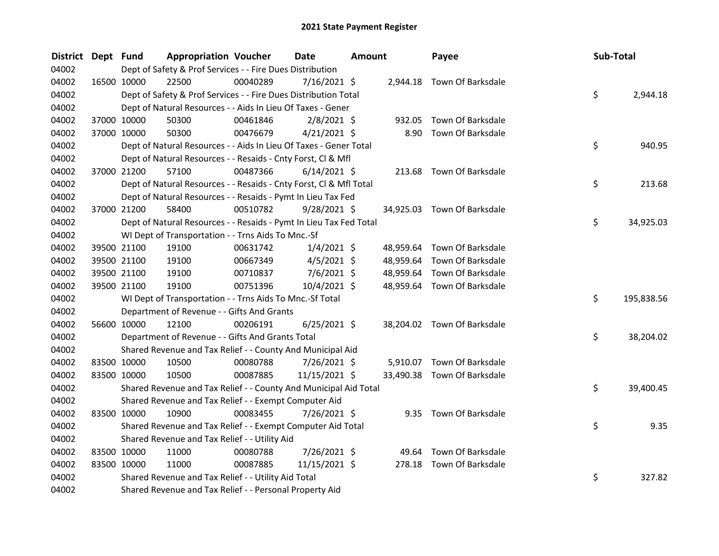| <b>District</b> | Dept Fund |             | <b>Appropriation Voucher</b>                                       |          | Date           | <b>Amount</b> |        | Payee                       | Sub-Total |            |
|-----------------|-----------|-------------|--------------------------------------------------------------------|----------|----------------|---------------|--------|-----------------------------|-----------|------------|
| 04002           |           |             | Dept of Safety & Prof Services - - Fire Dues Distribution          |          |                |               |        |                             |           |            |
| 04002           |           | 16500 10000 | 22500                                                              | 00040289 | 7/16/2021 \$   |               |        | 2,944.18 Town Of Barksdale  |           |            |
| 04002           |           |             | Dept of Safety & Prof Services - - Fire Dues Distribution Total    |          |                |               |        |                             | \$        | 2,944.18   |
| 04002           |           |             | Dept of Natural Resources - - Aids In Lieu Of Taxes - Gener        |          |                |               |        |                             |           |            |
| 04002           |           | 37000 10000 | 50300                                                              | 00461846 | $2/8/2021$ \$  |               | 932.05 | Town Of Barksdale           |           |            |
| 04002           |           | 37000 10000 | 50300                                                              | 00476679 | $4/21/2021$ \$ |               | 8.90   | Town Of Barksdale           |           |            |
| 04002           |           |             | Dept of Natural Resources - - Aids In Lieu Of Taxes - Gener Total  |          |                |               |        |                             | \$        | 940.95     |
| 04002           |           |             | Dept of Natural Resources - - Resaids - Cnty Forst, Cl & Mfl       |          |                |               |        |                             |           |            |
| 04002           |           | 37000 21200 | 57100                                                              | 00487366 | $6/14/2021$ \$ |               |        | 213.68 Town Of Barksdale    |           |            |
| 04002           |           |             | Dept of Natural Resources - - Resaids - Cnty Forst, Cl & Mfl Total |          |                |               |        |                             | \$        | 213.68     |
| 04002           |           |             | Dept of Natural Resources - - Resaids - Pymt In Lieu Tax Fed       |          |                |               |        |                             |           |            |
| 04002           |           | 37000 21200 | 58400                                                              | 00510782 | $9/28/2021$ \$ |               |        | 34,925.03 Town Of Barksdale |           |            |
| 04002           |           |             | Dept of Natural Resources - - Resaids - Pymt In Lieu Tax Fed Total |          |                |               |        |                             | \$        | 34,925.03  |
| 04002           |           |             | WI Dept of Transportation - - Trns Aids To Mnc.-Sf                 |          |                |               |        |                             |           |            |
| 04002           |           | 39500 21100 | 19100                                                              | 00631742 | $1/4/2021$ \$  |               |        | 48,959.64 Town Of Barksdale |           |            |
| 04002           |           | 39500 21100 | 19100                                                              | 00667349 | $4/5/2021$ \$  |               |        | 48,959.64 Town Of Barksdale |           |            |
| 04002           |           | 39500 21100 | 19100                                                              | 00710837 | $7/6/2021$ \$  |               |        | 48,959.64 Town Of Barksdale |           |            |
| 04002           |           | 39500 21100 | 19100                                                              | 00751396 | 10/4/2021 \$   |               |        | 48,959.64 Town Of Barksdale |           |            |
| 04002           |           |             | WI Dept of Transportation - - Trns Aids To Mnc.-Sf Total           |          |                |               |        |                             | \$        | 195,838.56 |
| 04002           |           |             | Department of Revenue - - Gifts And Grants                         |          |                |               |        |                             |           |            |
| 04002           |           | 56600 10000 | 12100                                                              | 00206191 | $6/25/2021$ \$ |               |        | 38,204.02 Town Of Barksdale |           |            |
| 04002           |           |             | Department of Revenue - - Gifts And Grants Total                   |          |                |               |        |                             | \$        | 38,204.02  |
| 04002           |           |             | Shared Revenue and Tax Relief - - County And Municipal Aid         |          |                |               |        |                             |           |            |
| 04002           |           | 83500 10000 | 10500                                                              | 00080788 | 7/26/2021 \$   |               |        | 5,910.07 Town Of Barksdale  |           |            |
| 04002           |           | 83500 10000 | 10500                                                              | 00087885 | 11/15/2021 \$  |               |        | 33,490.38 Town Of Barksdale |           |            |
| 04002           |           |             | Shared Revenue and Tax Relief - - County And Municipal Aid Total   |          |                |               |        |                             | \$        | 39,400.45  |
| 04002           |           |             | Shared Revenue and Tax Relief - - Exempt Computer Aid              |          |                |               |        |                             |           |            |
| 04002           |           | 83500 10000 | 10900                                                              | 00083455 | 7/26/2021 \$   |               |        | 9.35 Town Of Barksdale      |           |            |
| 04002           |           |             | Shared Revenue and Tax Relief - - Exempt Computer Aid Total        |          |                |               |        |                             | \$        | 9.35       |
| 04002           |           |             | Shared Revenue and Tax Relief - - Utility Aid                      |          |                |               |        |                             |           |            |
| 04002           |           | 83500 10000 | 11000                                                              | 00080788 | 7/26/2021 \$   |               |        | 49.64 Town Of Barksdale     |           |            |
| 04002           |           | 83500 10000 | 11000                                                              | 00087885 | 11/15/2021 \$  |               |        | 278.18 Town Of Barksdale    |           |            |
| 04002           |           |             | Shared Revenue and Tax Relief - - Utility Aid Total                |          |                |               |        |                             | \$        | 327.82     |
| 04002           |           |             | Shared Revenue and Tax Relief - - Personal Property Aid            |          |                |               |        |                             |           |            |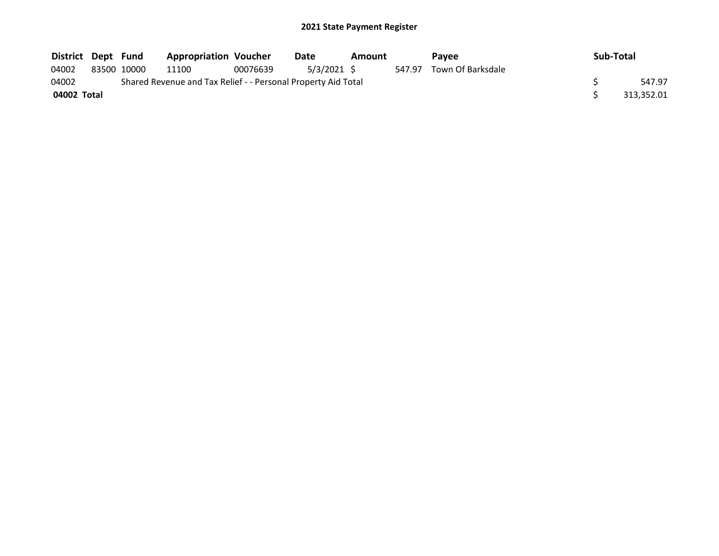| District Dept Fund |             | <b>Appropriation Voucher</b>                                  |          | Date       | Amount |        | Pavee             | Sub-Total  |
|--------------------|-------------|---------------------------------------------------------------|----------|------------|--------|--------|-------------------|------------|
| 04002              | 83500 10000 | 11100                                                         | 00076639 | 5/3/2021 S |        | 547.97 | Town Of Barksdale |            |
| 04002              |             | Shared Revenue and Tax Relief - - Personal Property Aid Total |          |            |        |        |                   | 547.97     |
| 04002 Total        |             |                                                               |          |            |        |        |                   | 313,352.01 |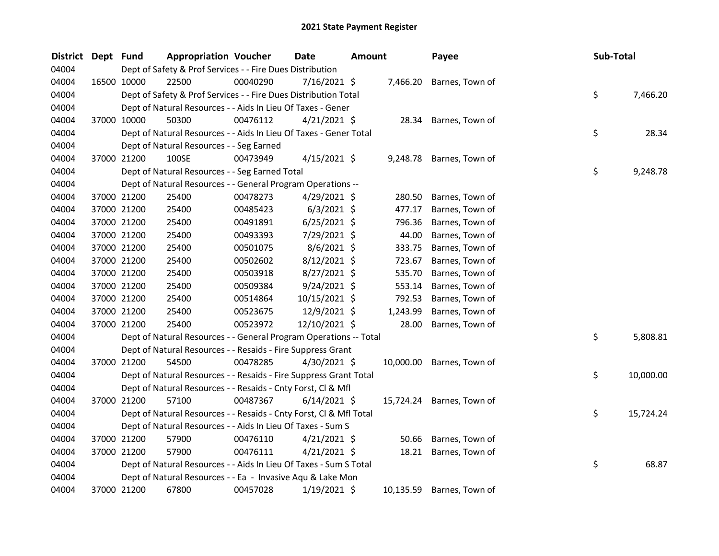| <b>District</b> | Dept Fund |             | <b>Appropriation Voucher</b>                                       |          | <b>Date</b>    | <b>Amount</b> |           | Payee                     | Sub-Total |           |
|-----------------|-----------|-------------|--------------------------------------------------------------------|----------|----------------|---------------|-----------|---------------------------|-----------|-----------|
| 04004           |           |             | Dept of Safety & Prof Services - - Fire Dues Distribution          |          |                |               |           |                           |           |           |
| 04004           |           | 16500 10000 | 22500                                                              | 00040290 | 7/16/2021 \$   |               | 7,466.20  | Barnes, Town of           |           |           |
| 04004           |           |             | Dept of Safety & Prof Services - - Fire Dues Distribution Total    |          |                |               |           |                           | \$        | 7,466.20  |
| 04004           |           |             | Dept of Natural Resources - - Aids In Lieu Of Taxes - Gener        |          |                |               |           |                           |           |           |
| 04004           |           | 37000 10000 | 50300                                                              | 00476112 | $4/21/2021$ \$ |               |           | 28.34 Barnes, Town of     |           |           |
| 04004           |           |             | Dept of Natural Resources - - Aids In Lieu Of Taxes - Gener Total  |          |                |               |           |                           | \$        | 28.34     |
| 04004           |           |             | Dept of Natural Resources - - Seg Earned                           |          |                |               |           |                           |           |           |
| 04004           |           | 37000 21200 | 100SE                                                              | 00473949 | $4/15/2021$ \$ |               | 9,248.78  | Barnes, Town of           |           |           |
| 04004           |           |             | Dept of Natural Resources - - Seg Earned Total                     |          |                |               |           |                           | \$        | 9,248.78  |
| 04004           |           |             | Dept of Natural Resources - - General Program Operations --        |          |                |               |           |                           |           |           |
| 04004           |           | 37000 21200 | 25400                                                              | 00478273 | $4/29/2021$ \$ |               | 280.50    | Barnes, Town of           |           |           |
| 04004           |           | 37000 21200 | 25400                                                              | 00485423 | $6/3/2021$ \$  |               | 477.17    | Barnes, Town of           |           |           |
| 04004           |           | 37000 21200 | 25400                                                              | 00491891 | $6/25/2021$ \$ |               | 796.36    | Barnes, Town of           |           |           |
| 04004           |           | 37000 21200 | 25400                                                              | 00493393 | 7/29/2021 \$   |               | 44.00     | Barnes, Town of           |           |           |
| 04004           |           | 37000 21200 | 25400                                                              | 00501075 | 8/6/2021 \$    |               | 333.75    | Barnes, Town of           |           |           |
| 04004           |           | 37000 21200 | 25400                                                              | 00502602 | 8/12/2021 \$   |               | 723.67    | Barnes, Town of           |           |           |
| 04004           |           | 37000 21200 | 25400                                                              | 00503918 | 8/27/2021 \$   |               | 535.70    | Barnes, Town of           |           |           |
| 04004           |           | 37000 21200 | 25400                                                              | 00509384 | $9/24/2021$ \$ |               | 553.14    | Barnes, Town of           |           |           |
| 04004           |           | 37000 21200 | 25400                                                              | 00514864 | 10/15/2021 \$  |               | 792.53    | Barnes, Town of           |           |           |
| 04004           |           | 37000 21200 | 25400                                                              | 00523675 | 12/9/2021 \$   |               | 1,243.99  | Barnes, Town of           |           |           |
| 04004           |           | 37000 21200 | 25400                                                              | 00523972 | 12/10/2021 \$  |               | 28.00     | Barnes, Town of           |           |           |
| 04004           |           |             | Dept of Natural Resources - - General Program Operations -- Total  |          |                |               |           |                           | \$        | 5,808.81  |
| 04004           |           |             | Dept of Natural Resources - - Resaids - Fire Suppress Grant        |          |                |               |           |                           |           |           |
| 04004           |           | 37000 21200 | 54500                                                              | 00478285 | 4/30/2021 \$   |               | 10,000.00 | Barnes, Town of           |           |           |
| 04004           |           |             | Dept of Natural Resources - - Resaids - Fire Suppress Grant Total  |          |                |               |           |                           | \$        | 10,000.00 |
| 04004           |           |             | Dept of Natural Resources - - Resaids - Cnty Forst, Cl & Mfl       |          |                |               |           |                           |           |           |
| 04004           |           | 37000 21200 | 57100                                                              | 00487367 | $6/14/2021$ \$ |               |           | 15,724.24 Barnes, Town of |           |           |
| 04004           |           |             | Dept of Natural Resources - - Resaids - Cnty Forst, Cl & Mfl Total |          |                |               |           |                           | \$        | 15,724.24 |
| 04004           |           |             | Dept of Natural Resources - - Aids In Lieu Of Taxes - Sum S        |          |                |               |           |                           |           |           |
| 04004           |           | 37000 21200 | 57900                                                              | 00476110 | $4/21/2021$ \$ |               | 50.66     | Barnes, Town of           |           |           |
| 04004           |           | 37000 21200 | 57900                                                              | 00476111 | $4/21/2021$ \$ |               | 18.21     | Barnes, Town of           |           |           |
| 04004           |           |             | Dept of Natural Resources - - Aids In Lieu Of Taxes - Sum S Total  |          |                |               |           |                           | \$        | 68.87     |
| 04004           |           |             | Dept of Natural Resources - - Ea - Invasive Aqu & Lake Mon         |          |                |               |           |                           |           |           |
| 04004           |           | 37000 21200 | 67800                                                              | 00457028 | 1/19/2021 \$   |               | 10,135.59 | Barnes, Town of           |           |           |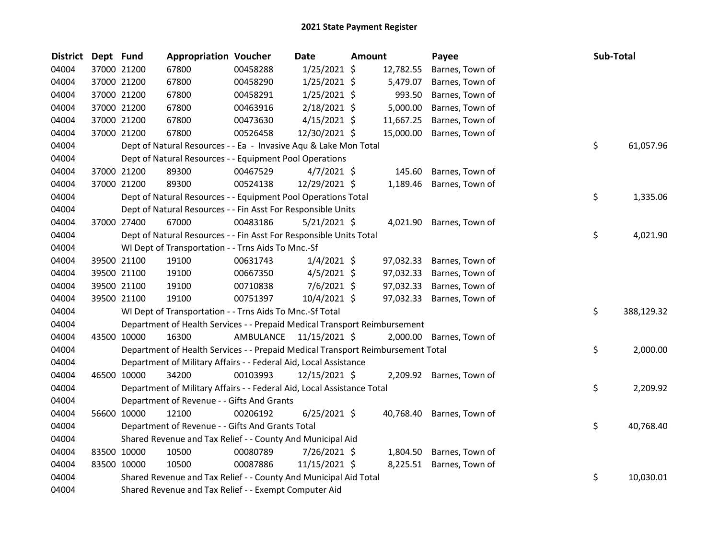| <b>District</b> | Dept Fund |             | <b>Appropriation Voucher</b>                                                    |           | Date           | Amount |           | Payee                    | Sub-Total |            |
|-----------------|-----------|-------------|---------------------------------------------------------------------------------|-----------|----------------|--------|-----------|--------------------------|-----------|------------|
| 04004           |           | 37000 21200 | 67800                                                                           | 00458288  | $1/25/2021$ \$ |        | 12,782.55 | Barnes, Town of          |           |            |
| 04004           |           | 37000 21200 | 67800                                                                           | 00458290  | $1/25/2021$ \$ |        | 5,479.07  | Barnes, Town of          |           |            |
| 04004           |           | 37000 21200 | 67800                                                                           | 00458291  | $1/25/2021$ \$ |        | 993.50    | Barnes, Town of          |           |            |
| 04004           |           | 37000 21200 | 67800                                                                           | 00463916  | $2/18/2021$ \$ |        | 5,000.00  | Barnes, Town of          |           |            |
| 04004           |           | 37000 21200 | 67800                                                                           | 00473630  | $4/15/2021$ \$ |        | 11,667.25 | Barnes, Town of          |           |            |
| 04004           |           | 37000 21200 | 67800                                                                           | 00526458  | 12/30/2021 \$  |        | 15,000.00 | Barnes, Town of          |           |            |
| 04004           |           |             | Dept of Natural Resources - - Ea - Invasive Aqu & Lake Mon Total                |           |                |        |           |                          | \$        | 61,057.96  |
| 04004           |           |             | Dept of Natural Resources - - Equipment Pool Operations                         |           |                |        |           |                          |           |            |
| 04004           |           | 37000 21200 | 89300                                                                           | 00467529  | $4/7/2021$ \$  |        | 145.60    | Barnes, Town of          |           |            |
| 04004           |           | 37000 21200 | 89300                                                                           | 00524138  | 12/29/2021 \$  |        | 1,189.46  | Barnes, Town of          |           |            |
| 04004           |           |             | Dept of Natural Resources - - Equipment Pool Operations Total                   |           |                |        |           |                          | \$        | 1,335.06   |
| 04004           |           |             | Dept of Natural Resources - - Fin Asst For Responsible Units                    |           |                |        |           |                          |           |            |
| 04004           |           | 37000 27400 | 67000                                                                           | 00483186  | $5/21/2021$ \$ |        | 4,021.90  | Barnes, Town of          |           |            |
| 04004           |           |             | Dept of Natural Resources - - Fin Asst For Responsible Units Total              |           |                |        |           |                          | \$        | 4,021.90   |
| 04004           |           |             | WI Dept of Transportation - - Trns Aids To Mnc.-Sf                              |           |                |        |           |                          |           |            |
| 04004           |           | 39500 21100 | 19100                                                                           | 00631743  | $1/4/2021$ \$  |        | 97,032.33 | Barnes, Town of          |           |            |
| 04004           |           | 39500 21100 | 19100                                                                           | 00667350  | $4/5/2021$ \$  |        | 97,032.33 | Barnes, Town of          |           |            |
| 04004           |           | 39500 21100 | 19100                                                                           | 00710838  | 7/6/2021 \$    |        | 97,032.33 | Barnes, Town of          |           |            |
| 04004           |           | 39500 21100 | 19100                                                                           | 00751397  | 10/4/2021 \$   |        | 97,032.33 | Barnes, Town of          |           |            |
| 04004           |           |             | WI Dept of Transportation - - Trns Aids To Mnc.-Sf Total                        |           |                |        |           |                          | \$        | 388,129.32 |
| 04004           |           |             | Department of Health Services - - Prepaid Medical Transport Reimbursement       |           |                |        |           |                          |           |            |
| 04004           |           | 43500 10000 | 16300                                                                           | AMBULANCE | 11/15/2021 \$  |        |           | 2,000.00 Barnes, Town of |           |            |
| 04004           |           |             | Department of Health Services - - Prepaid Medical Transport Reimbursement Total |           |                |        |           |                          | \$        | 2,000.00   |
| 04004           |           |             | Department of Military Affairs - - Federal Aid, Local Assistance                |           |                |        |           |                          |           |            |
| 04004           |           | 46500 10000 | 34200                                                                           | 00103993  | 12/15/2021 \$  |        |           | 2,209.92 Barnes, Town of |           |            |
| 04004           |           |             | Department of Military Affairs - - Federal Aid, Local Assistance Total          |           |                |        |           |                          | \$        | 2,209.92   |
| 04004           |           |             | Department of Revenue - - Gifts And Grants                                      |           |                |        |           |                          |           |            |
| 04004           |           | 56600 10000 | 12100                                                                           | 00206192  | $6/25/2021$ \$ |        | 40,768.40 | Barnes, Town of          |           |            |
| 04004           |           |             | Department of Revenue - - Gifts And Grants Total                                |           |                |        |           |                          | \$        | 40,768.40  |
| 04004           |           |             | Shared Revenue and Tax Relief - - County And Municipal Aid                      |           |                |        |           |                          |           |            |
| 04004           |           | 83500 10000 | 10500                                                                           | 00080789  | 7/26/2021 \$   |        | 1,804.50  | Barnes, Town of          |           |            |
| 04004           |           | 83500 10000 | 10500                                                                           | 00087886  | 11/15/2021 \$  |        | 8,225.51  | Barnes, Town of          |           |            |
| 04004           |           |             | Shared Revenue and Tax Relief - - County And Municipal Aid Total                |           |                |        |           |                          | \$        | 10,030.01  |
| 04004           |           |             | Shared Revenue and Tax Relief - - Exempt Computer Aid                           |           |                |        |           |                          |           |            |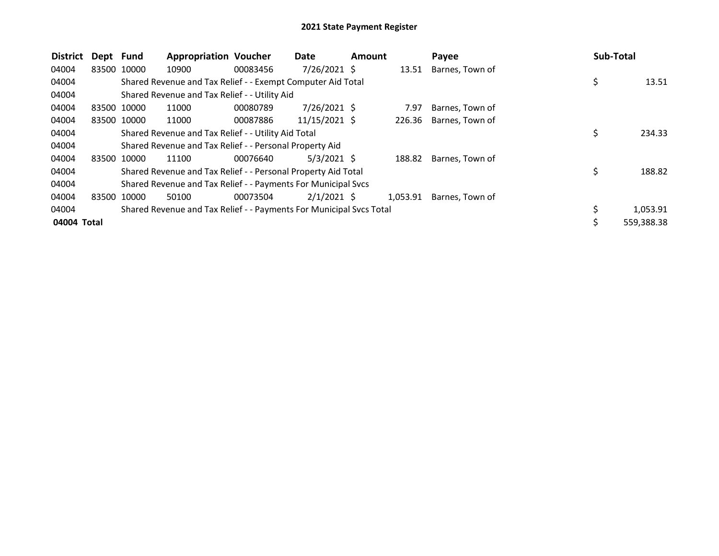| <b>District</b> | Dept Fund |             | <b>Appropriation Voucher</b>                                        |          | Date           | Amount |          | Payee           | <b>Sub-Total</b> |            |
|-----------------|-----------|-------------|---------------------------------------------------------------------|----------|----------------|--------|----------|-----------------|------------------|------------|
| 04004           |           | 83500 10000 | 10900                                                               | 00083456 | $7/26/2021$ \$ |        | 13.51    | Barnes, Town of |                  |            |
| 04004           |           |             | Shared Revenue and Tax Relief - - Exempt Computer Aid Total         |          |                |        |          |                 | \$               | 13.51      |
| 04004           |           |             | Shared Revenue and Tax Relief - - Utility Aid                       |          |                |        |          |                 |                  |            |
| 04004           |           | 83500 10000 | 11000                                                               | 00080789 | $7/26/2021$ \$ |        | 7.97     | Barnes, Town of |                  |            |
| 04004           |           | 83500 10000 | 11000                                                               | 00087886 | 11/15/2021 \$  |        | 226.36   | Barnes, Town of |                  |            |
| 04004           |           |             | Shared Revenue and Tax Relief - - Utility Aid Total                 |          |                |        |          |                 | \$               | 234.33     |
| 04004           |           |             | Shared Revenue and Tax Relief - - Personal Property Aid             |          |                |        |          |                 |                  |            |
| 04004           |           | 83500 10000 | 11100                                                               | 00076640 | $5/3/2021$ \$  |        | 188.82   | Barnes, Town of |                  |            |
| 04004           |           |             | Shared Revenue and Tax Relief - - Personal Property Aid Total       |          |                |        |          |                 | Ś                | 188.82     |
| 04004           |           |             | Shared Revenue and Tax Relief - - Payments For Municipal Svcs       |          |                |        |          |                 |                  |            |
| 04004           |           | 83500 10000 | 50100                                                               | 00073504 | $2/1/2021$ \$  |        | 1,053.91 | Barnes, Town of |                  |            |
| 04004           |           |             | Shared Revenue and Tax Relief - - Payments For Municipal Svcs Total |          |                |        |          |                 | \$               | 1,053.91   |
| 04004 Total     |           |             |                                                                     |          |                |        |          |                 | Ś                | 559,388.38 |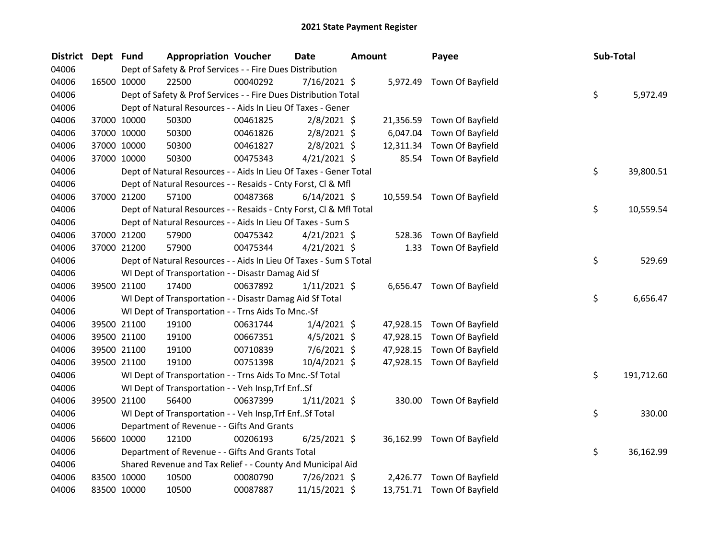| <b>District</b> | Dept Fund |             | <b>Appropriation Voucher</b>                                       |          | Date           | <b>Amount</b> |           | Payee                      | Sub-Total |            |
|-----------------|-----------|-------------|--------------------------------------------------------------------|----------|----------------|---------------|-----------|----------------------------|-----------|------------|
| 04006           |           |             | Dept of Safety & Prof Services - - Fire Dues Distribution          |          |                |               |           |                            |           |            |
| 04006           |           | 16500 10000 | 22500                                                              | 00040292 | 7/16/2021 \$   |               |           | 5,972.49 Town Of Bayfield  |           |            |
| 04006           |           |             | Dept of Safety & Prof Services - - Fire Dues Distribution Total    |          |                |               |           |                            | \$        | 5,972.49   |
| 04006           |           |             | Dept of Natural Resources - - Aids In Lieu Of Taxes - Gener        |          |                |               |           |                            |           |            |
| 04006           |           | 37000 10000 | 50300                                                              | 00461825 | $2/8/2021$ \$  |               |           | 21,356.59 Town Of Bayfield |           |            |
| 04006           |           | 37000 10000 | 50300                                                              | 00461826 | $2/8/2021$ \$  |               | 6,047.04  | Town Of Bayfield           |           |            |
| 04006           |           | 37000 10000 | 50300                                                              | 00461827 | $2/8/2021$ \$  |               | 12,311.34 | Town Of Bayfield           |           |            |
| 04006           |           | 37000 10000 | 50300                                                              | 00475343 | $4/21/2021$ \$ |               | 85.54     | Town Of Bayfield           |           |            |
| 04006           |           |             | Dept of Natural Resources - - Aids In Lieu Of Taxes - Gener Total  |          |                |               |           |                            | \$        | 39,800.51  |
| 04006           |           |             | Dept of Natural Resources - - Resaids - Cnty Forst, Cl & Mfl       |          |                |               |           |                            |           |            |
| 04006           |           | 37000 21200 | 57100                                                              | 00487368 | $6/14/2021$ \$ |               |           | 10,559.54 Town Of Bayfield |           |            |
| 04006           |           |             | Dept of Natural Resources - - Resaids - Cnty Forst, Cl & Mfl Total |          |                |               |           |                            | \$        | 10,559.54  |
| 04006           |           |             | Dept of Natural Resources - - Aids In Lieu Of Taxes - Sum S        |          |                |               |           |                            |           |            |
| 04006           |           | 37000 21200 | 57900                                                              | 00475342 | $4/21/2021$ \$ |               | 528.36    | Town Of Bayfield           |           |            |
| 04006           |           | 37000 21200 | 57900                                                              | 00475344 | $4/21/2021$ \$ |               | 1.33      | Town Of Bayfield           |           |            |
| 04006           |           |             | Dept of Natural Resources - - Aids In Lieu Of Taxes - Sum S Total  |          |                |               |           |                            | \$        | 529.69     |
| 04006           |           |             | WI Dept of Transportation - - Disastr Damag Aid Sf                 |          |                |               |           |                            |           |            |
| 04006           |           | 39500 21100 | 17400                                                              | 00637892 | $1/11/2021$ \$ |               |           | 6,656.47 Town Of Bayfield  |           |            |
| 04006           |           |             | WI Dept of Transportation - - Disastr Damag Aid Sf Total           |          |                |               |           |                            | \$        | 6,656.47   |
| 04006           |           |             | WI Dept of Transportation - - Trns Aids To Mnc.-Sf                 |          |                |               |           |                            |           |            |
| 04006           |           | 39500 21100 | 19100                                                              | 00631744 | $1/4/2021$ \$  |               | 47,928.15 | Town Of Bayfield           |           |            |
| 04006           |           | 39500 21100 | 19100                                                              | 00667351 | $4/5/2021$ \$  |               | 47,928.15 | Town Of Bayfield           |           |            |
| 04006           |           | 39500 21100 | 19100                                                              | 00710839 | 7/6/2021 \$    |               | 47,928.15 | Town Of Bayfield           |           |            |
| 04006           |           | 39500 21100 | 19100                                                              | 00751398 | 10/4/2021 \$   |               |           | 47,928.15 Town Of Bayfield |           |            |
| 04006           |           |             | WI Dept of Transportation - - Trns Aids To Mnc.-Sf Total           |          |                |               |           |                            | \$        | 191,712.60 |
| 04006           |           |             | WI Dept of Transportation - - Veh Insp, Trf EnfSf                  |          |                |               |           |                            |           |            |
| 04006           |           | 39500 21100 | 56400                                                              | 00637399 | $1/11/2021$ \$ |               |           | 330.00 Town Of Bayfield    |           |            |
| 04006           |           |             | WI Dept of Transportation - - Veh Insp, Trf Enf Sf Total           |          |                |               |           |                            | \$        | 330.00     |
| 04006           |           |             | Department of Revenue - - Gifts And Grants                         |          |                |               |           |                            |           |            |
| 04006           |           | 56600 10000 | 12100                                                              | 00206193 | $6/25/2021$ \$ |               |           | 36,162.99 Town Of Bayfield |           |            |
| 04006           |           |             | Department of Revenue - - Gifts And Grants Total                   |          |                |               |           |                            | \$        | 36,162.99  |
| 04006           |           |             | Shared Revenue and Tax Relief - - County And Municipal Aid         |          |                |               |           |                            |           |            |
| 04006           |           | 83500 10000 | 10500                                                              | 00080790 | 7/26/2021 \$   |               | 2,426.77  | Town Of Bayfield           |           |            |
| 04006           |           | 83500 10000 | 10500                                                              | 00087887 | 11/15/2021 \$  |               |           | 13,751.71 Town Of Bayfield |           |            |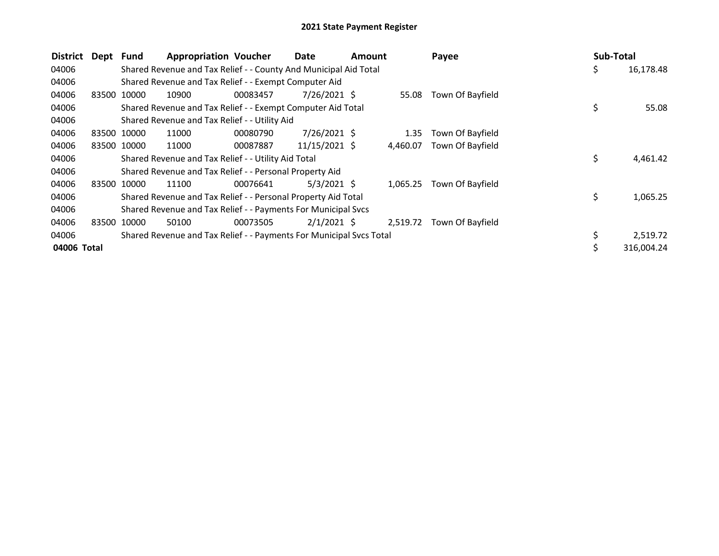| <b>District</b> | Dept Fund |             | <b>Appropriation Voucher</b>                                        |          | Date           | <b>Amount</b> |          | Payee            | Sub-Total |            |
|-----------------|-----------|-------------|---------------------------------------------------------------------|----------|----------------|---------------|----------|------------------|-----------|------------|
| 04006           |           |             | Shared Revenue and Tax Relief - - County And Municipal Aid Total    |          |                |               |          |                  | \$        | 16,178.48  |
| 04006           |           |             | Shared Revenue and Tax Relief - - Exempt Computer Aid               |          |                |               |          |                  |           |            |
| 04006           | 83500     | 10000       | 10900                                                               | 00083457 | $7/26/2021$ \$ |               | 55.08    | Town Of Bayfield |           |            |
| 04006           |           |             | Shared Revenue and Tax Relief - - Exempt Computer Aid Total         |          |                |               |          |                  | \$        | 55.08      |
| 04006           |           |             | Shared Revenue and Tax Relief - - Utility Aid                       |          |                |               |          |                  |           |            |
| 04006           |           | 83500 10000 | 11000                                                               | 00080790 | $7/26/2021$ \$ |               | 1.35     | Town Of Bayfield |           |            |
| 04006           |           | 83500 10000 | 11000                                                               | 00087887 | 11/15/2021 \$  |               | 4,460.07 | Town Of Bayfield |           |            |
| 04006           |           |             | Shared Revenue and Tax Relief - - Utility Aid Total                 |          |                |               |          |                  | \$        | 4,461.42   |
| 04006           |           |             | Shared Revenue and Tax Relief - - Personal Property Aid             |          |                |               |          |                  |           |            |
| 04006           |           | 83500 10000 | 11100                                                               | 00076641 | $5/3/2021$ \$  |               | 1,065.25 | Town Of Bayfield |           |            |
| 04006           |           |             | Shared Revenue and Tax Relief - - Personal Property Aid Total       |          |                |               |          |                  | \$        | 1,065.25   |
| 04006           |           |             | Shared Revenue and Tax Relief - - Payments For Municipal Svcs       |          |                |               |          |                  |           |            |
| 04006           |           | 83500 10000 | 50100                                                               | 00073505 | $2/1/2021$ \$  |               | 2,519.72 | Town Of Bayfield |           |            |
| 04006           |           |             | Shared Revenue and Tax Relief - - Payments For Municipal Svcs Total |          |                |               |          |                  |           | 2,519.72   |
| 04006 Total     |           |             |                                                                     |          |                |               |          |                  | Ś         | 316,004.24 |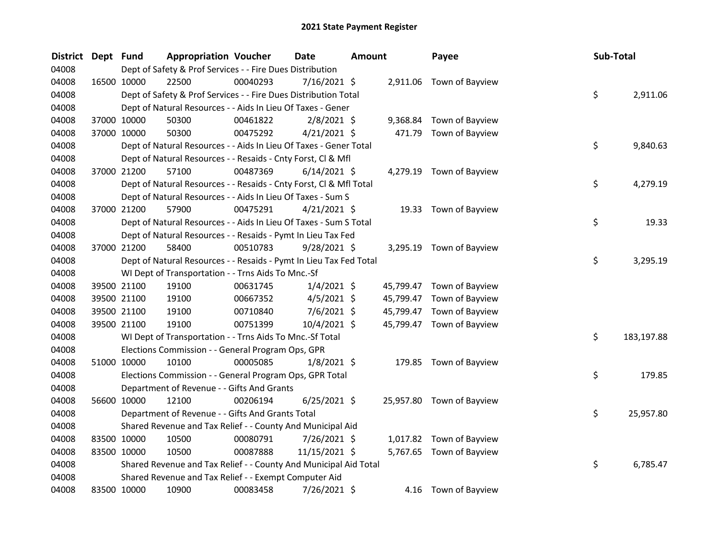| <b>District</b> | Dept Fund |             | <b>Appropriation Voucher</b>                                       |          | <b>Date</b>    | <b>Amount</b> |           | Payee                     | Sub-Total |            |
|-----------------|-----------|-------------|--------------------------------------------------------------------|----------|----------------|---------------|-----------|---------------------------|-----------|------------|
| 04008           |           |             | Dept of Safety & Prof Services - - Fire Dues Distribution          |          |                |               |           |                           |           |            |
| 04008           |           | 16500 10000 | 22500                                                              | 00040293 | $7/16/2021$ \$ |               |           | 2,911.06 Town of Bayview  |           |            |
| 04008           |           |             | Dept of Safety & Prof Services - - Fire Dues Distribution Total    |          |                |               |           |                           | \$        | 2,911.06   |
| 04008           |           |             | Dept of Natural Resources - - Aids In Lieu Of Taxes - Gener        |          |                |               |           |                           |           |            |
| 04008           |           | 37000 10000 | 50300                                                              | 00461822 | $2/8/2021$ \$  |               | 9,368.84  | Town of Bayview           |           |            |
| 04008           |           | 37000 10000 | 50300                                                              | 00475292 | $4/21/2021$ \$ |               | 471.79    | Town of Bayview           |           |            |
| 04008           |           |             | Dept of Natural Resources - - Aids In Lieu Of Taxes - Gener Total  |          |                |               |           |                           | \$        | 9,840.63   |
| 04008           |           |             | Dept of Natural Resources - - Resaids - Cnty Forst, Cl & Mfl       |          |                |               |           |                           |           |            |
| 04008           |           | 37000 21200 | 57100                                                              | 00487369 | $6/14/2021$ \$ |               |           | 4,279.19 Town of Bayview  |           |            |
| 04008           |           |             | Dept of Natural Resources - - Resaids - Cnty Forst, Cl & Mfl Total |          |                |               |           |                           | \$        | 4,279.19   |
| 04008           |           |             | Dept of Natural Resources - - Aids In Lieu Of Taxes - Sum S        |          |                |               |           |                           |           |            |
| 04008           |           | 37000 21200 | 57900                                                              | 00475291 | $4/21/2021$ \$ |               |           | 19.33 Town of Bayview     |           |            |
| 04008           |           |             | Dept of Natural Resources - - Aids In Lieu Of Taxes - Sum S Total  |          |                |               |           |                           | \$        | 19.33      |
| 04008           |           |             | Dept of Natural Resources - - Resaids - Pymt In Lieu Tax Fed       |          |                |               |           |                           |           |            |
| 04008           |           | 37000 21200 | 58400                                                              | 00510783 | $9/28/2021$ \$ |               |           | 3,295.19 Town of Bayview  |           |            |
| 04008           |           |             | Dept of Natural Resources - - Resaids - Pymt In Lieu Tax Fed Total |          |                |               |           |                           | \$        | 3,295.19   |
| 04008           |           |             | WI Dept of Transportation - - Trns Aids To Mnc.-Sf                 |          |                |               |           |                           |           |            |
| 04008           |           | 39500 21100 | 19100                                                              | 00631745 | $1/4/2021$ \$  |               |           | 45,799.47 Town of Bayview |           |            |
| 04008           |           | 39500 21100 | 19100                                                              | 00667352 | $4/5/2021$ \$  |               |           | 45,799.47 Town of Bayview |           |            |
| 04008           |           | 39500 21100 | 19100                                                              | 00710840 | $7/6/2021$ \$  |               | 45,799.47 | Town of Bayview           |           |            |
| 04008           |           | 39500 21100 | 19100                                                              | 00751399 | 10/4/2021 \$   |               |           | 45,799.47 Town of Bayview |           |            |
| 04008           |           |             | WI Dept of Transportation - - Trns Aids To Mnc.-Sf Total           |          |                |               |           |                           | \$        | 183,197.88 |
| 04008           |           |             | Elections Commission - - General Program Ops, GPR                  |          |                |               |           |                           |           |            |
| 04008           |           | 51000 10000 | 10100                                                              | 00005085 | $1/8/2021$ \$  |               |           | 179.85 Town of Bayview    |           |            |
| 04008           |           |             | Elections Commission - - General Program Ops, GPR Total            |          |                |               |           |                           | \$        | 179.85     |
| 04008           |           |             | Department of Revenue - - Gifts And Grants                         |          |                |               |           |                           |           |            |
| 04008           |           | 56600 10000 | 12100                                                              | 00206194 | $6/25/2021$ \$ |               |           | 25,957.80 Town of Bayview |           |            |
| 04008           |           |             | Department of Revenue - - Gifts And Grants Total                   |          |                |               |           |                           | \$        | 25,957.80  |
| 04008           |           |             | Shared Revenue and Tax Relief - - County And Municipal Aid         |          |                |               |           |                           |           |            |
| 04008           |           | 83500 10000 | 10500                                                              | 00080791 | 7/26/2021 \$   |               |           | 1,017.82 Town of Bayview  |           |            |
| 04008           |           | 83500 10000 | 10500                                                              | 00087888 | 11/15/2021 \$  |               |           | 5,767.65 Town of Bayview  |           |            |
| 04008           |           |             | Shared Revenue and Tax Relief - - County And Municipal Aid Total   |          |                |               |           |                           | \$        | 6,785.47   |
| 04008           |           |             | Shared Revenue and Tax Relief - - Exempt Computer Aid              |          |                |               |           |                           |           |            |
| 04008           |           | 83500 10000 | 10900                                                              | 00083458 | 7/26/2021 \$   |               | 4.16      | Town of Bayview           |           |            |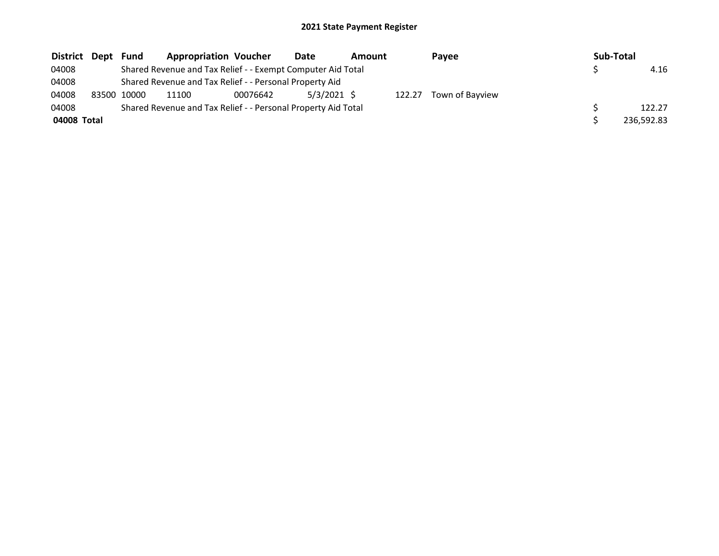| District Dept | Fund        | <b>Appropriation Voucher</b>                                  |          | Date          | Amount |        | Payee           | Sub-Total  |
|---------------|-------------|---------------------------------------------------------------|----------|---------------|--------|--------|-----------------|------------|
| 04008         |             | Shared Revenue and Tax Relief - - Exempt Computer Aid Total   |          |               |        |        |                 | 4.16       |
| 04008         |             | Shared Revenue and Tax Relief - - Personal Property Aid       |          |               |        |        |                 |            |
| 04008         | 83500 10000 | 11100                                                         | 00076642 | $5/3/2021$ \$ |        | 122.27 | Town of Bayview |            |
| 04008         |             | Shared Revenue and Tax Relief - - Personal Property Aid Total |          |               |        |        |                 | 122.27     |
| 04008 Total   |             |                                                               |          |               |        |        |                 | 236.592.83 |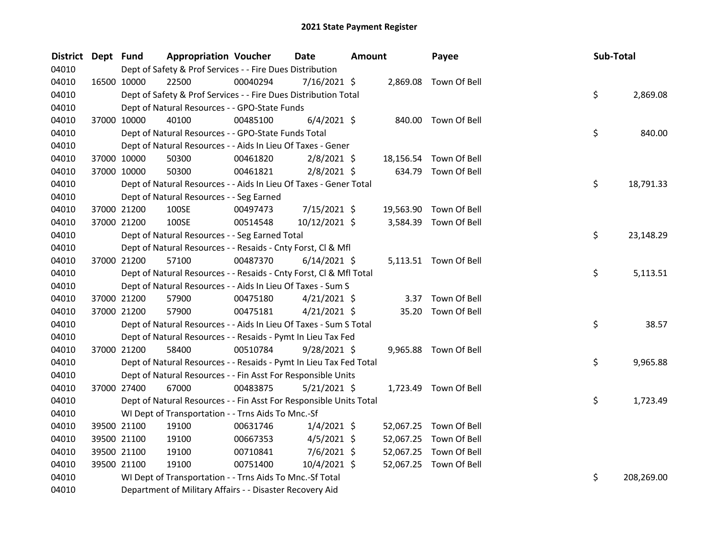| <b>District</b> | Dept Fund |             | <b>Appropriation Voucher</b>                                       |          | <b>Date</b><br><b>Amount</b> |  | Payee     |                        | Sub-Total |    |            |
|-----------------|-----------|-------------|--------------------------------------------------------------------|----------|------------------------------|--|-----------|------------------------|-----------|----|------------|
| 04010           |           |             | Dept of Safety & Prof Services - - Fire Dues Distribution          |          |                              |  |           |                        |           |    |            |
| 04010           |           | 16500 10000 | 22500                                                              | 00040294 | 7/16/2021 \$                 |  |           | 2,869.08 Town Of Bell  |           |    |            |
| 04010           |           |             | Dept of Safety & Prof Services - - Fire Dues Distribution Total    |          |                              |  |           |                        |           | \$ | 2,869.08   |
| 04010           |           |             | Dept of Natural Resources - - GPO-State Funds                      |          |                              |  |           |                        |           |    |            |
| 04010           |           | 37000 10000 | 40100                                                              | 00485100 | $6/4/2021$ \$                |  |           | 840.00 Town Of Bell    |           |    |            |
| 04010           |           |             | Dept of Natural Resources - - GPO-State Funds Total                |          |                              |  |           |                        |           | \$ | 840.00     |
| 04010           |           |             | Dept of Natural Resources - - Aids In Lieu Of Taxes - Gener        |          |                              |  |           |                        |           |    |            |
| 04010           |           | 37000 10000 | 50300                                                              | 00461820 | $2/8/2021$ \$                |  | 18,156.54 | Town Of Bell           |           |    |            |
| 04010           |           | 37000 10000 | 50300                                                              | 00461821 | $2/8/2021$ \$                |  |           | 634.79 Town Of Bell    |           |    |            |
| 04010           |           |             | Dept of Natural Resources - - Aids In Lieu Of Taxes - Gener Total  |          |                              |  |           |                        |           | \$ | 18,791.33  |
| 04010           |           |             | Dept of Natural Resources - - Seg Earned                           |          |                              |  |           |                        |           |    |            |
| 04010           |           | 37000 21200 | 100SE                                                              | 00497473 | 7/15/2021 \$                 |  | 19,563.90 | Town Of Bell           |           |    |            |
| 04010           |           | 37000 21200 | 100SE                                                              | 00514548 | 10/12/2021 \$                |  |           | 3,584.39 Town Of Bell  |           |    |            |
| 04010           |           |             | Dept of Natural Resources - - Seg Earned Total                     |          |                              |  |           |                        |           | \$ | 23,148.29  |
| 04010           |           |             | Dept of Natural Resources - - Resaids - Cnty Forst, Cl & Mfl       |          |                              |  |           |                        |           |    |            |
| 04010           |           | 37000 21200 | 57100                                                              | 00487370 | $6/14/2021$ \$               |  |           | 5,113.51 Town Of Bell  |           |    |            |
| 04010           |           |             | Dept of Natural Resources - - Resaids - Cnty Forst, Cl & Mfl Total |          |                              |  |           |                        |           | \$ | 5,113.51   |
| 04010           |           |             | Dept of Natural Resources - - Aids In Lieu Of Taxes - Sum S        |          |                              |  |           |                        |           |    |            |
| 04010           |           | 37000 21200 | 57900                                                              | 00475180 | $4/21/2021$ \$               |  |           | 3.37 Town Of Bell      |           |    |            |
| 04010           |           | 37000 21200 | 57900                                                              | 00475181 | $4/21/2021$ \$               |  | 35.20     | Town Of Bell           |           |    |            |
| 04010           |           |             | Dept of Natural Resources - - Aids In Lieu Of Taxes - Sum S Total  |          |                              |  |           |                        |           | \$ | 38.57      |
| 04010           |           |             | Dept of Natural Resources - - Resaids - Pymt In Lieu Tax Fed       |          |                              |  |           |                        |           |    |            |
| 04010           |           | 37000 21200 | 58400                                                              | 00510784 | $9/28/2021$ \$               |  |           | 9,965.88 Town Of Bell  |           |    |            |
| 04010           |           |             | Dept of Natural Resources - - Resaids - Pymt In Lieu Tax Fed Total |          |                              |  |           |                        |           | \$ | 9,965.88   |
| 04010           |           |             | Dept of Natural Resources - - Fin Asst For Responsible Units       |          |                              |  |           |                        |           |    |            |
| 04010           |           | 37000 27400 | 67000                                                              | 00483875 | $5/21/2021$ \$               |  |           | 1,723.49 Town Of Bell  |           |    |            |
| 04010           |           |             | Dept of Natural Resources - - Fin Asst For Responsible Units Total |          |                              |  |           |                        |           | \$ | 1,723.49   |
| 04010           |           |             | WI Dept of Transportation - - Trns Aids To Mnc.-Sf                 |          |                              |  |           |                        |           |    |            |
| 04010           |           | 39500 21100 | 19100                                                              | 00631746 | $1/4/2021$ \$                |  |           | 52,067.25 Town Of Bell |           |    |            |
| 04010           |           | 39500 21100 | 19100                                                              | 00667353 | $4/5/2021$ \$                |  | 52,067.25 | Town Of Bell           |           |    |            |
| 04010           |           | 39500 21100 | 19100                                                              | 00710841 | $7/6/2021$ \$                |  | 52,067.25 | Town Of Bell           |           |    |            |
| 04010           |           | 39500 21100 | 19100                                                              | 00751400 | 10/4/2021 \$                 |  |           | 52,067.25 Town Of Bell |           |    |            |
| 04010           |           |             | WI Dept of Transportation - - Trns Aids To Mnc.-Sf Total           |          |                              |  |           |                        |           | \$ | 208,269.00 |
| 04010           |           |             | Department of Military Affairs - - Disaster Recovery Aid           |          |                              |  |           |                        |           |    |            |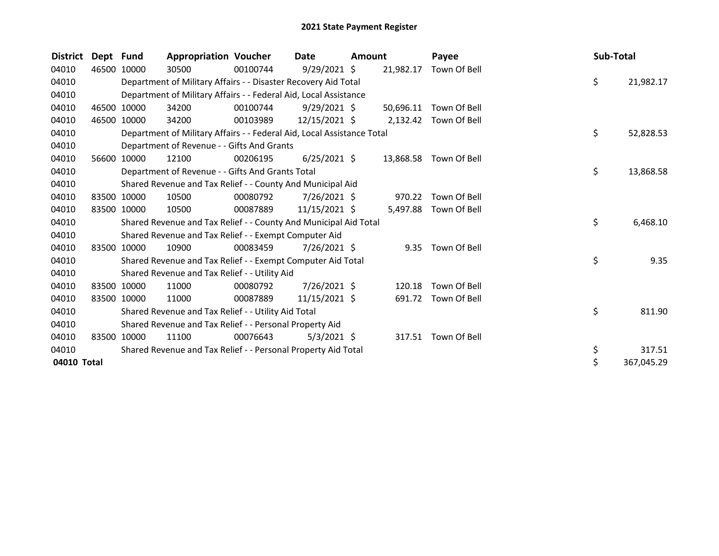| <b>District</b> | Dept Fund |             | <b>Appropriation Voucher</b>                                           |          | Date           | <b>Amount</b> |           | Payee                  | Sub-Total |            |
|-----------------|-----------|-------------|------------------------------------------------------------------------|----------|----------------|---------------|-----------|------------------------|-----------|------------|
| 04010           | 46500     | 10000       | 30500                                                                  | 00100744 | $9/29/2021$ \$ |               | 21,982.17 | Town Of Bell           |           |            |
| 04010           |           |             | Department of Military Affairs - - Disaster Recovery Aid Total         |          |                |               |           |                        | \$        | 21,982.17  |
| 04010           |           |             | Department of Military Affairs - - Federal Aid, Local Assistance       |          |                |               |           |                        |           |            |
| 04010           |           | 46500 10000 | 34200                                                                  | 00100744 | $9/29/2021$ \$ |               | 50,696.11 | Town Of Bell           |           |            |
| 04010           | 46500     | 10000       | 34200                                                                  | 00103989 | 12/15/2021 \$  |               | 2,132.42  | Town Of Bell           |           |            |
| 04010           |           |             | Department of Military Affairs - - Federal Aid, Local Assistance Total |          |                |               |           |                        | \$        | 52,828.53  |
| 04010           |           |             | Department of Revenue - - Gifts And Grants                             |          |                |               |           |                        |           |            |
| 04010           | 56600     | 10000       | 12100                                                                  | 00206195 | $6/25/2021$ \$ |               |           | 13,868.58 Town Of Bell |           |            |
| 04010           |           |             | Department of Revenue - - Gifts And Grants Total                       |          |                |               |           |                        | \$        | 13,868.58  |
| 04010           |           |             | Shared Revenue and Tax Relief - - County And Municipal Aid             |          |                |               |           |                        |           |            |
| 04010           |           | 83500 10000 | 10500                                                                  | 00080792 | $7/26/2021$ \$ |               | 970.22    | Town Of Bell           |           |            |
| 04010           |           | 83500 10000 | 10500                                                                  | 00087889 | 11/15/2021 \$  |               | 5,497.88  | Town Of Bell           |           |            |
| 04010           |           |             | Shared Revenue and Tax Relief - - County And Municipal Aid Total       |          |                |               |           |                        | \$        | 6,468.10   |
| 04010           |           |             | Shared Revenue and Tax Relief - - Exempt Computer Aid                  |          |                |               |           |                        |           |            |
| 04010           |           | 83500 10000 | 10900                                                                  | 00083459 | $7/26/2021$ \$ |               | 9.35      | Town Of Bell           |           |            |
| 04010           |           |             | Shared Revenue and Tax Relief - - Exempt Computer Aid Total            |          |                |               |           |                        | \$        | 9.35       |
| 04010           |           |             | Shared Revenue and Tax Relief - - Utility Aid                          |          |                |               |           |                        |           |            |
| 04010           |           | 83500 10000 | 11000                                                                  | 00080792 | 7/26/2021 \$   |               | 120.18    | Town Of Bell           |           |            |
| 04010           |           | 83500 10000 | 11000                                                                  | 00087889 | 11/15/2021 \$  |               | 691.72    | Town Of Bell           |           |            |
| 04010           |           |             | Shared Revenue and Tax Relief - - Utility Aid Total                    |          |                |               |           |                        | \$        | 811.90     |
| 04010           |           |             | Shared Revenue and Tax Relief - - Personal Property Aid                |          |                |               |           |                        |           |            |
| 04010           |           | 83500 10000 | 11100                                                                  | 00076643 | $5/3/2021$ \$  |               |           | 317.51 Town Of Bell    |           |            |
| 04010           |           |             | Shared Revenue and Tax Relief - - Personal Property Aid Total          |          |                |               |           |                        | \$        | 317.51     |
| 04010 Total     |           |             |                                                                        |          |                |               |           |                        | \$        | 367,045.29 |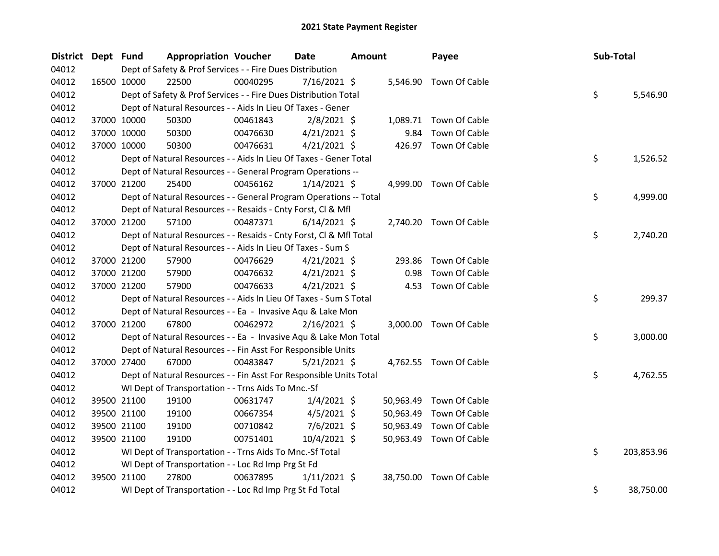| <b>District</b> | Dept Fund   |             | <b>Appropriation Voucher</b>                                       |          | Date<br>Amount |  | Payee     | Sub-Total               |    |            |
|-----------------|-------------|-------------|--------------------------------------------------------------------|----------|----------------|--|-----------|-------------------------|----|------------|
| 04012           |             |             | Dept of Safety & Prof Services - - Fire Dues Distribution          |          |                |  |           |                         |    |            |
| 04012           | 16500 10000 |             | 22500                                                              | 00040295 | 7/16/2021 \$   |  |           | 5,546.90 Town Of Cable  |    |            |
| 04012           |             |             | Dept of Safety & Prof Services - - Fire Dues Distribution Total    |          |                |  |           |                         | \$ | 5,546.90   |
| 04012           |             |             | Dept of Natural Resources - - Aids In Lieu Of Taxes - Gener        |          |                |  |           |                         |    |            |
| 04012           |             | 37000 10000 | 50300                                                              | 00461843 | $2/8/2021$ \$  |  |           | 1,089.71 Town Of Cable  |    |            |
| 04012           |             | 37000 10000 | 50300                                                              | 00476630 | $4/21/2021$ \$ |  | 9.84      | Town Of Cable           |    |            |
| 04012           |             | 37000 10000 | 50300                                                              | 00476631 | $4/21/2021$ \$ |  |           | 426.97 Town Of Cable    |    |            |
| 04012           |             |             | Dept of Natural Resources - - Aids In Lieu Of Taxes - Gener Total  |          |                |  |           |                         | \$ | 1,526.52   |
| 04012           |             |             | Dept of Natural Resources - - General Program Operations --        |          |                |  |           |                         |    |            |
| 04012           |             | 37000 21200 | 25400                                                              | 00456162 | $1/14/2021$ \$ |  |           | 4,999.00 Town Of Cable  |    |            |
| 04012           |             |             | Dept of Natural Resources - - General Program Operations -- Total  |          |                |  |           |                         | \$ | 4,999.00   |
| 04012           |             |             | Dept of Natural Resources - - Resaids - Cnty Forst, Cl & Mfl       |          |                |  |           |                         |    |            |
| 04012           |             | 37000 21200 | 57100                                                              | 00487371 | $6/14/2021$ \$ |  |           | 2,740.20 Town Of Cable  |    |            |
| 04012           |             |             | Dept of Natural Resources - - Resaids - Cnty Forst, Cl & Mfl Total |          |                |  |           |                         | \$ | 2,740.20   |
| 04012           |             |             | Dept of Natural Resources - - Aids In Lieu Of Taxes - Sum S        |          |                |  |           |                         |    |            |
| 04012           |             | 37000 21200 | 57900                                                              | 00476629 | $4/21/2021$ \$ |  | 293.86    | Town Of Cable           |    |            |
| 04012           | 37000 21200 |             | 57900                                                              | 00476632 | $4/21/2021$ \$ |  | 0.98      | Town Of Cable           |    |            |
| 04012           | 37000 21200 |             | 57900                                                              | 00476633 | $4/21/2021$ \$ |  | 4.53      | Town Of Cable           |    |            |
| 04012           |             |             | Dept of Natural Resources - - Aids In Lieu Of Taxes - Sum S Total  |          |                |  |           |                         | \$ | 299.37     |
| 04012           |             |             | Dept of Natural Resources - - Ea - Invasive Aqu & Lake Mon         |          |                |  |           |                         |    |            |
| 04012           |             | 37000 21200 | 67800                                                              | 00462972 | $2/16/2021$ \$ |  |           | 3,000.00 Town Of Cable  |    |            |
| 04012           |             |             | Dept of Natural Resources - - Ea - Invasive Aqu & Lake Mon Total   |          |                |  |           |                         | \$ | 3,000.00   |
| 04012           |             |             | Dept of Natural Resources - - Fin Asst For Responsible Units       |          |                |  |           |                         |    |            |
| 04012           |             | 37000 27400 | 67000                                                              | 00483847 | $5/21/2021$ \$ |  |           | 4,762.55 Town Of Cable  |    |            |
| 04012           |             |             | Dept of Natural Resources - - Fin Asst For Responsible Units Total |          |                |  |           |                         | \$ | 4,762.55   |
| 04012           |             |             | WI Dept of Transportation - - Trns Aids To Mnc.-Sf                 |          |                |  |           |                         |    |            |
| 04012           |             | 39500 21100 | 19100                                                              | 00631747 | $1/4/2021$ \$  |  | 50,963.49 | Town Of Cable           |    |            |
| 04012           | 39500 21100 |             | 19100                                                              | 00667354 | $4/5/2021$ \$  |  | 50,963.49 | Town Of Cable           |    |            |
| 04012           | 39500 21100 |             | 19100                                                              | 00710842 | $7/6/2021$ \$  |  | 50,963.49 | Town Of Cable           |    |            |
| 04012           |             | 39500 21100 | 19100                                                              | 00751401 | 10/4/2021 \$   |  |           | 50,963.49 Town Of Cable |    |            |
| 04012           |             |             | WI Dept of Transportation - - Trns Aids To Mnc.-Sf Total           |          |                |  |           |                         | \$ | 203,853.96 |
| 04012           |             |             | WI Dept of Transportation - - Loc Rd Imp Prg St Fd                 |          |                |  |           |                         |    |            |
| 04012           |             | 39500 21100 | 27800                                                              | 00637895 | $1/11/2021$ \$ |  |           | 38,750.00 Town Of Cable |    |            |
| 04012           |             |             | WI Dept of Transportation - - Loc Rd Imp Prg St Fd Total           |          |                |  |           |                         | \$ | 38,750.00  |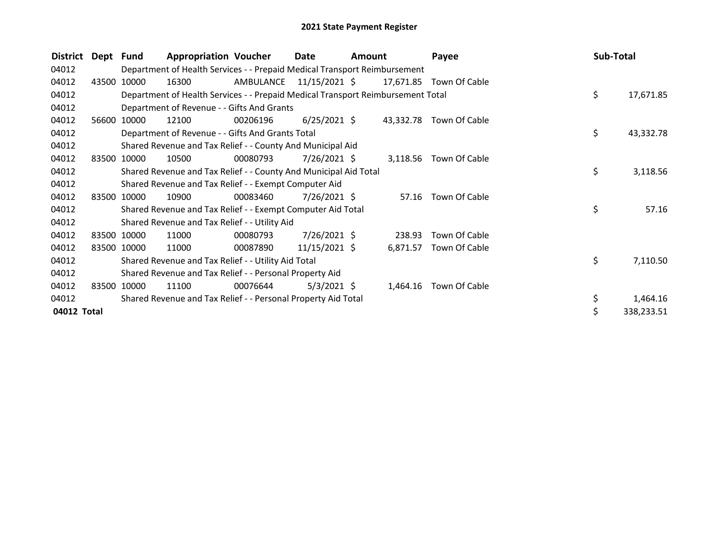| <b>District</b> | Dept Fund |                                                         | <b>Appropriation Voucher</b>                                                    |                         | Date<br><b>Amount</b> |  |          | Payee                   |  | Sub-Total |            |
|-----------------|-----------|---------------------------------------------------------|---------------------------------------------------------------------------------|-------------------------|-----------------------|--|----------|-------------------------|--|-----------|------------|
| 04012           |           |                                                         | Department of Health Services - - Prepaid Medical Transport Reimbursement       |                         |                       |  |          |                         |  |           |            |
| 04012           | 43500     | 10000                                                   | 16300                                                                           | AMBULANCE 11/15/2021 \$ |                       |  |          | 17,671.85 Town Of Cable |  |           |            |
| 04012           |           |                                                         | Department of Health Services - - Prepaid Medical Transport Reimbursement Total |                         |                       |  |          |                         |  | \$        | 17,671.85  |
| 04012           |           |                                                         | Department of Revenue - - Gifts And Grants                                      |                         |                       |  |          |                         |  |           |            |
| 04012           | 56600     | 10000                                                   | 12100                                                                           | 00206196                | $6/25/2021$ \$        |  |          | 43,332.78 Town Of Cable |  |           |            |
| 04012           |           |                                                         | Department of Revenue - - Gifts And Grants Total                                |                         |                       |  |          |                         |  | \$        | 43,332.78  |
| 04012           |           |                                                         | Shared Revenue and Tax Relief - - County And Municipal Aid                      |                         |                       |  |          |                         |  |           |            |
| 04012           | 83500     | 10000                                                   | 10500                                                                           | 00080793                | 7/26/2021 \$          |  | 3,118.56 | Town Of Cable           |  |           |            |
| 04012           |           |                                                         | Shared Revenue and Tax Relief - - County And Municipal Aid Total                |                         |                       |  |          |                         |  | \$        | 3,118.56   |
| 04012           |           |                                                         | Shared Revenue and Tax Relief - - Exempt Computer Aid                           |                         |                       |  |          |                         |  |           |            |
| 04012           | 83500     | 10000                                                   | 10900                                                                           | 00083460                | $7/26/2021$ \$        |  | 57.16    | Town Of Cable           |  |           |            |
| 04012           |           |                                                         | Shared Revenue and Tax Relief - - Exempt Computer Aid Total                     |                         |                       |  |          |                         |  | \$        | 57.16      |
| 04012           |           |                                                         | Shared Revenue and Tax Relief - - Utility Aid                                   |                         |                       |  |          |                         |  |           |            |
| 04012           |           | 83500 10000                                             | 11000                                                                           | 00080793                | 7/26/2021 \$          |  | 238.93   | Town Of Cable           |  |           |            |
| 04012           | 83500     | 10000                                                   | 11000                                                                           | 00087890                | $11/15/2021$ \$       |  | 6,871.57 | Town Of Cable           |  |           |            |
| 04012           |           |                                                         | Shared Revenue and Tax Relief - - Utility Aid Total                             |                         |                       |  |          |                         |  | \$        | 7,110.50   |
| 04012           |           | Shared Revenue and Tax Relief - - Personal Property Aid |                                                                                 |                         |                       |  |          |                         |  |           |            |
| 04012           |           | 83500 10000                                             | 11100                                                                           | 00076644                | $5/3/2021$ \$         |  | 1,464.16 | Town Of Cable           |  |           |            |
| 04012           |           |                                                         | Shared Revenue and Tax Relief - - Personal Property Aid Total                   |                         |                       |  |          |                         |  | \$        | 1,464.16   |
| 04012 Total     |           |                                                         |                                                                                 |                         |                       |  |          |                         |  | \$        | 338,233.51 |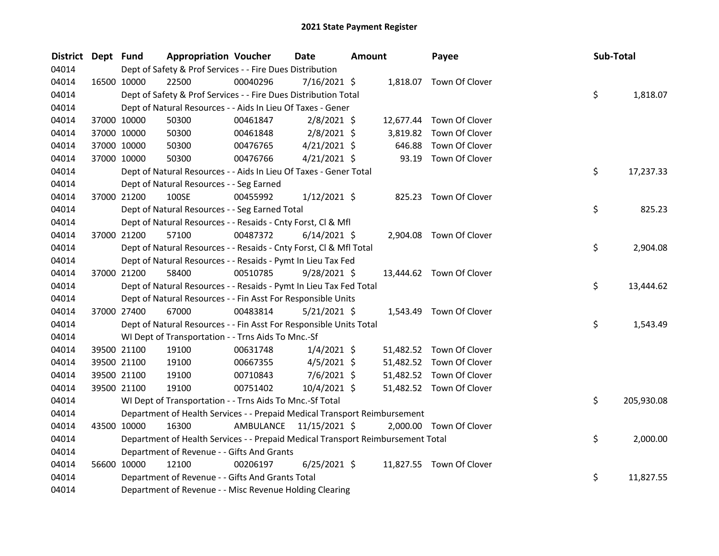| <b>District</b> | Dept Fund |             | <b>Appropriation Voucher</b>                                                    |                         | Date<br><b>Amount</b> |  | Payee    | Sub-Total                |    |            |
|-----------------|-----------|-------------|---------------------------------------------------------------------------------|-------------------------|-----------------------|--|----------|--------------------------|----|------------|
| 04014           |           |             | Dept of Safety & Prof Services - - Fire Dues Distribution                       |                         |                       |  |          |                          |    |            |
| 04014           |           | 16500 10000 | 22500                                                                           | 00040296                | 7/16/2021 \$          |  |          | 1,818.07 Town Of Clover  |    |            |
| 04014           |           |             | Dept of Safety & Prof Services - - Fire Dues Distribution Total                 |                         |                       |  |          |                          | \$ | 1,818.07   |
| 04014           |           |             | Dept of Natural Resources - - Aids In Lieu Of Taxes - Gener                     |                         |                       |  |          |                          |    |            |
| 04014           |           | 37000 10000 | 50300                                                                           | 00461847                | $2/8/2021$ \$         |  |          | 12,677.44 Town Of Clover |    |            |
| 04014           |           | 37000 10000 | 50300                                                                           | 00461848                | $2/8/2021$ \$         |  | 3,819.82 | Town Of Clover           |    |            |
| 04014           |           | 37000 10000 | 50300                                                                           | 00476765                | $4/21/2021$ \$        |  | 646.88   | Town Of Clover           |    |            |
| 04014           |           | 37000 10000 | 50300                                                                           | 00476766                | $4/21/2021$ \$        |  |          | 93.19 Town Of Clover     |    |            |
| 04014           |           |             | Dept of Natural Resources - - Aids In Lieu Of Taxes - Gener Total               |                         |                       |  |          |                          | \$ | 17,237.33  |
| 04014           |           |             | Dept of Natural Resources - - Seg Earned                                        |                         |                       |  |          |                          |    |            |
| 04014           |           | 37000 21200 | 100SE                                                                           | 00455992                | $1/12/2021$ \$        |  |          | 825.23 Town Of Clover    |    |            |
| 04014           |           |             | Dept of Natural Resources - - Seg Earned Total                                  |                         |                       |  |          |                          | \$ | 825.23     |
| 04014           |           |             | Dept of Natural Resources - - Resaids - Cnty Forst, Cl & Mfl                    |                         |                       |  |          |                          |    |            |
| 04014           |           | 37000 21200 | 57100                                                                           | 00487372                | $6/14/2021$ \$        |  |          | 2,904.08 Town Of Clover  |    |            |
| 04014           |           |             | Dept of Natural Resources - - Resaids - Cnty Forst, Cl & Mfl Total              |                         |                       |  |          |                          | \$ | 2,904.08   |
| 04014           |           |             | Dept of Natural Resources - - Resaids - Pymt In Lieu Tax Fed                    |                         |                       |  |          |                          |    |            |
| 04014           |           | 37000 21200 | 58400                                                                           | 00510785                | $9/28/2021$ \$        |  |          | 13,444.62 Town Of Clover |    |            |
| 04014           |           |             | Dept of Natural Resources - - Resaids - Pymt In Lieu Tax Fed Total              |                         |                       |  |          |                          | \$ | 13,444.62  |
| 04014           |           |             | Dept of Natural Resources - - Fin Asst For Responsible Units                    |                         |                       |  |          |                          |    |            |
| 04014           |           | 37000 27400 | 67000                                                                           | 00483814                | $5/21/2021$ \$        |  |          | 1,543.49 Town Of Clover  |    |            |
| 04014           |           |             | Dept of Natural Resources - - Fin Asst For Responsible Units Total              |                         |                       |  |          |                          | \$ | 1,543.49   |
| 04014           |           |             | WI Dept of Transportation - - Trns Aids To Mnc.-Sf                              |                         |                       |  |          |                          |    |            |
| 04014           |           | 39500 21100 | 19100                                                                           | 00631748                | $1/4/2021$ \$         |  |          | 51,482.52 Town Of Clover |    |            |
| 04014           |           | 39500 21100 | 19100                                                                           | 00667355                | $4/5/2021$ \$         |  |          | 51,482.52 Town Of Clover |    |            |
| 04014           |           | 39500 21100 | 19100                                                                           | 00710843                | $7/6/2021$ \$         |  |          | 51,482.52 Town Of Clover |    |            |
| 04014           |           | 39500 21100 | 19100                                                                           | 00751402                | 10/4/2021 \$          |  |          | 51,482.52 Town Of Clover |    |            |
| 04014           |           |             | WI Dept of Transportation - - Trns Aids To Mnc.-Sf Total                        |                         |                       |  |          |                          | \$ | 205,930.08 |
| 04014           |           |             | Department of Health Services - - Prepaid Medical Transport Reimbursement       |                         |                       |  |          |                          |    |            |
| 04014           |           | 43500 10000 | 16300                                                                           | AMBULANCE 11/15/2021 \$ |                       |  |          | 2,000.00 Town Of Clover  |    |            |
| 04014           |           |             | Department of Health Services - - Prepaid Medical Transport Reimbursement Total |                         |                       |  |          |                          | \$ | 2,000.00   |
| 04014           |           |             | Department of Revenue - - Gifts And Grants                                      |                         |                       |  |          |                          |    |            |
| 04014           |           | 56600 10000 | 12100                                                                           | 00206197                | $6/25/2021$ \$        |  |          | 11,827.55 Town Of Clover |    |            |
| 04014           |           |             | Department of Revenue - - Gifts And Grants Total                                |                         |                       |  |          |                          | \$ | 11,827.55  |
| 04014           |           |             | Department of Revenue - - Misc Revenue Holding Clearing                         |                         |                       |  |          |                          |    |            |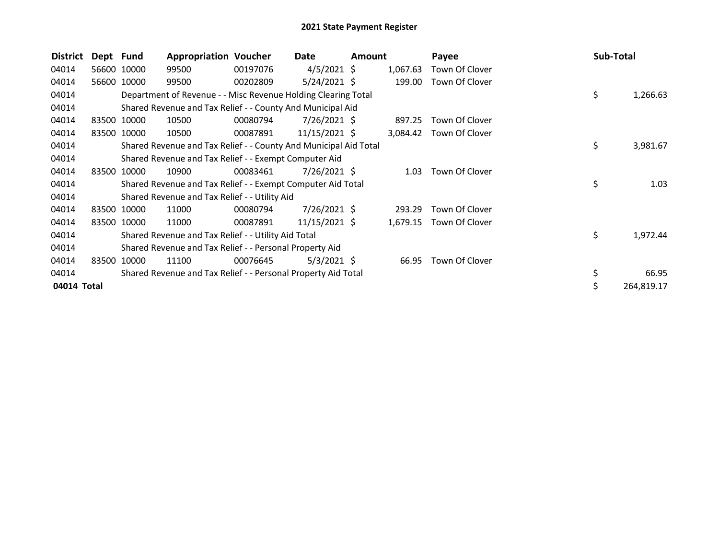| <b>District</b> | Dept Fund |             | <b>Appropriation Voucher</b>                                     |          | Date            | Amount |          | Payee          |    | Sub-Total  |
|-----------------|-----------|-------------|------------------------------------------------------------------|----------|-----------------|--------|----------|----------------|----|------------|
| 04014           |           | 56600 10000 | 99500                                                            | 00197076 | $4/5/2021$ \$   |        | 1,067.63 | Town Of Clover |    |            |
| 04014           |           | 56600 10000 | 99500                                                            | 00202809 | $5/24/2021$ \$  |        | 199.00   | Town Of Clover |    |            |
| 04014           |           |             | Department of Revenue - - Misc Revenue Holding Clearing Total    |          |                 |        |          |                | \$ | 1,266.63   |
| 04014           |           |             | Shared Revenue and Tax Relief - - County And Municipal Aid       |          |                 |        |          |                |    |            |
| 04014           |           | 83500 10000 | 10500                                                            | 00080794 | 7/26/2021 \$    |        | 897.25   | Town Of Clover |    |            |
| 04014           |           | 83500 10000 | 10500                                                            | 00087891 | $11/15/2021$ \$ |        | 3,084.42 | Town Of Clover |    |            |
| 04014           |           |             | Shared Revenue and Tax Relief - - County And Municipal Aid Total |          |                 |        |          |                | \$ | 3,981.67   |
| 04014           |           |             | Shared Revenue and Tax Relief - - Exempt Computer Aid            |          |                 |        |          |                |    |            |
| 04014           |           | 83500 10000 | 10900                                                            | 00083461 | 7/26/2021 \$    |        | 1.03     | Town Of Clover |    |            |
| 04014           |           |             | Shared Revenue and Tax Relief - - Exempt Computer Aid Total      |          |                 |        |          |                | \$ | 1.03       |
| 04014           |           |             | Shared Revenue and Tax Relief - - Utility Aid                    |          |                 |        |          |                |    |            |
| 04014           |           | 83500 10000 | 11000                                                            | 00080794 | $7/26/2021$ \$  |        | 293.29   | Town Of Clover |    |            |
| 04014           |           | 83500 10000 | 11000                                                            | 00087891 | $11/15/2021$ \$ |        | 1,679.15 | Town Of Clover |    |            |
| 04014           |           |             | Shared Revenue and Tax Relief - - Utility Aid Total              |          |                 |        |          |                | \$ | 1,972.44   |
| 04014           |           |             | Shared Revenue and Tax Relief - - Personal Property Aid          |          |                 |        |          |                |    |            |
| 04014           |           | 83500 10000 | 11100                                                            | 00076645 | $5/3/2021$ \$   |        | 66.95    | Town Of Clover |    |            |
| 04014           |           |             | Shared Revenue and Tax Relief - - Personal Property Aid Total    |          |                 |        |          |                | \$ | 66.95      |
| 04014 Total     |           |             |                                                                  |          |                 |        |          |                | \$ | 264,819.17 |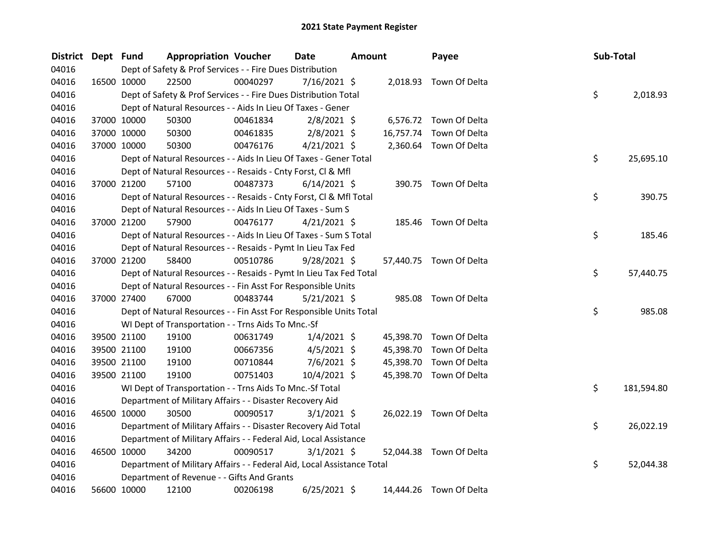| District Dept Fund |             | <b>Appropriation Voucher</b>                                           |          | Date<br>Amount |  | Payee     | Sub-Total               |    |            |
|--------------------|-------------|------------------------------------------------------------------------|----------|----------------|--|-----------|-------------------------|----|------------|
| 04016              |             | Dept of Safety & Prof Services - - Fire Dues Distribution              |          |                |  |           |                         |    |            |
| 04016              | 16500 10000 | 22500                                                                  | 00040297 | 7/16/2021 \$   |  |           | 2,018.93 Town Of Delta  |    |            |
| 04016              |             | Dept of Safety & Prof Services - - Fire Dues Distribution Total        |          |                |  |           |                         | \$ | 2,018.93   |
| 04016              |             | Dept of Natural Resources - - Aids In Lieu Of Taxes - Gener            |          |                |  |           |                         |    |            |
| 04016              | 37000 10000 | 50300                                                                  | 00461834 | $2/8/2021$ \$  |  |           | 6,576.72 Town Of Delta  |    |            |
| 04016              | 37000 10000 | 50300                                                                  | 00461835 | $2/8/2021$ \$  |  | 16,757.74 | Town Of Delta           |    |            |
| 04016              | 37000 10000 | 50300                                                                  | 00476176 | $4/21/2021$ \$ |  |           | 2,360.64 Town Of Delta  |    |            |
| 04016              |             | Dept of Natural Resources - - Aids In Lieu Of Taxes - Gener Total      |          |                |  |           |                         | \$ | 25,695.10  |
| 04016              |             | Dept of Natural Resources - - Resaids - Cnty Forst, Cl & Mfl           |          |                |  |           |                         |    |            |
| 04016              | 37000 21200 | 57100                                                                  | 00487373 | $6/14/2021$ \$ |  |           | 390.75 Town Of Delta    |    |            |
| 04016              |             | Dept of Natural Resources - - Resaids - Cnty Forst, CI & Mfl Total     |          |                |  |           |                         | \$ | 390.75     |
| 04016              |             | Dept of Natural Resources - - Aids In Lieu Of Taxes - Sum S            |          |                |  |           |                         |    |            |
| 04016              | 37000 21200 | 57900                                                                  | 00476177 | $4/21/2021$ \$ |  |           | 185.46 Town Of Delta    |    |            |
| 04016              |             | Dept of Natural Resources - - Aids In Lieu Of Taxes - Sum S Total      |          |                |  |           |                         | \$ | 185.46     |
| 04016              |             | Dept of Natural Resources - - Resaids - Pymt In Lieu Tax Fed           |          |                |  |           |                         |    |            |
| 04016              | 37000 21200 | 58400                                                                  | 00510786 | $9/28/2021$ \$ |  |           | 57,440.75 Town Of Delta |    |            |
| 04016              |             | Dept of Natural Resources - - Resaids - Pymt In Lieu Tax Fed Total     |          |                |  |           |                         | \$ | 57,440.75  |
| 04016              |             | Dept of Natural Resources - - Fin Asst For Responsible Units           |          |                |  |           |                         |    |            |
| 04016              | 37000 27400 | 67000                                                                  | 00483744 | $5/21/2021$ \$ |  |           | 985.08 Town Of Delta    |    |            |
| 04016              |             | Dept of Natural Resources - - Fin Asst For Responsible Units Total     |          |                |  |           |                         | \$ | 985.08     |
| 04016              |             | WI Dept of Transportation - - Trns Aids To Mnc.-Sf                     |          |                |  |           |                         |    |            |
| 04016              | 39500 21100 | 19100                                                                  | 00631749 | $1/4/2021$ \$  |  | 45,398.70 | Town Of Delta           |    |            |
| 04016              | 39500 21100 | 19100                                                                  | 00667356 | $4/5/2021$ \$  |  | 45,398.70 | Town Of Delta           |    |            |
| 04016              | 39500 21100 | 19100                                                                  | 00710844 | $7/6/2021$ \$  |  | 45,398.70 | Town Of Delta           |    |            |
| 04016              | 39500 21100 | 19100                                                                  | 00751403 | 10/4/2021 \$   |  |           | 45,398.70 Town Of Delta |    |            |
| 04016              |             | WI Dept of Transportation - - Trns Aids To Mnc.-Sf Total               |          |                |  |           |                         | \$ | 181,594.80 |
| 04016              |             | Department of Military Affairs - - Disaster Recovery Aid               |          |                |  |           |                         |    |            |
| 04016              | 46500 10000 | 30500                                                                  | 00090517 | $3/1/2021$ \$  |  |           | 26,022.19 Town Of Delta |    |            |
| 04016              |             | Department of Military Affairs - - Disaster Recovery Aid Total         |          |                |  |           |                         | \$ | 26,022.19  |
| 04016              |             | Department of Military Affairs - - Federal Aid, Local Assistance       |          |                |  |           |                         |    |            |
| 04016              | 46500 10000 | 34200                                                                  | 00090517 | $3/1/2021$ \$  |  |           | 52,044.38 Town Of Delta |    |            |
| 04016              |             | Department of Military Affairs - - Federal Aid, Local Assistance Total |          |                |  |           |                         | \$ | 52,044.38  |
| 04016              |             | Department of Revenue - - Gifts And Grants                             |          |                |  |           |                         |    |            |
| 04016              | 56600 10000 | 12100                                                                  | 00206198 | $6/25/2021$ \$ |  |           | 14.444.26 Town Of Delta |    |            |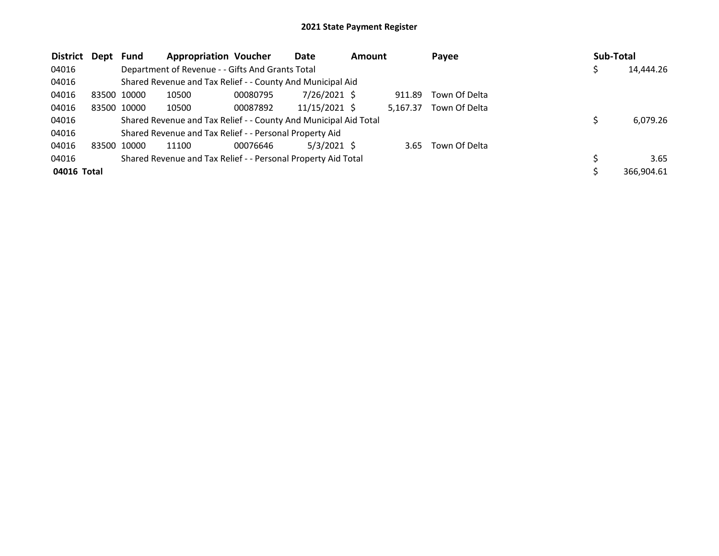| <b>District</b> | Dept Fund |             | <b>Appropriation Voucher</b>                                     |          | Date          | <b>Amount</b> |          | Payee         | Sub-Total |            |
|-----------------|-----------|-------------|------------------------------------------------------------------|----------|---------------|---------------|----------|---------------|-----------|------------|
| 04016           |           |             | Department of Revenue - - Gifts And Grants Total                 |          |               |               |          |               |           | 14,444.26  |
| 04016           |           |             | Shared Revenue and Tax Relief - - County And Municipal Aid       |          |               |               |          |               |           |            |
| 04016           |           | 83500 10000 | 10500                                                            | 00080795 | 7/26/2021 \$  |               | 911.89   | Town Of Delta |           |            |
| 04016           |           | 83500 10000 | 10500                                                            | 00087892 | 11/15/2021 \$ |               | 5.167.37 | Town Of Delta |           |            |
| 04016           |           |             | Shared Revenue and Tax Relief - - County And Municipal Aid Total |          |               |               |          |               |           | 6,079.26   |
| 04016           |           |             | Shared Revenue and Tax Relief - - Personal Property Aid          |          |               |               |          |               |           |            |
| 04016           | 83500     | 10000       | 11100                                                            | 00076646 | $5/3/2021$ \$ |               | 3.65     | Town Of Delta |           |            |
| 04016           |           |             | Shared Revenue and Tax Relief - - Personal Property Aid Total    |          |               |               |          |               |           | 3.65       |
| 04016 Total     |           |             |                                                                  |          |               |               |          |               |           | 366.904.61 |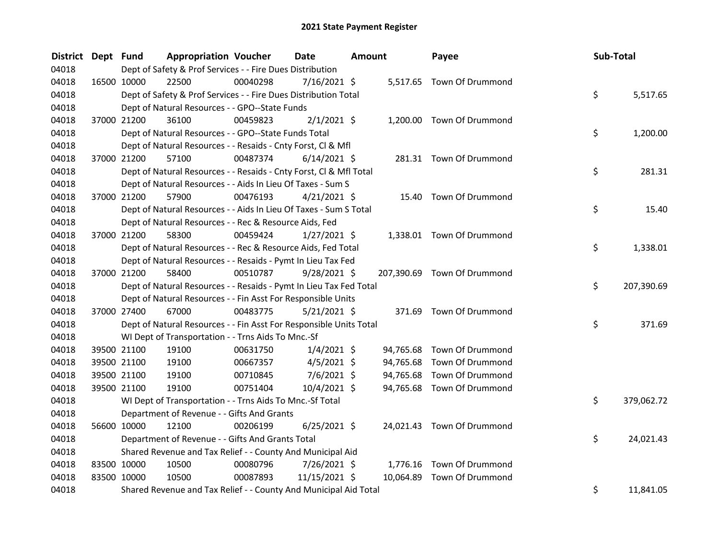| <b>District</b> | Dept Fund |             | <b>Appropriation Voucher</b>                                       |          | <b>Date</b><br><b>Amount</b> |  |           | Payee                       | Sub-Total |            |
|-----------------|-----------|-------------|--------------------------------------------------------------------|----------|------------------------------|--|-----------|-----------------------------|-----------|------------|
| 04018           |           |             | Dept of Safety & Prof Services - - Fire Dues Distribution          |          |                              |  |           |                             |           |            |
| 04018           |           | 16500 10000 | 22500                                                              | 00040298 | $7/16/2021$ \$               |  |           | 5,517.65 Town Of Drummond   |           |            |
| 04018           |           |             | Dept of Safety & Prof Services - - Fire Dues Distribution Total    |          |                              |  |           |                             | \$.       | 5,517.65   |
| 04018           |           |             | Dept of Natural Resources - - GPO--State Funds                     |          |                              |  |           |                             |           |            |
| 04018           |           | 37000 21200 | 36100                                                              | 00459823 | $2/1/2021$ \$                |  |           | 1,200.00 Town Of Drummond   |           |            |
| 04018           |           |             | Dept of Natural Resources - - GPO--State Funds Total               |          |                              |  |           |                             | \$        | 1,200.00   |
| 04018           |           |             | Dept of Natural Resources - - Resaids - Cnty Forst, Cl & Mfl       |          |                              |  |           |                             |           |            |
| 04018           |           | 37000 21200 | 57100                                                              | 00487374 | $6/14/2021$ \$               |  |           | 281.31 Town Of Drummond     |           |            |
| 04018           |           |             | Dept of Natural Resources - - Resaids - Cnty Forst, Cl & Mfl Total |          |                              |  |           |                             | \$        | 281.31     |
| 04018           |           |             | Dept of Natural Resources - - Aids In Lieu Of Taxes - Sum S        |          |                              |  |           |                             |           |            |
| 04018           |           | 37000 21200 | 57900                                                              | 00476193 | $4/21/2021$ \$               |  |           | 15.40 Town Of Drummond      |           |            |
| 04018           |           |             | Dept of Natural Resources - - Aids In Lieu Of Taxes - Sum S Total  |          |                              |  |           |                             | \$        | 15.40      |
| 04018           |           |             | Dept of Natural Resources - - Rec & Resource Aids, Fed             |          |                              |  |           |                             |           |            |
| 04018           |           | 37000 21200 | 58300                                                              | 00459424 | 1/27/2021 \$                 |  |           | 1,338.01 Town Of Drummond   |           |            |
| 04018           |           |             | Dept of Natural Resources - - Rec & Resource Aids, Fed Total       |          |                              |  |           |                             | \$        | 1,338.01   |
| 04018           |           |             | Dept of Natural Resources - - Resaids - Pymt In Lieu Tax Fed       |          |                              |  |           |                             |           |            |
| 04018           |           | 37000 21200 | 58400                                                              | 00510787 | 9/28/2021 \$                 |  |           | 207,390.69 Town Of Drummond |           |            |
| 04018           |           |             | Dept of Natural Resources - - Resaids - Pymt In Lieu Tax Fed Total |          |                              |  |           |                             | \$        | 207,390.69 |
| 04018           |           |             | Dept of Natural Resources - - Fin Asst For Responsible Units       |          |                              |  |           |                             |           |            |
| 04018           |           | 37000 27400 | 67000                                                              | 00483775 | $5/21/2021$ \$               |  |           | 371.69 Town Of Drummond     |           |            |
| 04018           |           |             | Dept of Natural Resources - - Fin Asst For Responsible Units Total |          |                              |  |           |                             | \$        | 371.69     |
| 04018           |           |             | WI Dept of Transportation - - Trns Aids To Mnc.-Sf                 |          |                              |  |           |                             |           |            |
| 04018           |           | 39500 21100 | 19100                                                              | 00631750 | $1/4/2021$ \$                |  | 94,765.68 | Town Of Drummond            |           |            |
| 04018           |           | 39500 21100 | 19100                                                              | 00667357 | $4/5/2021$ \$                |  |           | 94,765.68 Town Of Drummond  |           |            |
| 04018           |           | 39500 21100 | 19100                                                              | 00710845 | 7/6/2021 \$                  |  | 94,765.68 | Town Of Drummond            |           |            |
| 04018           |           | 39500 21100 | 19100                                                              | 00751404 | 10/4/2021 \$                 |  |           | 94,765.68 Town Of Drummond  |           |            |
| 04018           |           |             | WI Dept of Transportation - - Trns Aids To Mnc.-Sf Total           |          |                              |  |           |                             | \$        | 379,062.72 |
| 04018           |           |             | Department of Revenue - - Gifts And Grants                         |          |                              |  |           |                             |           |            |
| 04018           |           | 56600 10000 | 12100                                                              | 00206199 | $6/25/2021$ \$               |  |           | 24,021.43 Town Of Drummond  |           |            |
| 04018           |           |             | Department of Revenue - - Gifts And Grants Total                   |          |                              |  |           |                             | \$        | 24,021.43  |
| 04018           |           |             | Shared Revenue and Tax Relief - - County And Municipal Aid         |          |                              |  |           |                             |           |            |
| 04018           |           | 83500 10000 | 10500                                                              | 00080796 | 7/26/2021 \$                 |  |           | 1,776.16 Town Of Drummond   |           |            |
| 04018           |           | 83500 10000 | 10500                                                              | 00087893 | 11/15/2021 \$                |  | 10,064.89 | Town Of Drummond            |           |            |
| 04018           |           |             | Shared Revenue and Tax Relief - - County And Municipal Aid Total   |          |                              |  |           |                             | \$        | 11,841.05  |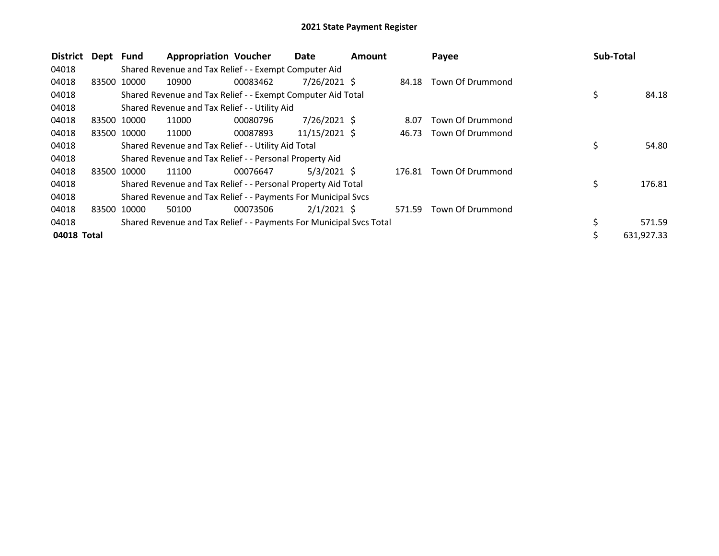| <b>District</b> | Dept Fund |             | <b>Appropriation Voucher</b>                                        |          | Date           | <b>Amount</b> |        | Payee            | <b>Sub-Total</b> |            |
|-----------------|-----------|-------------|---------------------------------------------------------------------|----------|----------------|---------------|--------|------------------|------------------|------------|
| 04018           |           |             | Shared Revenue and Tax Relief - - Exempt Computer Aid               |          |                |               |        |                  |                  |            |
| 04018           | 83500     | 10000       | 10900                                                               | 00083462 | 7/26/2021 \$   |               | 84.18  | Town Of Drummond |                  |            |
| 04018           |           |             | Shared Revenue and Tax Relief - - Exempt Computer Aid Total         |          |                |               |        |                  | \$               | 84.18      |
| 04018           |           |             | Shared Revenue and Tax Relief - - Utility Aid                       |          |                |               |        |                  |                  |            |
| 04018           |           | 83500 10000 | 11000                                                               | 00080796 | $7/26/2021$ \$ |               | 8.07   | Town Of Drummond |                  |            |
| 04018           |           | 83500 10000 | 11000                                                               | 00087893 | 11/15/2021 \$  |               | 46.73  | Town Of Drummond |                  |            |
| 04018           |           |             | Shared Revenue and Tax Relief - - Utility Aid Total                 |          |                |               |        |                  | \$               | 54.80      |
| 04018           |           |             | Shared Revenue and Tax Relief - - Personal Property Aid             |          |                |               |        |                  |                  |            |
| 04018           |           | 83500 10000 | 11100                                                               | 00076647 | $5/3/2021$ \$  |               | 176.81 | Town Of Drummond |                  |            |
| 04018           |           |             | Shared Revenue and Tax Relief - - Personal Property Aid Total       |          |                |               |        |                  | \$               | 176.81     |
| 04018           |           |             | Shared Revenue and Tax Relief - - Payments For Municipal Svcs       |          |                |               |        |                  |                  |            |
| 04018           | 83500     | 10000       | 50100                                                               | 00073506 | $2/1/2021$ \$  |               | 571.59 | Town Of Drummond |                  |            |
| 04018           |           |             | Shared Revenue and Tax Relief - - Payments For Municipal Svcs Total |          |                |               |        |                  |                  | 571.59     |
| 04018 Total     |           |             |                                                                     |          |                |               |        |                  | Ś                | 631,927.33 |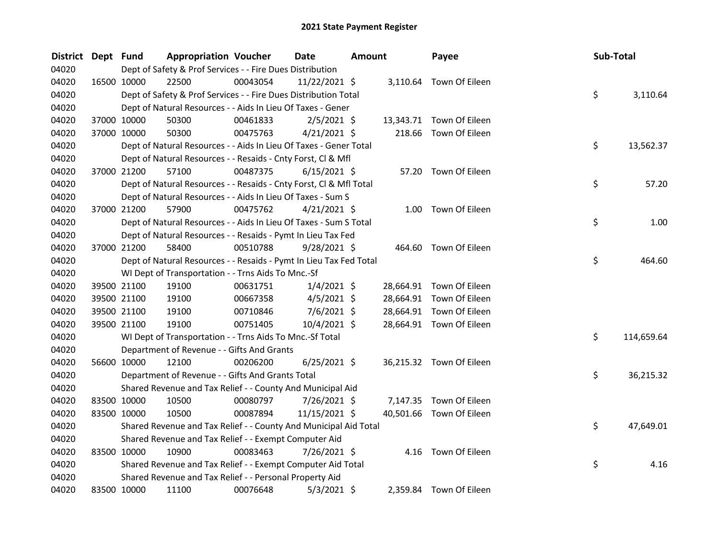| <b>District</b> | Dept Fund |             | <b>Appropriation Voucher</b>                                       |          | <b>Date</b><br><b>Amount</b> |  | Payee | Sub-Total                |    |            |
|-----------------|-----------|-------------|--------------------------------------------------------------------|----------|------------------------------|--|-------|--------------------------|----|------------|
| 04020           |           |             | Dept of Safety & Prof Services - - Fire Dues Distribution          |          |                              |  |       |                          |    |            |
| 04020           |           | 16500 10000 | 22500                                                              | 00043054 | 11/22/2021 \$                |  |       | 3,110.64 Town Of Eileen  |    |            |
| 04020           |           |             | Dept of Safety & Prof Services - - Fire Dues Distribution Total    |          |                              |  |       |                          | \$ | 3,110.64   |
| 04020           |           |             | Dept of Natural Resources - - Aids In Lieu Of Taxes - Gener        |          |                              |  |       |                          |    |            |
| 04020           |           | 37000 10000 | 50300                                                              | 00461833 | $2/5/2021$ \$                |  |       | 13,343.71 Town Of Eileen |    |            |
| 04020           |           | 37000 10000 | 50300                                                              | 00475763 | $4/21/2021$ \$               |  |       | 218.66 Town Of Eileen    |    |            |
| 04020           |           |             | Dept of Natural Resources - - Aids In Lieu Of Taxes - Gener Total  |          |                              |  |       |                          | \$ | 13,562.37  |
| 04020           |           |             | Dept of Natural Resources - - Resaids - Cnty Forst, Cl & Mfl       |          |                              |  |       |                          |    |            |
| 04020           |           | 37000 21200 | 57100                                                              | 00487375 | $6/15/2021$ \$               |  |       | 57.20 Town Of Eileen     |    |            |
| 04020           |           |             | Dept of Natural Resources - - Resaids - Cnty Forst, Cl & Mfl Total |          |                              |  |       |                          | \$ | 57.20      |
| 04020           |           |             | Dept of Natural Resources - - Aids In Lieu Of Taxes - Sum S        |          |                              |  |       |                          |    |            |
| 04020           |           | 37000 21200 | 57900                                                              | 00475762 | $4/21/2021$ \$               |  |       | 1.00 Town Of Eileen      |    |            |
| 04020           |           |             | Dept of Natural Resources - - Aids In Lieu Of Taxes - Sum S Total  |          |                              |  |       |                          | \$ | 1.00       |
| 04020           |           |             | Dept of Natural Resources - - Resaids - Pymt In Lieu Tax Fed       |          |                              |  |       |                          |    |            |
| 04020           |           | 37000 21200 | 58400                                                              | 00510788 | $9/28/2021$ \$               |  |       | 464.60 Town Of Eileen    |    |            |
| 04020           |           |             | Dept of Natural Resources - - Resaids - Pymt In Lieu Tax Fed Total |          |                              |  |       |                          | \$ | 464.60     |
| 04020           |           |             | WI Dept of Transportation - - Trns Aids To Mnc.-Sf                 |          |                              |  |       |                          |    |            |
| 04020           |           | 39500 21100 | 19100                                                              | 00631751 | $1/4/2021$ \$                |  |       | 28,664.91 Town Of Eileen |    |            |
| 04020           |           | 39500 21100 | 19100                                                              | 00667358 | $4/5/2021$ \$                |  |       | 28,664.91 Town Of Eileen |    |            |
| 04020           |           | 39500 21100 | 19100                                                              | 00710846 | $7/6/2021$ \$                |  |       | 28,664.91 Town Of Eileen |    |            |
| 04020           |           | 39500 21100 | 19100                                                              | 00751405 | 10/4/2021 \$                 |  |       | 28,664.91 Town Of Eileen |    |            |
| 04020           |           |             | WI Dept of Transportation - - Trns Aids To Mnc.-Sf Total           |          |                              |  |       |                          | \$ | 114,659.64 |
| 04020           |           |             | Department of Revenue - - Gifts And Grants                         |          |                              |  |       |                          |    |            |
| 04020           |           | 56600 10000 | 12100                                                              | 00206200 | $6/25/2021$ \$               |  |       | 36,215.32 Town Of Eileen |    |            |
| 04020           |           |             | Department of Revenue - - Gifts And Grants Total                   |          |                              |  |       |                          | \$ | 36,215.32  |
| 04020           |           |             | Shared Revenue and Tax Relief - - County And Municipal Aid         |          |                              |  |       |                          |    |            |
| 04020           |           | 83500 10000 | 10500                                                              | 00080797 | 7/26/2021 \$                 |  |       | 7,147.35 Town Of Eileen  |    |            |
| 04020           |           | 83500 10000 | 10500                                                              | 00087894 | 11/15/2021 \$                |  |       | 40,501.66 Town Of Eileen |    |            |
| 04020           |           |             | Shared Revenue and Tax Relief - - County And Municipal Aid Total   |          |                              |  |       |                          | \$ | 47,649.01  |
| 04020           |           |             | Shared Revenue and Tax Relief - - Exempt Computer Aid              |          |                              |  |       |                          |    |            |
| 04020           |           | 83500 10000 | 10900                                                              | 00083463 | 7/26/2021 \$                 |  |       | 4.16 Town Of Eileen      |    |            |
| 04020           |           |             | Shared Revenue and Tax Relief - - Exempt Computer Aid Total        |          |                              |  |       |                          | \$ | 4.16       |
| 04020           |           |             | Shared Revenue and Tax Relief - - Personal Property Aid            |          |                              |  |       |                          |    |            |
| 04020           |           | 83500 10000 | 11100                                                              | 00076648 | $5/3/2021$ \$                |  |       | 2,359.84 Town Of Eileen  |    |            |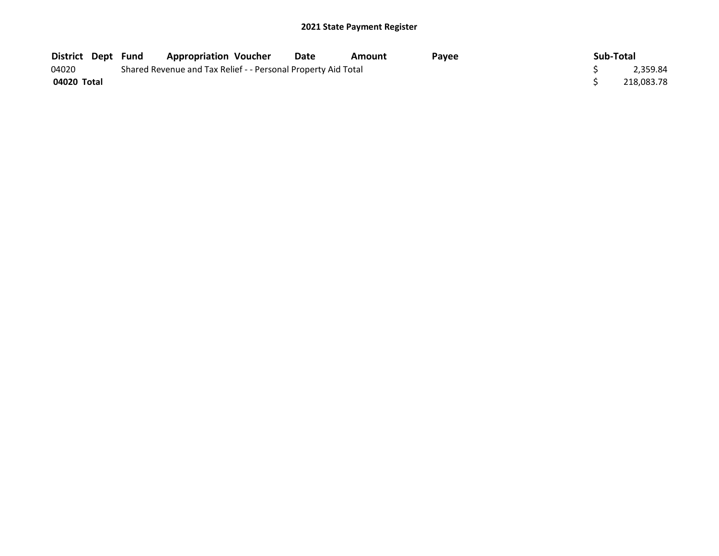| <b>District Dept Fund</b> |  | <b>Appropriation Voucher</b>                                  |  | Date | Amount | Pavee |  | Sub-Total |            |
|---------------------------|--|---------------------------------------------------------------|--|------|--------|-------|--|-----------|------------|
| 04020                     |  | Shared Revenue and Tax Relief - - Personal Property Aid Total |  |      |        |       |  |           |            |
| 04020 Total               |  |                                                               |  |      |        |       |  |           | 218,083.78 |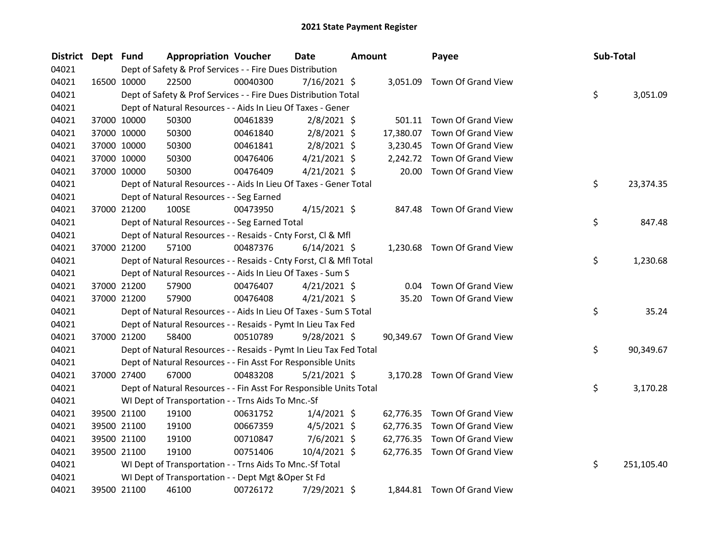| <b>District</b> | Dept Fund |             | <b>Appropriation Voucher</b>                                       |          | <b>Date</b>    | <b>Amount</b> |           | Payee                        | Sub-Total |            |
|-----------------|-----------|-------------|--------------------------------------------------------------------|----------|----------------|---------------|-----------|------------------------------|-----------|------------|
| 04021           |           |             | Dept of Safety & Prof Services - - Fire Dues Distribution          |          |                |               |           |                              |           |            |
| 04021           |           | 16500 10000 | 22500                                                              | 00040300 | $7/16/2021$ \$ |               |           | 3,051.09 Town Of Grand View  |           |            |
| 04021           |           |             | Dept of Safety & Prof Services - - Fire Dues Distribution Total    |          |                |               |           |                              | \$        | 3,051.09   |
| 04021           |           |             | Dept of Natural Resources - - Aids In Lieu Of Taxes - Gener        |          |                |               |           |                              |           |            |
| 04021           |           | 37000 10000 | 50300                                                              | 00461839 | $2/8/2021$ \$  |               |           | 501.11 Town Of Grand View    |           |            |
| 04021           |           | 37000 10000 | 50300                                                              | 00461840 | 2/8/2021 \$    |               | 17,380.07 | Town Of Grand View           |           |            |
| 04021           |           | 37000 10000 | 50300                                                              | 00461841 | $2/8/2021$ \$  |               |           | 3,230.45 Town Of Grand View  |           |            |
| 04021           |           | 37000 10000 | 50300                                                              | 00476406 | $4/21/2021$ \$ |               |           | 2,242.72 Town Of Grand View  |           |            |
| 04021           |           | 37000 10000 | 50300                                                              | 00476409 | $4/21/2021$ \$ |               |           | 20.00 Town Of Grand View     |           |            |
| 04021           |           |             | Dept of Natural Resources - - Aids In Lieu Of Taxes - Gener Total  |          |                |               |           |                              | \$        | 23,374.35  |
| 04021           |           |             | Dept of Natural Resources - - Seg Earned                           |          |                |               |           |                              |           |            |
| 04021           |           | 37000 21200 | 100SE                                                              | 00473950 | $4/15/2021$ \$ |               | 847.48    | Town Of Grand View           |           |            |
| 04021           |           |             | Dept of Natural Resources - - Seg Earned Total                     |          |                |               |           |                              | \$        | 847.48     |
| 04021           |           |             | Dept of Natural Resources - - Resaids - Cnty Forst, Cl & Mfl       |          |                |               |           |                              |           |            |
| 04021           |           | 37000 21200 | 57100                                                              | 00487376 | $6/14/2021$ \$ |               |           | 1,230.68 Town Of Grand View  |           |            |
| 04021           |           |             | Dept of Natural Resources - - Resaids - Cnty Forst, Cl & Mfl Total |          |                |               |           |                              | \$        | 1,230.68   |
| 04021           |           |             | Dept of Natural Resources - - Aids In Lieu Of Taxes - Sum S        |          |                |               |           |                              |           |            |
| 04021           |           | 37000 21200 | 57900                                                              | 00476407 | $4/21/2021$ \$ |               | 0.04      | Town Of Grand View           |           |            |
| 04021           |           | 37000 21200 | 57900                                                              | 00476408 | $4/21/2021$ \$ |               | 35.20     | Town Of Grand View           |           |            |
| 04021           |           |             | Dept of Natural Resources - - Aids In Lieu Of Taxes - Sum S Total  |          |                |               |           |                              | \$        | 35.24      |
| 04021           |           |             | Dept of Natural Resources - - Resaids - Pymt In Lieu Tax Fed       |          |                |               |           |                              |           |            |
| 04021           |           | 37000 21200 | 58400                                                              | 00510789 | $9/28/2021$ \$ |               |           | 90,349.67 Town Of Grand View |           |            |
| 04021           |           |             | Dept of Natural Resources - - Resaids - Pymt In Lieu Tax Fed Total |          |                |               |           |                              | \$        | 90,349.67  |
| 04021           |           |             | Dept of Natural Resources - - Fin Asst For Responsible Units       |          |                |               |           |                              |           |            |
| 04021           |           | 37000 27400 | 67000                                                              | 00483208 | $5/21/2021$ \$ |               |           | 3,170.28 Town Of Grand View  |           |            |
| 04021           |           |             | Dept of Natural Resources - - Fin Asst For Responsible Units Total |          |                |               |           |                              | \$        | 3,170.28   |
| 04021           |           |             | WI Dept of Transportation - - Trns Aids To Mnc.-Sf                 |          |                |               |           |                              |           |            |
| 04021           |           | 39500 21100 | 19100                                                              | 00631752 | $1/4/2021$ \$  |               |           | 62,776.35 Town Of Grand View |           |            |
| 04021           |           | 39500 21100 | 19100                                                              | 00667359 | $4/5/2021$ \$  |               |           | 62,776.35 Town Of Grand View |           |            |
| 04021           |           | 39500 21100 | 19100                                                              | 00710847 | $7/6/2021$ \$  |               |           | 62,776.35 Town Of Grand View |           |            |
| 04021           |           | 39500 21100 | 19100                                                              | 00751406 | 10/4/2021 \$   |               |           | 62,776.35 Town Of Grand View |           |            |
| 04021           |           |             | WI Dept of Transportation - - Trns Aids To Mnc.-Sf Total           |          |                |               |           |                              | \$        | 251,105.40 |
| 04021           |           |             | WI Dept of Transportation - - Dept Mgt & Oper St Fd                |          |                |               |           |                              |           |            |
| 04021           |           | 39500 21100 | 46100                                                              | 00726172 | 7/29/2021 \$   |               |           | 1,844.81 Town Of Grand View  |           |            |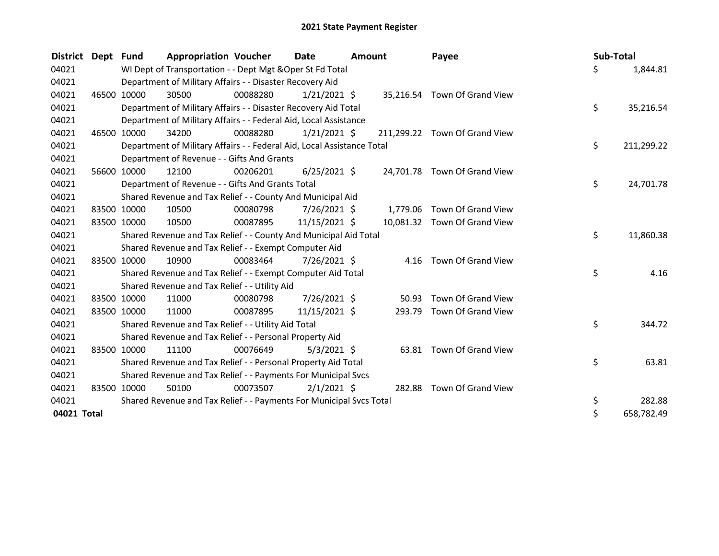| <b>District</b> | Dept  | <b>Fund</b> | <b>Appropriation Voucher</b>                                           |          | Date<br>Amount |  |          | Payee                         | Sub-Total |            |
|-----------------|-------|-------------|------------------------------------------------------------------------|----------|----------------|--|----------|-------------------------------|-----------|------------|
| 04021           |       |             | WI Dept of Transportation - - Dept Mgt & Oper St Fd Total              |          |                |  |          |                               | \$        | 1,844.81   |
| 04021           |       |             | Department of Military Affairs - - Disaster Recovery Aid               |          |                |  |          |                               |           |            |
| 04021           |       | 46500 10000 | 30500                                                                  | 00088280 | $1/21/2021$ \$ |  |          | 35,216.54 Town Of Grand View  |           |            |
| 04021           |       |             | Department of Military Affairs - - Disaster Recovery Aid Total         |          |                |  |          |                               | \$        | 35,216.54  |
| 04021           |       |             | Department of Military Affairs - - Federal Aid, Local Assistance       |          |                |  |          |                               |           |            |
| 04021           | 46500 | 10000       | 34200                                                                  | 00088280 | $1/21/2021$ \$ |  |          | 211,299.22 Town Of Grand View |           |            |
| 04021           |       |             | Department of Military Affairs - - Federal Aid, Local Assistance Total |          |                |  |          |                               | \$        | 211,299.22 |
| 04021           |       |             | Department of Revenue - - Gifts And Grants                             |          |                |  |          |                               |           |            |
| 04021           | 56600 | 10000       | 12100                                                                  | 00206201 | $6/25/2021$ \$ |  |          | 24,701.78 Town Of Grand View  |           |            |
| 04021           |       |             | Department of Revenue - - Gifts And Grants Total                       |          |                |  |          |                               | \$        | 24,701.78  |
| 04021           |       |             | Shared Revenue and Tax Relief - - County And Municipal Aid             |          |                |  |          |                               |           |            |
| 04021           |       | 83500 10000 | 10500                                                                  | 00080798 | 7/26/2021 \$   |  | 1,779.06 | Town Of Grand View            |           |            |
| 04021           |       | 83500 10000 | 10500                                                                  | 00087895 | 11/15/2021 \$  |  |          | 10,081.32 Town Of Grand View  |           |            |
| 04021           |       |             | Shared Revenue and Tax Relief - - County And Municipal Aid Total       |          |                |  |          |                               | \$        | 11,860.38  |
| 04021           |       |             | Shared Revenue and Tax Relief - - Exempt Computer Aid                  |          |                |  |          |                               |           |            |
| 04021           | 83500 | 10000       | 10900                                                                  | 00083464 | 7/26/2021 \$   |  | 4.16     | Town Of Grand View            |           |            |
| 04021           |       |             | Shared Revenue and Tax Relief - - Exempt Computer Aid Total            |          |                |  |          |                               | \$        | 4.16       |
| 04021           |       |             | Shared Revenue and Tax Relief - - Utility Aid                          |          |                |  |          |                               |           |            |
| 04021           |       | 83500 10000 | 11000                                                                  | 00080798 | 7/26/2021 \$   |  | 50.93    | Town Of Grand View            |           |            |
| 04021           |       | 83500 10000 | 11000                                                                  | 00087895 | 11/15/2021 \$  |  | 293.79   | Town Of Grand View            |           |            |
| 04021           |       |             | Shared Revenue and Tax Relief - - Utility Aid Total                    |          |                |  |          |                               | \$        | 344.72     |
| 04021           |       |             | Shared Revenue and Tax Relief - - Personal Property Aid                |          |                |  |          |                               |           |            |
| 04021           | 83500 | 10000       | 11100                                                                  | 00076649 | $5/3/2021$ \$  |  | 63.81    | Town Of Grand View            |           |            |
| 04021           |       |             | Shared Revenue and Tax Relief - - Personal Property Aid Total          |          |                |  |          |                               | \$        | 63.81      |
| 04021           |       |             | Shared Revenue and Tax Relief - - Payments For Municipal Svcs          |          |                |  |          |                               |           |            |
| 04021           |       | 83500 10000 | 50100                                                                  | 00073507 | $2/1/2021$ \$  |  | 282.88   | Town Of Grand View            |           |            |
| 04021           |       |             | Shared Revenue and Tax Relief - - Payments For Municipal Svcs Total    |          |                |  |          |                               | \$        | 282.88     |
| 04021 Total     |       |             |                                                                        |          |                |  |          |                               | $\zeta$   | 658,782.49 |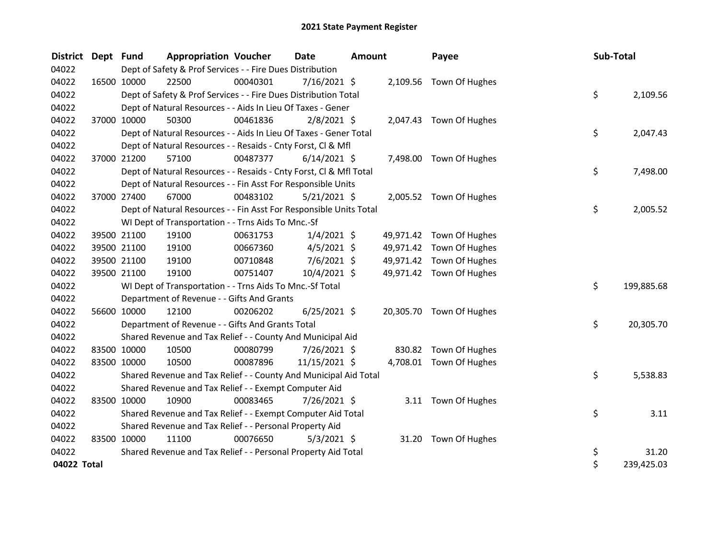| <b>District</b> | Dept Fund |                                                                                                                              | <b>Appropriation Voucher</b>                                       |          | <b>Date</b>    | Amount |  | Payee                    |  | Sub-Total |            |
|-----------------|-----------|------------------------------------------------------------------------------------------------------------------------------|--------------------------------------------------------------------|----------|----------------|--------|--|--------------------------|--|-----------|------------|
| 04022           |           | Dept of Safety & Prof Services - - Fire Dues Distribution<br>16500 10000<br>22500<br>7/16/2021 \$<br>2,109.56 Town Of Hughes |                                                                    |          |                |        |  |                          |  |           |            |
| 04022           |           |                                                                                                                              |                                                                    | 00040301 |                |        |  |                          |  |           |            |
| 04022           |           |                                                                                                                              | Dept of Safety & Prof Services - - Fire Dues Distribution Total    |          |                |        |  |                          |  | \$        | 2,109.56   |
| 04022           |           |                                                                                                                              | Dept of Natural Resources - - Aids In Lieu Of Taxes - Gener        |          |                |        |  |                          |  |           |            |
| 04022           |           | 37000 10000                                                                                                                  | 50300                                                              | 00461836 | $2/8/2021$ \$  |        |  | 2,047.43 Town Of Hughes  |  |           |            |
| 04022           |           |                                                                                                                              | Dept of Natural Resources - - Aids In Lieu Of Taxes - Gener Total  |          |                |        |  |                          |  | \$        | 2,047.43   |
| 04022           |           |                                                                                                                              | Dept of Natural Resources - - Resaids - Cnty Forst, Cl & Mfl       |          |                |        |  |                          |  |           |            |
| 04022           |           | 37000 21200                                                                                                                  | 57100                                                              | 00487377 | $6/14/2021$ \$ |        |  | 7,498.00 Town Of Hughes  |  |           |            |
| 04022           |           |                                                                                                                              | Dept of Natural Resources - - Resaids - Cnty Forst, CI & Mfl Total |          |                |        |  |                          |  | \$        | 7,498.00   |
| 04022           |           |                                                                                                                              | Dept of Natural Resources - - Fin Asst For Responsible Units       |          |                |        |  |                          |  |           |            |
| 04022           |           | 37000 27400                                                                                                                  | 67000                                                              | 00483102 | $5/21/2021$ \$ |        |  | 2,005.52 Town Of Hughes  |  |           |            |
| 04022           |           |                                                                                                                              | Dept of Natural Resources - - Fin Asst For Responsible Units Total |          |                |        |  |                          |  | \$        | 2,005.52   |
| 04022           |           |                                                                                                                              | WI Dept of Transportation - - Trns Aids To Mnc.-Sf                 |          |                |        |  |                          |  |           |            |
| 04022           |           | 39500 21100                                                                                                                  | 19100                                                              | 00631753 | $1/4/2021$ \$  |        |  | 49,971.42 Town Of Hughes |  |           |            |
| 04022           |           | 39500 21100                                                                                                                  | 19100                                                              | 00667360 | $4/5/2021$ \$  |        |  | 49,971.42 Town Of Hughes |  |           |            |
| 04022           |           | 39500 21100                                                                                                                  | 19100                                                              | 00710848 | $7/6/2021$ \$  |        |  | 49,971.42 Town Of Hughes |  |           |            |
| 04022           |           | 39500 21100                                                                                                                  | 19100                                                              | 00751407 | 10/4/2021 \$   |        |  | 49,971.42 Town Of Hughes |  |           |            |
| 04022           |           |                                                                                                                              | WI Dept of Transportation - - Trns Aids To Mnc.-Sf Total           |          |                |        |  |                          |  | \$        | 199,885.68 |
| 04022           |           |                                                                                                                              | Department of Revenue - - Gifts And Grants                         |          |                |        |  |                          |  |           |            |
| 04022           |           | 56600 10000                                                                                                                  | 12100                                                              | 00206202 | $6/25/2021$ \$ |        |  | 20,305.70 Town Of Hughes |  |           |            |
| 04022           |           |                                                                                                                              | Department of Revenue - - Gifts And Grants Total                   |          |                |        |  |                          |  | \$        | 20,305.70  |
| 04022           |           |                                                                                                                              | Shared Revenue and Tax Relief - - County And Municipal Aid         |          |                |        |  |                          |  |           |            |
| 04022           |           | 83500 10000                                                                                                                  | 10500                                                              | 00080799 | 7/26/2021 \$   |        |  | 830.82 Town Of Hughes    |  |           |            |
| 04022           |           | 83500 10000                                                                                                                  | 10500                                                              | 00087896 | 11/15/2021 \$  |        |  | 4,708.01 Town Of Hughes  |  |           |            |
| 04022           |           |                                                                                                                              | Shared Revenue and Tax Relief - - County And Municipal Aid Total   |          |                |        |  |                          |  | \$        | 5,538.83   |
| 04022           |           |                                                                                                                              | Shared Revenue and Tax Relief - - Exempt Computer Aid              |          |                |        |  |                          |  |           |            |
| 04022           |           | 83500 10000                                                                                                                  | 10900                                                              | 00083465 | 7/26/2021 \$   |        |  | 3.11 Town Of Hughes      |  |           |            |
| 04022           |           |                                                                                                                              | Shared Revenue and Tax Relief - - Exempt Computer Aid Total        |          |                |        |  |                          |  | \$        | 3.11       |
| 04022           |           |                                                                                                                              | Shared Revenue and Tax Relief - - Personal Property Aid            |          |                |        |  |                          |  |           |            |
| 04022           |           | 83500 10000                                                                                                                  | 11100                                                              | 00076650 | $5/3/2021$ \$  |        |  | 31.20 Town Of Hughes     |  |           |            |
| 04022           |           |                                                                                                                              | Shared Revenue and Tax Relief - - Personal Property Aid Total      |          |                |        |  |                          |  | \$        | 31.20      |
| 04022 Total     |           |                                                                                                                              |                                                                    |          |                |        |  |                          |  | \$        | 239,425.03 |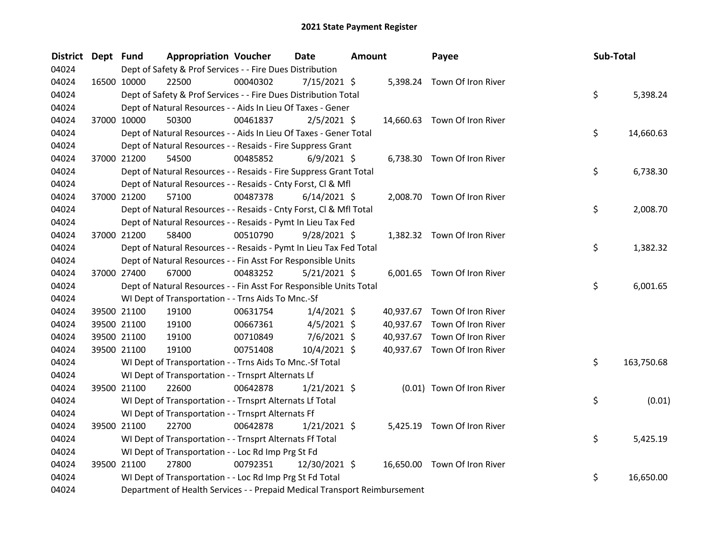| 04024<br>Dept of Safety & Prof Services - - Fire Dues Distribution<br>04024<br>22500<br>00040302<br>$7/15/2021$ \$<br>16500 10000<br>5,398.24 Town Of Iron River<br>\$<br>04024<br>Dept of Safety & Prof Services - - Fire Dues Distribution Total<br>04024<br>Dept of Natural Resources - - Aids In Lieu Of Taxes - Gener<br>04024<br>37000 10000<br>50300<br>00461837<br>$2/5/2021$ \$<br>14,660.63 Town Of Iron River<br>\$<br>04024<br>Dept of Natural Resources - - Aids In Lieu Of Taxes - Gener Total<br>04024<br>Dept of Natural Resources - - Resaids - Fire Suppress Grant<br>04024<br>6,738.30 Town Of Iron River<br>37000 21200<br>54500<br>00485852<br>$6/9/2021$ \$<br>\$<br>04024<br>Dept of Natural Resources - - Resaids - Fire Suppress Grant Total<br>04024<br>Dept of Natural Resources - - Resaids - Cnty Forst, Cl & Mfl<br>37000 21200 | <b>District</b> | Dept Fund | <b>Appropriation Voucher</b> |          | <b>Date</b>    | <b>Amount</b> | Payee                       | Sub-Total |           |
|---------------------------------------------------------------------------------------------------------------------------------------------------------------------------------------------------------------------------------------------------------------------------------------------------------------------------------------------------------------------------------------------------------------------------------------------------------------------------------------------------------------------------------------------------------------------------------------------------------------------------------------------------------------------------------------------------------------------------------------------------------------------------------------------------------------------------------------------------------------|-----------------|-----------|------------------------------|----------|----------------|---------------|-----------------------------|-----------|-----------|
|                                                                                                                                                                                                                                                                                                                                                                                                                                                                                                                                                                                                                                                                                                                                                                                                                                                               |                 |           |                              |          |                |               |                             |           |           |
|                                                                                                                                                                                                                                                                                                                                                                                                                                                                                                                                                                                                                                                                                                                                                                                                                                                               |                 |           |                              |          |                |               |                             |           |           |
|                                                                                                                                                                                                                                                                                                                                                                                                                                                                                                                                                                                                                                                                                                                                                                                                                                                               |                 |           |                              |          |                |               |                             |           | 5,398.24  |
|                                                                                                                                                                                                                                                                                                                                                                                                                                                                                                                                                                                                                                                                                                                                                                                                                                                               |                 |           |                              |          |                |               |                             |           |           |
|                                                                                                                                                                                                                                                                                                                                                                                                                                                                                                                                                                                                                                                                                                                                                                                                                                                               |                 |           |                              |          |                |               |                             |           |           |
|                                                                                                                                                                                                                                                                                                                                                                                                                                                                                                                                                                                                                                                                                                                                                                                                                                                               |                 |           |                              |          |                |               |                             |           | 14,660.63 |
|                                                                                                                                                                                                                                                                                                                                                                                                                                                                                                                                                                                                                                                                                                                                                                                                                                                               |                 |           |                              |          |                |               |                             |           |           |
|                                                                                                                                                                                                                                                                                                                                                                                                                                                                                                                                                                                                                                                                                                                                                                                                                                                               |                 |           |                              |          |                |               |                             |           |           |
|                                                                                                                                                                                                                                                                                                                                                                                                                                                                                                                                                                                                                                                                                                                                                                                                                                                               |                 |           |                              |          |                |               |                             |           | 6,738.30  |
|                                                                                                                                                                                                                                                                                                                                                                                                                                                                                                                                                                                                                                                                                                                                                                                                                                                               |                 |           |                              |          |                |               |                             |           |           |
|                                                                                                                                                                                                                                                                                                                                                                                                                                                                                                                                                                                                                                                                                                                                                                                                                                                               | 04024           |           | 57100                        | 00487378 | $6/14/2021$ \$ |               | 2,008.70 Town Of Iron River |           |           |
| \$<br>04024<br>Dept of Natural Resources - - Resaids - Cnty Forst, CI & Mfl Total                                                                                                                                                                                                                                                                                                                                                                                                                                                                                                                                                                                                                                                                                                                                                                             |                 |           |                              |          |                |               |                             |           | 2,008.70  |
| 04024<br>Dept of Natural Resources - - Resaids - Pymt In Lieu Tax Fed                                                                                                                                                                                                                                                                                                                                                                                                                                                                                                                                                                                                                                                                                                                                                                                         |                 |           |                              |          |                |               |                             |           |           |
| 04024<br>37000 21200<br>00510790<br>58400<br>$9/28/2021$ \$<br>1,382.32 Town Of Iron River                                                                                                                                                                                                                                                                                                                                                                                                                                                                                                                                                                                                                                                                                                                                                                    |                 |           |                              |          |                |               |                             |           |           |
| \$<br>04024<br>Dept of Natural Resources - - Resaids - Pymt In Lieu Tax Fed Total                                                                                                                                                                                                                                                                                                                                                                                                                                                                                                                                                                                                                                                                                                                                                                             |                 |           |                              |          |                |               |                             |           | 1,382.32  |
| 04024<br>Dept of Natural Resources - - Fin Asst For Responsible Units                                                                                                                                                                                                                                                                                                                                                                                                                                                                                                                                                                                                                                                                                                                                                                                         |                 |           |                              |          |                |               |                             |           |           |
| 04024<br>37000 27400<br>67000<br>00483252<br>$5/21/2021$ \$<br>6,001.65 Town Of Iron River                                                                                                                                                                                                                                                                                                                                                                                                                                                                                                                                                                                                                                                                                                                                                                    |                 |           |                              |          |                |               |                             |           |           |
| \$<br>04024<br>Dept of Natural Resources - - Fin Asst For Responsible Units Total                                                                                                                                                                                                                                                                                                                                                                                                                                                                                                                                                                                                                                                                                                                                                                             |                 |           |                              |          |                |               |                             |           | 6,001.65  |
| 04024<br>WI Dept of Transportation - - Trns Aids To Mnc.-Sf                                                                                                                                                                                                                                                                                                                                                                                                                                                                                                                                                                                                                                                                                                                                                                                                   |                 |           |                              |          |                |               |                             |           |           |
| 04024<br>39500 21100<br>19100<br>00631754<br>$1/4/2021$ \$<br>40,937.67 Town Of Iron River                                                                                                                                                                                                                                                                                                                                                                                                                                                                                                                                                                                                                                                                                                                                                                    |                 |           |                              |          |                |               |                             |           |           |
| 04024<br>39500 21100<br>00667361<br>$4/5/2021$ \$<br>40,937.67 Town Of Iron River<br>19100                                                                                                                                                                                                                                                                                                                                                                                                                                                                                                                                                                                                                                                                                                                                                                    |                 |           |                              |          |                |               |                             |           |           |
| 7/6/2021 \$<br>40,937.67 Town Of Iron River<br>04024<br>39500 21100<br>19100<br>00710849                                                                                                                                                                                                                                                                                                                                                                                                                                                                                                                                                                                                                                                                                                                                                                      |                 |           |                              |          |                |               |                             |           |           |
| 40,937.67 Town Of Iron River<br>04024<br>39500 21100<br>19100<br>00751408<br>10/4/2021 \$                                                                                                                                                                                                                                                                                                                                                                                                                                                                                                                                                                                                                                                                                                                                                                     |                 |           |                              |          |                |               |                             |           |           |
| \$<br>04024<br>163,750.68<br>WI Dept of Transportation - - Trns Aids To Mnc.-Sf Total                                                                                                                                                                                                                                                                                                                                                                                                                                                                                                                                                                                                                                                                                                                                                                         |                 |           |                              |          |                |               |                             |           |           |
| 04024<br>WI Dept of Transportation - - Trnsprt Alternats Lf                                                                                                                                                                                                                                                                                                                                                                                                                                                                                                                                                                                                                                                                                                                                                                                                   |                 |           |                              |          |                |               |                             |           |           |
| 04024<br>22600<br>00642878<br>$1/21/2021$ \$<br>(0.01) Town Of Iron River<br>39500 21100                                                                                                                                                                                                                                                                                                                                                                                                                                                                                                                                                                                                                                                                                                                                                                      |                 |           |                              |          |                |               |                             |           |           |
| \$<br>04024<br>WI Dept of Transportation - - Trnsprt Alternats Lf Total                                                                                                                                                                                                                                                                                                                                                                                                                                                                                                                                                                                                                                                                                                                                                                                       |                 |           |                              |          |                |               |                             |           | (0.01)    |
| 04024<br>WI Dept of Transportation - - Trnsprt Alternats Ff                                                                                                                                                                                                                                                                                                                                                                                                                                                                                                                                                                                                                                                                                                                                                                                                   |                 |           |                              |          |                |               |                             |           |           |
| 04024<br>39500 21100<br>22700<br>00642878<br>5,425.19 Town Of Iron River<br>$1/21/2021$ \$                                                                                                                                                                                                                                                                                                                                                                                                                                                                                                                                                                                                                                                                                                                                                                    |                 |           |                              |          |                |               |                             |           |           |
| \$<br>04024<br>WI Dept of Transportation - - Trnsprt Alternats Ff Total                                                                                                                                                                                                                                                                                                                                                                                                                                                                                                                                                                                                                                                                                                                                                                                       |                 |           |                              |          |                |               |                             |           | 5,425.19  |
| 04024<br>WI Dept of Transportation - - Loc Rd Imp Prg St Fd                                                                                                                                                                                                                                                                                                                                                                                                                                                                                                                                                                                                                                                                                                                                                                                                   |                 |           |                              |          |                |               |                             |           |           |
| 04024<br>27800<br>00792351<br>39500 21100<br>12/30/2021 \$<br>16,650.00 Town Of Iron River                                                                                                                                                                                                                                                                                                                                                                                                                                                                                                                                                                                                                                                                                                                                                                    |                 |           |                              |          |                |               |                             |           |           |
| \$<br>04024<br>WI Dept of Transportation - - Loc Rd Imp Prg St Fd Total                                                                                                                                                                                                                                                                                                                                                                                                                                                                                                                                                                                                                                                                                                                                                                                       |                 |           |                              |          |                |               |                             |           | 16,650.00 |
| 04024<br>Department of Health Services - - Prepaid Medical Transport Reimbursement                                                                                                                                                                                                                                                                                                                                                                                                                                                                                                                                                                                                                                                                                                                                                                            |                 |           |                              |          |                |               |                             |           |           |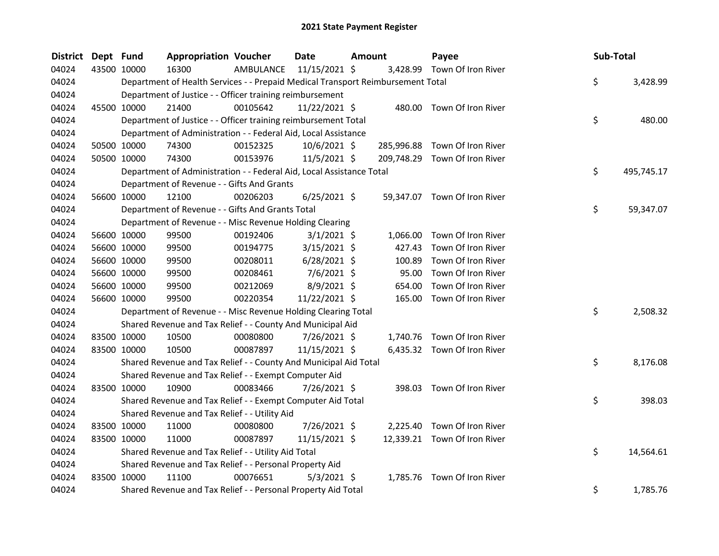| <b>District</b> | Dept Fund |             | <b>Appropriation Voucher</b>                                                    |           | <b>Date</b>    | Amount |            | Payee                         | Sub-Total |            |
|-----------------|-----------|-------------|---------------------------------------------------------------------------------|-----------|----------------|--------|------------|-------------------------------|-----------|------------|
| 04024           |           | 43500 10000 | 16300                                                                           | AMBULANCE | 11/15/2021 \$  |        |            | 3,428.99 Town Of Iron River   |           |            |
| 04024           |           |             | Department of Health Services - - Prepaid Medical Transport Reimbursement Total |           |                |        |            |                               | \$        | 3,428.99   |
| 04024           |           |             | Department of Justice - - Officer training reimbursement                        |           |                |        |            |                               |           |            |
| 04024           |           | 45500 10000 | 21400                                                                           | 00105642  | 11/22/2021 \$  |        |            | 480.00 Town Of Iron River     |           |            |
| 04024           |           |             | Department of Justice - - Officer training reimbursement Total                  |           |                |        |            |                               | \$        | 480.00     |
| 04024           |           |             | Department of Administration - - Federal Aid, Local Assistance                  |           |                |        |            |                               |           |            |
| 04024           |           | 50500 10000 | 74300                                                                           | 00152325  | 10/6/2021 \$   |        | 285,996.88 | Town Of Iron River            |           |            |
| 04024           |           | 50500 10000 | 74300                                                                           | 00153976  | $11/5/2021$ \$ |        |            | 209,748.29 Town Of Iron River |           |            |
| 04024           |           |             | Department of Administration - - Federal Aid, Local Assistance Total            |           |                |        |            |                               | \$        | 495,745.17 |
| 04024           |           |             | Department of Revenue - - Gifts And Grants                                      |           |                |        |            |                               |           |            |
| 04024           |           | 56600 10000 | 12100                                                                           | 00206203  | $6/25/2021$ \$ |        |            | 59,347.07 Town Of Iron River  |           |            |
| 04024           |           |             | Department of Revenue - - Gifts And Grants Total                                |           |                |        |            |                               | \$        | 59,347.07  |
| 04024           |           |             | Department of Revenue - - Misc Revenue Holding Clearing                         |           |                |        |            |                               |           |            |
| 04024           |           | 56600 10000 | 99500                                                                           | 00192406  | $3/1/2021$ \$  |        | 1,066.00   | Town Of Iron River            |           |            |
| 04024           |           | 56600 10000 | 99500                                                                           | 00194775  | $3/15/2021$ \$ |        | 427.43     | Town Of Iron River            |           |            |
| 04024           |           | 56600 10000 | 99500                                                                           | 00208011  | $6/28/2021$ \$ |        | 100.89     | Town Of Iron River            |           |            |
| 04024           |           | 56600 10000 | 99500                                                                           | 00208461  | $7/6/2021$ \$  |        | 95.00      | Town Of Iron River            |           |            |
| 04024           |           | 56600 10000 | 99500                                                                           | 00212069  | 8/9/2021 \$    |        | 654.00     | Town Of Iron River            |           |            |
| 04024           |           | 56600 10000 | 99500                                                                           | 00220354  | 11/22/2021 \$  |        | 165.00     | Town Of Iron River            |           |            |
| 04024           |           |             | Department of Revenue - - Misc Revenue Holding Clearing Total                   |           |                |        |            |                               | \$        | 2,508.32   |
| 04024           |           |             | Shared Revenue and Tax Relief - - County And Municipal Aid                      |           |                |        |            |                               |           |            |
| 04024           |           | 83500 10000 | 10500                                                                           | 00080800  | 7/26/2021 \$   |        |            | 1,740.76 Town Of Iron River   |           |            |
| 04024           |           | 83500 10000 | 10500                                                                           | 00087897  | 11/15/2021 \$  |        |            | 6,435.32 Town Of Iron River   |           |            |
| 04024           |           |             | Shared Revenue and Tax Relief - - County And Municipal Aid Total                |           |                |        |            |                               | \$        | 8,176.08   |
| 04024           |           |             | Shared Revenue and Tax Relief - - Exempt Computer Aid                           |           |                |        |            |                               |           |            |
| 04024           |           | 83500 10000 | 10900                                                                           | 00083466  | 7/26/2021 \$   |        |            | 398.03 Town Of Iron River     |           |            |
| 04024           |           |             | Shared Revenue and Tax Relief - - Exempt Computer Aid Total                     |           |                |        |            |                               | \$        | 398.03     |
| 04024           |           |             | Shared Revenue and Tax Relief - - Utility Aid                                   |           |                |        |            |                               |           |            |
| 04024           |           | 83500 10000 | 11000                                                                           | 00080800  | 7/26/2021 \$   |        |            | 2,225.40 Town Of Iron River   |           |            |
| 04024           |           | 83500 10000 | 11000                                                                           | 00087897  | 11/15/2021 \$  |        |            | 12,339.21 Town Of Iron River  |           |            |
| 04024           |           |             | Shared Revenue and Tax Relief - - Utility Aid Total                             |           |                |        |            |                               | \$        | 14,564.61  |
| 04024           |           |             | Shared Revenue and Tax Relief - - Personal Property Aid                         |           |                |        |            |                               |           |            |
| 04024           |           | 83500 10000 | 11100                                                                           | 00076651  | $5/3/2021$ \$  |        |            | 1,785.76 Town Of Iron River   |           |            |
| 04024           |           |             | Shared Revenue and Tax Relief - - Personal Property Aid Total                   |           |                |        |            |                               | \$        | 1,785.76   |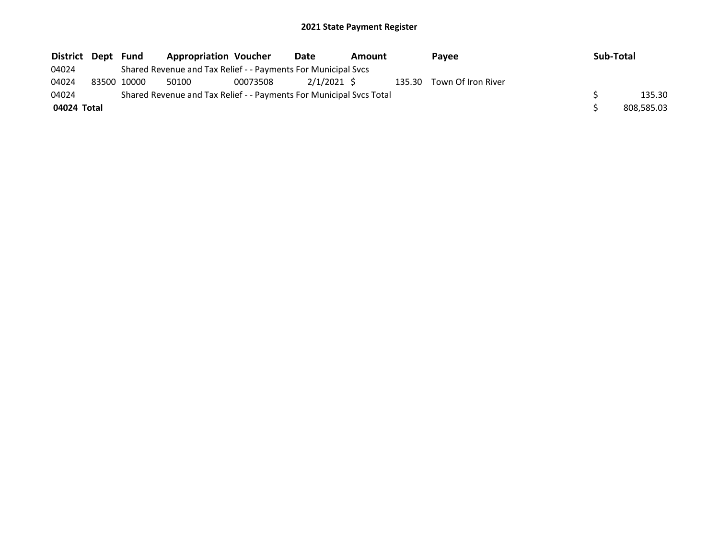| District Dept |             | Fund |                                                                     | <b>Appropriation Voucher</b> |             | Amount |  | <b>Pavee</b>              | Sub-Total |            |
|---------------|-------------|------|---------------------------------------------------------------------|------------------------------|-------------|--------|--|---------------------------|-----------|------------|
| 04024         |             |      | Shared Revenue and Tax Relief - - Payments For Municipal Svcs       |                              |             |        |  |                           |           |            |
| 04024         | 83500 10000 |      | 50100                                                               | 00073508                     | 2/1/2021 \$ |        |  | 135.30 Town Of Iron River |           |            |
| 04024         |             |      | Shared Revenue and Tax Relief - - Payments For Municipal Svcs Total |                              |             |        |  |                           |           | 135.30     |
| 04024 Total   |             |      |                                                                     |                              |             |        |  |                           |           | 808,585.03 |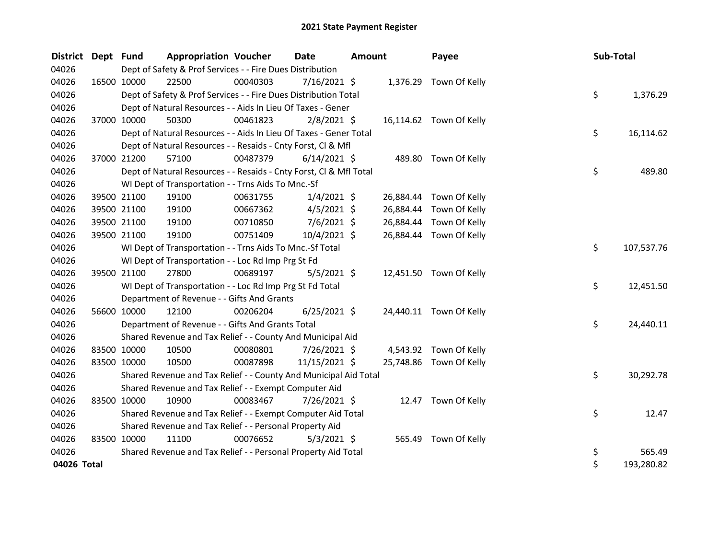| <b>District</b> | Dept Fund   |                                                                                     | <b>Appropriation Voucher</b>                                       |          | <b>Date</b>    |  | <b>Amount</b> | Payee                   | Sub-Total |            |  |
|-----------------|-------------|-------------------------------------------------------------------------------------|--------------------------------------------------------------------|----------|----------------|--|---------------|-------------------------|-----------|------------|--|
| 04026           |             | Dept of Safety & Prof Services - - Fire Dues Distribution<br>1,376.29 Town Of Kelly |                                                                    |          |                |  |               |                         |           |            |  |
| 04026           | 16500 10000 |                                                                                     | 22500                                                              | 00040303 | $7/16/2021$ \$ |  |               |                         |           |            |  |
| 04026           |             |                                                                                     | Dept of Safety & Prof Services - - Fire Dues Distribution Total    |          |                |  |               |                         | \$        | 1,376.29   |  |
| 04026           |             |                                                                                     | Dept of Natural Resources - - Aids In Lieu Of Taxes - Gener        |          |                |  |               |                         |           |            |  |
| 04026           | 37000 10000 |                                                                                     | 50300                                                              | 00461823 | $2/8/2021$ \$  |  |               | 16,114.62 Town Of Kelly |           |            |  |
| 04026           |             |                                                                                     | Dept of Natural Resources - - Aids In Lieu Of Taxes - Gener Total  |          |                |  |               |                         | \$        | 16,114.62  |  |
| 04026           |             |                                                                                     | Dept of Natural Resources - - Resaids - Cnty Forst, Cl & Mfl       |          |                |  |               |                         |           |            |  |
| 04026           | 37000 21200 |                                                                                     | 57100                                                              | 00487379 | $6/14/2021$ \$ |  |               | 489.80 Town Of Kelly    |           |            |  |
| 04026           |             |                                                                                     | Dept of Natural Resources - - Resaids - Cnty Forst, Cl & Mfl Total |          |                |  |               |                         | \$        | 489.80     |  |
| 04026           |             |                                                                                     | WI Dept of Transportation - - Trns Aids To Mnc.-Sf                 |          |                |  |               |                         |           |            |  |
| 04026           | 39500 21100 |                                                                                     | 19100                                                              | 00631755 | $1/4/2021$ \$  |  | 26,884.44     | Town Of Kelly           |           |            |  |
| 04026           | 39500 21100 |                                                                                     | 19100                                                              | 00667362 | $4/5/2021$ \$  |  | 26,884.44     | Town Of Kelly           |           |            |  |
| 04026           | 39500 21100 |                                                                                     | 19100                                                              | 00710850 | $7/6/2021$ \$  |  | 26,884.44     | Town Of Kelly           |           |            |  |
| 04026           | 39500 21100 |                                                                                     | 19100                                                              | 00751409 | 10/4/2021 \$   |  |               | 26,884.44 Town Of Kelly |           |            |  |
| 04026           |             |                                                                                     | WI Dept of Transportation - - Trns Aids To Mnc.-Sf Total           |          |                |  |               |                         | \$        | 107,537.76 |  |
| 04026           |             |                                                                                     | WI Dept of Transportation - - Loc Rd Imp Prg St Fd                 |          |                |  |               |                         |           |            |  |
| 04026           |             | 39500 21100                                                                         | 27800                                                              | 00689197 | $5/5/2021$ \$  |  |               | 12,451.50 Town Of Kelly |           |            |  |
| 04026           |             |                                                                                     | WI Dept of Transportation - - Loc Rd Imp Prg St Fd Total           |          |                |  |               |                         | \$        | 12,451.50  |  |
| 04026           |             |                                                                                     | Department of Revenue - - Gifts And Grants                         |          |                |  |               |                         |           |            |  |
| 04026           | 56600 10000 |                                                                                     | 12100                                                              | 00206204 | $6/25/2021$ \$ |  |               | 24,440.11 Town Of Kelly |           |            |  |
| 04026           |             |                                                                                     | Department of Revenue - - Gifts And Grants Total                   |          |                |  |               |                         | \$        | 24,440.11  |  |
| 04026           |             |                                                                                     | Shared Revenue and Tax Relief - - County And Municipal Aid         |          |                |  |               |                         |           |            |  |
| 04026           | 83500 10000 |                                                                                     | 10500                                                              | 00080801 | 7/26/2021 \$   |  |               | 4,543.92 Town Of Kelly  |           |            |  |
| 04026           | 83500 10000 |                                                                                     | 10500                                                              | 00087898 | 11/15/2021 \$  |  | 25,748.86     | Town Of Kelly           |           |            |  |
| 04026           |             |                                                                                     | Shared Revenue and Tax Relief - - County And Municipal Aid Total   |          |                |  |               |                         | \$        | 30,292.78  |  |
| 04026           |             |                                                                                     | Shared Revenue and Tax Relief - - Exempt Computer Aid              |          |                |  |               |                         |           |            |  |
| 04026           | 83500 10000 |                                                                                     | 10900                                                              | 00083467 | 7/26/2021 \$   |  |               | 12.47 Town Of Kelly     |           |            |  |
| 04026           |             |                                                                                     | Shared Revenue and Tax Relief - - Exempt Computer Aid Total        |          |                |  |               |                         | \$        | 12.47      |  |
| 04026           |             |                                                                                     | Shared Revenue and Tax Relief - - Personal Property Aid            |          |                |  |               |                         |           |            |  |
| 04026           | 83500 10000 |                                                                                     | 11100                                                              | 00076652 | $5/3/2021$ \$  |  | 565.49        | Town Of Kelly           |           |            |  |
| 04026           |             |                                                                                     | Shared Revenue and Tax Relief - - Personal Property Aid Total      |          |                |  |               |                         | \$        | 565.49     |  |
| 04026 Total     |             |                                                                                     |                                                                    |          |                |  |               |                         | \$        | 193,280.82 |  |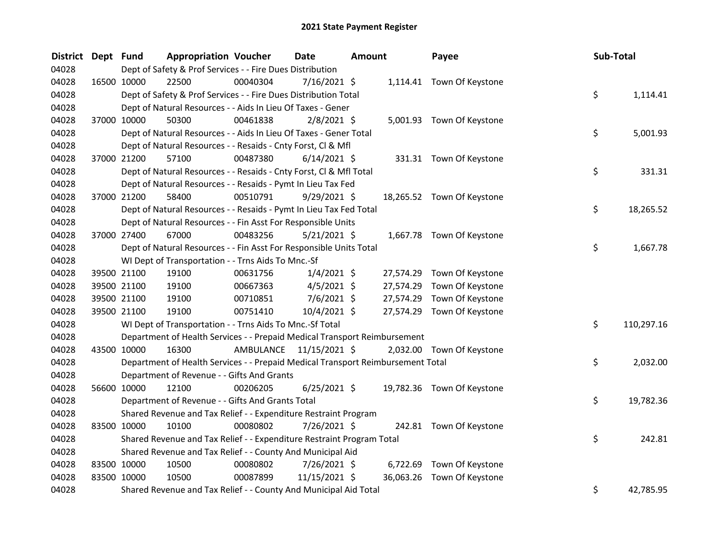| <b>District</b> | Dept Fund | <b>Appropriation Voucher</b>                                                    |           | Date<br><b>Amount</b> |  | Payee     | Sub-Total                  |    |            |
|-----------------|-----------|---------------------------------------------------------------------------------|-----------|-----------------------|--|-----------|----------------------------|----|------------|
| 04028           |           | Dept of Safety & Prof Services - - Fire Dues Distribution                       |           |                       |  |           |                            |    |            |
| 04028           |           | 22500<br>16500 10000                                                            | 00040304  | $7/16/2021$ \$        |  |           | 1,114.41 Town Of Keystone  |    |            |
| 04028           |           | Dept of Safety & Prof Services - - Fire Dues Distribution Total                 |           |                       |  |           |                            | \$ | 1,114.41   |
| 04028           |           | Dept of Natural Resources - - Aids In Lieu Of Taxes - Gener                     |           |                       |  |           |                            |    |            |
| 04028           |           | 37000 10000<br>50300                                                            | 00461838  | $2/8/2021$ \$         |  |           | 5,001.93 Town Of Keystone  |    |            |
| 04028           |           | Dept of Natural Resources - - Aids In Lieu Of Taxes - Gener Total               |           |                       |  |           |                            | \$ | 5,001.93   |
| 04028           |           | Dept of Natural Resources - - Resaids - Cnty Forst, Cl & Mfl                    |           |                       |  |           |                            |    |            |
| 04028           |           | 57100<br>37000 21200                                                            | 00487380  | $6/14/2021$ \$        |  |           | 331.31 Town Of Keystone    |    |            |
| 04028           |           | Dept of Natural Resources - - Resaids - Cnty Forst, Cl & Mfl Total              |           |                       |  |           |                            | \$ | 331.31     |
| 04028           |           | Dept of Natural Resources - - Resaids - Pymt In Lieu Tax Fed                    |           |                       |  |           |                            |    |            |
| 04028           |           | 58400<br>37000 21200                                                            | 00510791  | $9/29/2021$ \$        |  |           | 18,265.52 Town Of Keystone |    |            |
| 04028           |           | Dept of Natural Resources - - Resaids - Pymt In Lieu Tax Fed Total              |           |                       |  |           |                            | \$ | 18,265.52  |
| 04028           |           | Dept of Natural Resources - - Fin Asst For Responsible Units                    |           |                       |  |           |                            |    |            |
| 04028           |           | 37000 27400<br>67000                                                            | 00483256  | $5/21/2021$ \$        |  |           | 1,667.78 Town Of Keystone  |    |            |
| 04028           |           | Dept of Natural Resources - - Fin Asst For Responsible Units Total              | \$        | 1,667.78              |  |           |                            |    |            |
| 04028           |           | WI Dept of Transportation - - Trns Aids To Mnc.-Sf                              |           |                       |  |           |                            |    |            |
| 04028           |           | 39500 21100<br>19100                                                            | 00631756  | $1/4/2021$ \$         |  | 27,574.29 | Town Of Keystone           |    |            |
| 04028           |           | 39500 21100<br>19100                                                            | 00667363  | $4/5/2021$ \$         |  | 27,574.29 | Town Of Keystone           |    |            |
| 04028           |           | 39500 21100<br>19100                                                            | 00710851  | 7/6/2021 \$           |  | 27,574.29 | Town Of Keystone           |    |            |
| 04028           |           | 19100<br>39500 21100                                                            | 00751410  | 10/4/2021 \$          |  |           | 27,574.29 Town Of Keystone |    |            |
| 04028           |           | WI Dept of Transportation - - Trns Aids To Mnc.-Sf Total                        |           |                       |  |           |                            | \$ | 110,297.16 |
| 04028           |           | Department of Health Services - - Prepaid Medical Transport Reimbursement       |           |                       |  |           |                            |    |            |
| 04028           |           | 43500 10000<br>16300                                                            | AMBULANCE | 11/15/2021 \$         |  |           | 2,032.00 Town Of Keystone  |    |            |
| 04028           |           | Department of Health Services - - Prepaid Medical Transport Reimbursement Total |           |                       |  |           |                            | \$ | 2,032.00   |
| 04028           |           | Department of Revenue - - Gifts And Grants                                      |           |                       |  |           |                            |    |            |
| 04028           |           | 56600 10000<br>12100                                                            | 00206205  | $6/25/2021$ \$        |  |           | 19,782.36 Town Of Keystone |    |            |
| 04028           |           | Department of Revenue - - Gifts And Grants Total                                |           |                       |  |           |                            | \$ | 19,782.36  |
| 04028           |           | Shared Revenue and Tax Relief - - Expenditure Restraint Program                 |           |                       |  |           |                            |    |            |
| 04028           |           | 83500 10000<br>10100                                                            | 00080802  | 7/26/2021 \$          |  |           | 242.81 Town Of Keystone    |    |            |
| 04028           |           | Shared Revenue and Tax Relief - - Expenditure Restraint Program Total           |           |                       |  |           |                            | \$ | 242.81     |
| 04028           |           | Shared Revenue and Tax Relief - - County And Municipal Aid                      |           |                       |  |           |                            |    |            |
| 04028           |           | 83500 10000<br>10500                                                            | 00080802  | 7/26/2021 \$          |  |           | 6,722.69 Town Of Keystone  |    |            |
| 04028           |           | 83500 10000<br>10500                                                            | 00087899  | 11/15/2021 \$         |  |           | 36,063.26 Town Of Keystone |    |            |
| 04028           |           | Shared Revenue and Tax Relief - - County And Municipal Aid Total                |           |                       |  |           |                            | \$ | 42,785.95  |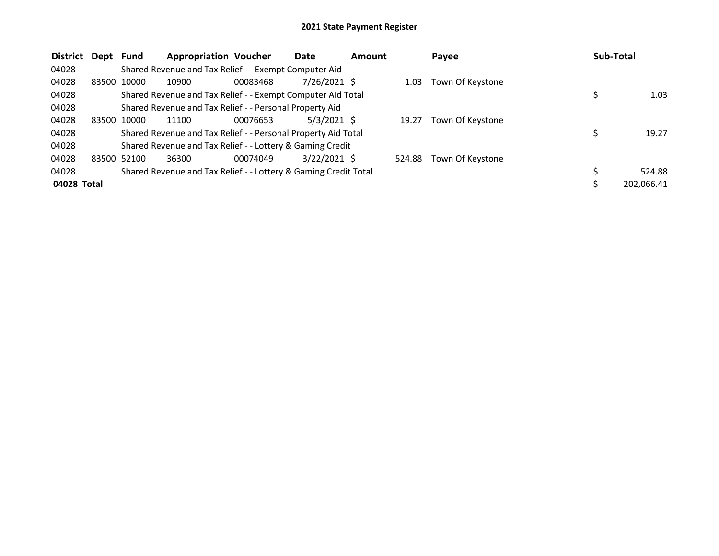| <b>District</b> | Dept Fund |             | <b>Appropriation Voucher</b>                                    |          | Date           | Amount |        | Payee            | <b>Sub-Total</b> |            |
|-----------------|-----------|-------------|-----------------------------------------------------------------|----------|----------------|--------|--------|------------------|------------------|------------|
| 04028           |           |             | Shared Revenue and Tax Relief - - Exempt Computer Aid           |          |                |        |        |                  |                  |            |
| 04028           | 83500     | 10000       | 10900                                                           | 00083468 | 7/26/2021 \$   |        | 1.03   | Town Of Keystone |                  |            |
| 04028           |           |             | Shared Revenue and Tax Relief - - Exempt Computer Aid Total     |          |                |        |        |                  |                  | 1.03       |
| 04028           |           |             | Shared Revenue and Tax Relief - - Personal Property Aid         |          |                |        |        |                  |                  |            |
| 04028           | 83500     | 10000       | 11100                                                           | 00076653 | $5/3/2021$ \$  |        | 19.27  | Town Of Keystone |                  |            |
| 04028           |           |             | Shared Revenue and Tax Relief - - Personal Property Aid Total   |          |                |        |        |                  |                  | 19.27      |
| 04028           |           |             | Shared Revenue and Tax Relief - - Lottery & Gaming Credit       |          |                |        |        |                  |                  |            |
| 04028           |           | 83500 52100 | 36300                                                           | 00074049 | $3/22/2021$ \$ |        | 524.88 | Town Of Keystone |                  |            |
| 04028           |           |             | Shared Revenue and Tax Relief - - Lottery & Gaming Credit Total |          |                |        |        |                  |                  | 524.88     |
| 04028 Total     |           |             |                                                                 |          |                |        |        |                  |                  | 202,066.41 |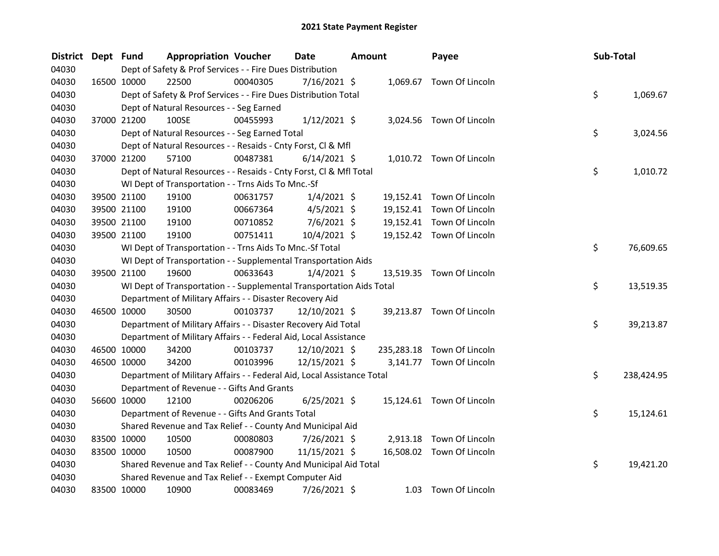| <b>District</b> | Dept Fund |             | <b>Appropriation Voucher</b>                                           |          | <b>Date</b>    | <b>Amount</b> | Payee                      | Sub-Total |            |
|-----------------|-----------|-------------|------------------------------------------------------------------------|----------|----------------|---------------|----------------------------|-----------|------------|
| 04030           |           |             | Dept of Safety & Prof Services - - Fire Dues Distribution              |          |                |               |                            |           |            |
| 04030           |           | 16500 10000 | 22500                                                                  | 00040305 | $7/16/2021$ \$ |               | 1,069.67 Town Of Lincoln   |           |            |
| 04030           |           |             | Dept of Safety & Prof Services - - Fire Dues Distribution Total        |          |                |               |                            | \$        | 1,069.67   |
| 04030           |           |             | Dept of Natural Resources - - Seg Earned                               |          |                |               |                            |           |            |
| 04030           |           | 37000 21200 | 100SE                                                                  | 00455993 | $1/12/2021$ \$ |               | 3,024.56 Town Of Lincoln   |           |            |
| 04030           |           |             | Dept of Natural Resources - - Seg Earned Total                         |          |                |               |                            | \$        | 3,024.56   |
| 04030           |           |             | Dept of Natural Resources - - Resaids - Cnty Forst, Cl & Mfl           |          |                |               |                            |           |            |
| 04030           |           | 37000 21200 | 57100                                                                  | 00487381 | $6/14/2021$ \$ |               | 1,010.72 Town Of Lincoln   |           |            |
| 04030           |           |             | Dept of Natural Resources - - Resaids - Cnty Forst, Cl & Mfl Total     |          |                |               |                            | \$        | 1,010.72   |
| 04030           |           |             | WI Dept of Transportation - - Trns Aids To Mnc.-Sf                     |          |                |               |                            |           |            |
| 04030           |           | 39500 21100 | 19100                                                                  | 00631757 | $1/4/2021$ \$  |               | 19,152.41 Town Of Lincoln  |           |            |
| 04030           |           | 39500 21100 | 19100                                                                  | 00667364 | $4/5/2021$ \$  |               | 19,152.41 Town Of Lincoln  |           |            |
| 04030           |           | 39500 21100 | 19100                                                                  | 00710852 | 7/6/2021 \$    |               | 19,152.41 Town Of Lincoln  |           |            |
| 04030           |           | 39500 21100 | 19100                                                                  | 00751411 | 10/4/2021 \$   |               | 19,152.42 Town Of Lincoln  |           |            |
| 04030           |           |             | WI Dept of Transportation - - Trns Aids To Mnc.-Sf Total               |          |                |               |                            | \$        | 76,609.65  |
| 04030           |           |             | WI Dept of Transportation - - Supplemental Transportation Aids         |          |                |               |                            |           |            |
| 04030           |           | 39500 21100 | 19600                                                                  | 00633643 | $1/4/2021$ \$  |               | 13,519.35 Town Of Lincoln  |           |            |
| 04030           |           |             | WI Dept of Transportation - - Supplemental Transportation Aids Total   |          |                |               |                            | \$        | 13,519.35  |
| 04030           |           |             | Department of Military Affairs - - Disaster Recovery Aid               |          |                |               |                            |           |            |
| 04030           |           | 46500 10000 | 30500                                                                  | 00103737 | 12/10/2021 \$  |               | 39,213.87 Town Of Lincoln  |           |            |
| 04030           |           |             | Department of Military Affairs - - Disaster Recovery Aid Total         |          |                |               |                            | \$        | 39,213.87  |
| 04030           |           |             | Department of Military Affairs - - Federal Aid, Local Assistance       |          |                |               |                            |           |            |
| 04030           |           | 46500 10000 | 34200                                                                  | 00103737 | 12/10/2021 \$  |               | 235,283.18 Town Of Lincoln |           |            |
| 04030           |           | 46500 10000 | 34200                                                                  | 00103996 | 12/15/2021 \$  |               | 3,141.77 Town Of Lincoln   |           |            |
| 04030           |           |             | Department of Military Affairs - - Federal Aid, Local Assistance Total |          |                |               |                            | \$        | 238,424.95 |
| 04030           |           |             | Department of Revenue - - Gifts And Grants                             |          |                |               |                            |           |            |
| 04030           |           | 56600 10000 | 12100                                                                  | 00206206 | $6/25/2021$ \$ |               | 15,124.61 Town Of Lincoln  |           |            |
| 04030           |           |             | Department of Revenue - - Gifts And Grants Total                       |          |                |               |                            | \$        | 15,124.61  |
| 04030           |           |             | Shared Revenue and Tax Relief - - County And Municipal Aid             |          |                |               |                            |           |            |
| 04030           |           | 83500 10000 | 10500                                                                  | 00080803 | 7/26/2021 \$   |               | 2,913.18 Town Of Lincoln   |           |            |
| 04030           |           | 83500 10000 | 10500                                                                  | 00087900 | 11/15/2021 \$  |               | 16,508.02 Town Of Lincoln  |           |            |
| 04030           |           |             | Shared Revenue and Tax Relief - - County And Municipal Aid Total       |          |                |               |                            | \$        | 19,421.20  |
| 04030           |           |             | Shared Revenue and Tax Relief - - Exempt Computer Aid                  |          |                |               |                            |           |            |
| 04030           |           | 83500 10000 | 10900                                                                  | 00083469 | 7/26/2021 \$   |               | 1.03 Town Of Lincoln       |           |            |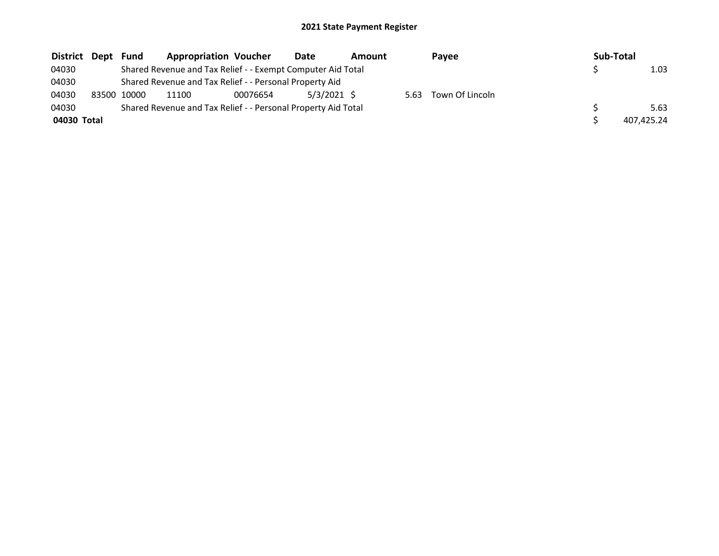| District Dept |       | <b>Fund</b> | <b>Appropriation Voucher</b>                                  |          | Date          | Amount |      | Pavee           | Sub-Total |            |
|---------------|-------|-------------|---------------------------------------------------------------|----------|---------------|--------|------|-----------------|-----------|------------|
| 04030         |       |             | Shared Revenue and Tax Relief - - Exempt Computer Aid Total   |          |               |        |      |                 |           | 1.03       |
| 04030         |       |             | Shared Revenue and Tax Relief - - Personal Property Aid       |          |               |        |      |                 |           |            |
| 04030         | 83500 | 10000       | 11100                                                         | 00076654 | $5/3/2021$ \$ |        | 5.63 | Town Of Lincoln |           |            |
| 04030         |       |             | Shared Revenue and Tax Relief - - Personal Property Aid Total |          |               |        |      |                 |           | 5.63       |
| 04030 Total   |       |             |                                                               |          |               |        |      |                 |           | 407.425.24 |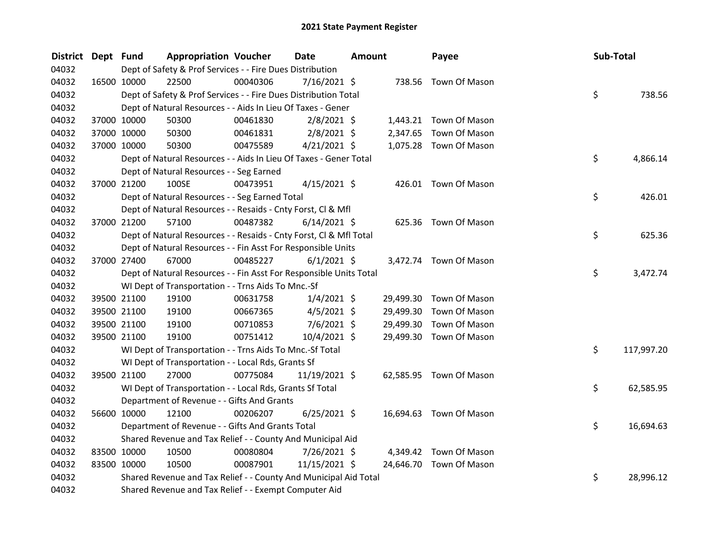| <b>District</b> | Dept Fund |             | <b>Appropriation Voucher</b>                                       |          | <b>Date</b>    | Amount |           | Payee                   | Sub-Total |            |
|-----------------|-----------|-------------|--------------------------------------------------------------------|----------|----------------|--------|-----------|-------------------------|-----------|------------|
| 04032           |           |             | Dept of Safety & Prof Services - - Fire Dues Distribution          |          |                |        |           |                         |           |            |
| 04032           |           | 16500 10000 | 22500                                                              | 00040306 | $7/16/2021$ \$ |        |           | 738.56 Town Of Mason    |           |            |
| 04032           |           |             | Dept of Safety & Prof Services - - Fire Dues Distribution Total    |          |                |        |           |                         | \$        | 738.56     |
| 04032           |           |             | Dept of Natural Resources - - Aids In Lieu Of Taxes - Gener        |          |                |        |           |                         |           |            |
| 04032           |           | 37000 10000 | 50300                                                              | 00461830 | $2/8/2021$ \$  |        |           | 1,443.21 Town Of Mason  |           |            |
| 04032           |           | 37000 10000 | 50300                                                              | 00461831 | $2/8/2021$ \$  |        | 2,347.65  | Town Of Mason           |           |            |
| 04032           |           | 37000 10000 | 50300                                                              | 00475589 | $4/21/2021$ \$ |        |           | 1,075.28 Town Of Mason  |           |            |
| 04032           |           |             | Dept of Natural Resources - - Aids In Lieu Of Taxes - Gener Total  |          |                |        |           |                         | \$        | 4,866.14   |
| 04032           |           |             | Dept of Natural Resources - - Seg Earned                           |          |                |        |           |                         |           |            |
| 04032           |           | 37000 21200 | 100SE                                                              | 00473951 | $4/15/2021$ \$ |        |           | 426.01 Town Of Mason    |           |            |
| 04032           |           |             | Dept of Natural Resources - - Seg Earned Total                     |          |                |        |           |                         | \$        | 426.01     |
| 04032           |           |             | Dept of Natural Resources - - Resaids - Cnty Forst, Cl & Mfl       |          |                |        |           |                         |           |            |
| 04032           |           | 37000 21200 | 57100                                                              | 00487382 | $6/14/2021$ \$ |        |           | 625.36 Town Of Mason    |           |            |
| 04032           |           |             | Dept of Natural Resources - - Resaids - Cnty Forst, Cl & Mfl Total |          |                |        |           |                         | \$        | 625.36     |
| 04032           |           |             | Dept of Natural Resources - - Fin Asst For Responsible Units       |          |                |        |           |                         |           |            |
| 04032           |           | 37000 27400 | 67000                                                              | 00485227 | $6/1/2021$ \$  |        |           | 3,472.74 Town Of Mason  |           |            |
| 04032           |           |             | Dept of Natural Resources - - Fin Asst For Responsible Units Total |          |                |        |           |                         | \$        | 3,472.74   |
| 04032           |           |             | WI Dept of Transportation - - Trns Aids To Mnc.-Sf                 |          |                |        |           |                         |           |            |
| 04032           |           | 39500 21100 | 19100                                                              | 00631758 | $1/4/2021$ \$  |        | 29,499.30 | Town Of Mason           |           |            |
| 04032           |           | 39500 21100 | 19100                                                              | 00667365 | $4/5/2021$ \$  |        | 29,499.30 | Town Of Mason           |           |            |
| 04032           |           | 39500 21100 | 19100                                                              | 00710853 | 7/6/2021 \$    |        | 29,499.30 | Town Of Mason           |           |            |
| 04032           |           | 39500 21100 | 19100                                                              | 00751412 | $10/4/2021$ \$ |        | 29,499.30 | Town Of Mason           |           |            |
| 04032           |           |             | WI Dept of Transportation - - Trns Aids To Mnc.-Sf Total           |          |                |        |           |                         | \$        | 117,997.20 |
| 04032           |           |             | WI Dept of Transportation - - Local Rds, Grants Sf                 |          |                |        |           |                         |           |            |
| 04032           |           | 39500 21100 | 27000                                                              | 00775084 | 11/19/2021 \$  |        |           | 62,585.95 Town Of Mason |           |            |
| 04032           |           |             | WI Dept of Transportation - - Local Rds, Grants Sf Total           |          |                |        |           |                         | \$        | 62,585.95  |
| 04032           |           |             | Department of Revenue - - Gifts And Grants                         |          |                |        |           |                         |           |            |
| 04032           |           | 56600 10000 | 12100                                                              | 00206207 | $6/25/2021$ \$ |        |           | 16,694.63 Town Of Mason |           |            |
| 04032           |           |             | Department of Revenue - - Gifts And Grants Total                   |          |                |        |           |                         | \$        | 16,694.63  |
| 04032           |           |             | Shared Revenue and Tax Relief - - County And Municipal Aid         |          |                |        |           |                         |           |            |
| 04032           |           | 83500 10000 | 10500                                                              | 00080804 | 7/26/2021 \$   |        | 4,349.42  | Town Of Mason           |           |            |
| 04032           |           | 83500 10000 | 10500                                                              | 00087901 | 11/15/2021 \$  |        |           | 24,646.70 Town Of Mason |           |            |
| 04032           |           |             | Shared Revenue and Tax Relief - - County And Municipal Aid Total   |          |                |        |           |                         | \$        | 28,996.12  |
| 04032           |           |             | Shared Revenue and Tax Relief - - Exempt Computer Aid              |          |                |        |           |                         |           |            |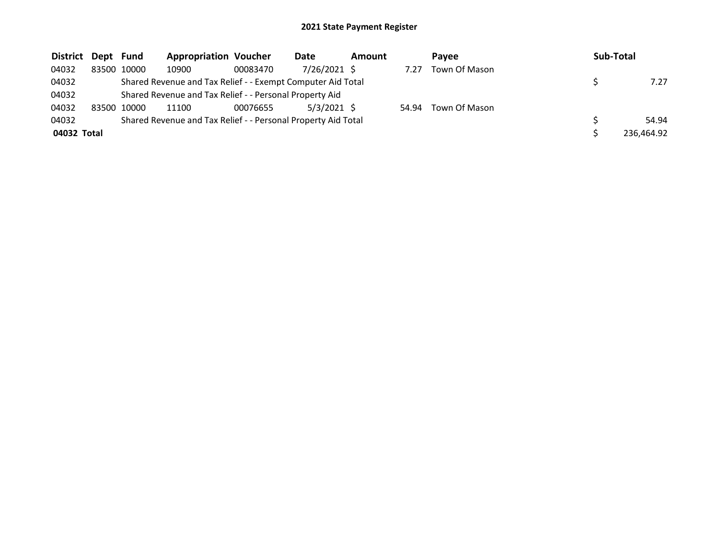| District Dept Fund |             | <b>Appropriation Voucher</b>                                  |          | Date          | <b>Amount</b> |       | Pavee         | Sub-Total  |
|--------------------|-------------|---------------------------------------------------------------|----------|---------------|---------------|-------|---------------|------------|
| 04032              | 83500 10000 | 10900                                                         | 00083470 | 7/26/2021 \$  |               | 7.27  | Town Of Mason |            |
| 04032              |             | Shared Revenue and Tax Relief - - Exempt Computer Aid Total   |          |               |               |       |               | 7.27       |
| 04032              |             | Shared Revenue and Tax Relief - - Personal Property Aid       |          |               |               |       |               |            |
| 04032              | 83500 10000 | 11100                                                         | 00076655 | $5/3/2021$ \$ |               | 54.94 | Town Of Mason |            |
| 04032              |             | Shared Revenue and Tax Relief - - Personal Property Aid Total |          |               |               |       |               | 54.94      |
| 04032 Total        |             |                                                               |          |               |               |       |               | 236,464.92 |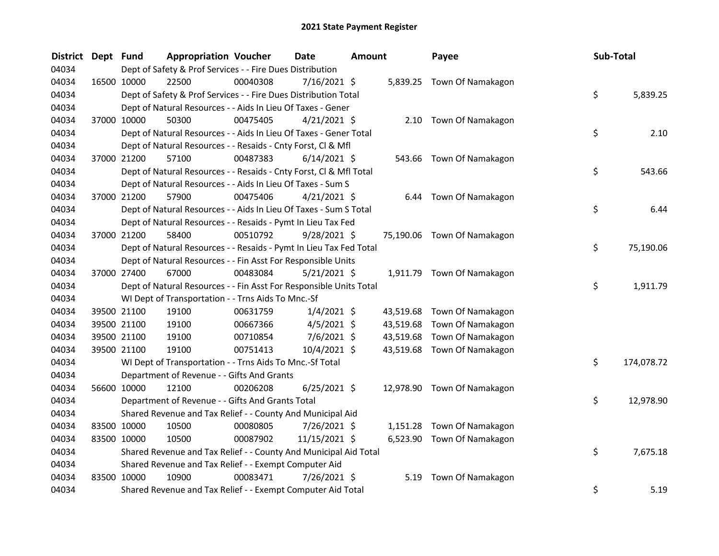| District | Dept Fund | <b>Appropriation Voucher</b>                                       |          | Date           | <b>Amount</b> |           | Payee                       | Sub-Total        |
|----------|-----------|--------------------------------------------------------------------|----------|----------------|---------------|-----------|-----------------------------|------------------|
| 04034    |           | Dept of Safety & Prof Services - - Fire Dues Distribution          |          |                |               |           |                             |                  |
| 04034    |           | 22500<br>16500 10000                                               | 00040308 | $7/16/2021$ \$ |               |           | 5,839.25 Town Of Namakagon  |                  |
| 04034    |           | Dept of Safety & Prof Services - - Fire Dues Distribution Total    |          |                |               |           |                             | \$<br>5,839.25   |
| 04034    |           | Dept of Natural Resources - - Aids In Lieu Of Taxes - Gener        |          |                |               |           |                             |                  |
| 04034    |           | 37000 10000<br>50300                                               | 00475405 | $4/21/2021$ \$ |               |           | 2.10 Town Of Namakagon      |                  |
| 04034    |           | Dept of Natural Resources - - Aids In Lieu Of Taxes - Gener Total  |          |                |               |           |                             | \$<br>2.10       |
| 04034    |           | Dept of Natural Resources - - Resaids - Cnty Forst, Cl & Mfl       |          |                |               |           |                             |                  |
| 04034    |           | 37000 21200<br>57100                                               | 00487383 | $6/14/2021$ \$ |               | 543.66    | Town Of Namakagon           |                  |
| 04034    |           | Dept of Natural Resources - - Resaids - Cnty Forst, Cl & Mfl Total |          |                |               |           |                             | \$<br>543.66     |
| 04034    |           | Dept of Natural Resources - - Aids In Lieu Of Taxes - Sum S        |          |                |               |           |                             |                  |
| 04034    |           | 57900<br>37000 21200                                               | 00475406 | $4/21/2021$ \$ |               | 6.44      | Town Of Namakagon           |                  |
| 04034    |           | Dept of Natural Resources - - Aids In Lieu Of Taxes - Sum S Total  |          |                |               |           |                             | \$<br>6.44       |
| 04034    |           | Dept of Natural Resources - - Resaids - Pymt In Lieu Tax Fed       |          |                |               |           |                             |                  |
| 04034    |           | 58400<br>37000 21200                                               | 00510792 | $9/28/2021$ \$ |               |           | 75,190.06 Town Of Namakagon |                  |
| 04034    |           | Dept of Natural Resources - - Resaids - Pymt In Lieu Tax Fed Total |          |                |               |           |                             | \$<br>75,190.06  |
| 04034    |           | Dept of Natural Resources - - Fin Asst For Responsible Units       |          |                |               |           |                             |                  |
| 04034    |           | 67000<br>37000 27400                                               | 00483084 | $5/21/2021$ \$ |               |           | 1,911.79 Town Of Namakagon  |                  |
| 04034    |           | Dept of Natural Resources - - Fin Asst For Responsible Units Total |          |                |               |           |                             | \$<br>1,911.79   |
| 04034    |           | WI Dept of Transportation - - Trns Aids To Mnc.-Sf                 |          |                |               |           |                             |                  |
| 04034    |           | 39500 21100<br>19100                                               | 00631759 | $1/4/2021$ \$  |               |           | 43,519.68 Town Of Namakagon |                  |
| 04034    |           | 39500 21100<br>19100                                               | 00667366 | $4/5/2021$ \$  |               | 43,519.68 | Town Of Namakagon           |                  |
| 04034    |           | 39500 21100<br>19100                                               | 00710854 | $7/6/2021$ \$  |               | 43,519.68 | Town Of Namakagon           |                  |
| 04034    |           | 39500 21100<br>19100                                               | 00751413 | 10/4/2021 \$   |               |           | 43,519.68 Town Of Namakagon |                  |
| 04034    |           | WI Dept of Transportation - - Trns Aids To Mnc.-Sf Total           |          |                |               |           |                             | \$<br>174,078.72 |
| 04034    |           | Department of Revenue - - Gifts And Grants                         |          |                |               |           |                             |                  |
| 04034    |           | 56600 10000<br>12100                                               | 00206208 | $6/25/2021$ \$ |               |           | 12,978.90 Town Of Namakagon |                  |
| 04034    |           | Department of Revenue - - Gifts And Grants Total                   |          |                |               |           |                             | \$<br>12,978.90  |
| 04034    |           | Shared Revenue and Tax Relief - - County And Municipal Aid         |          |                |               |           |                             |                  |
| 04034    |           | 83500 10000<br>10500                                               | 00080805 | 7/26/2021 \$   |               | 1,151.28  | Town Of Namakagon           |                  |
| 04034    |           | 83500 10000<br>10500                                               | 00087902 | 11/15/2021 \$  |               |           | 6,523.90 Town Of Namakagon  |                  |
| 04034    |           | Shared Revenue and Tax Relief - - County And Municipal Aid Total   |          |                |               |           |                             | \$<br>7,675.18   |
| 04034    |           | Shared Revenue and Tax Relief - - Exempt Computer Aid              |          |                |               |           |                             |                  |
| 04034    |           | 83500 10000<br>10900                                               | 00083471 | 7/26/2021 \$   |               | 5.19      | Town Of Namakagon           |                  |
| 04034    |           | Shared Revenue and Tax Relief - - Exempt Computer Aid Total        |          |                |               |           |                             | \$<br>5.19       |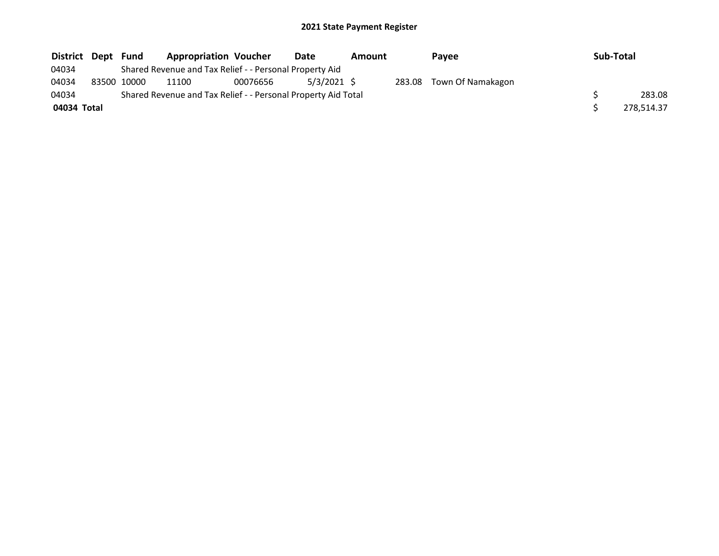| District Dept | Fund        | <b>Appropriation Voucher</b>                                  |          | Date          | Amount | Pavee                    | Sub-Total |            |
|---------------|-------------|---------------------------------------------------------------|----------|---------------|--------|--------------------------|-----------|------------|
| 04034         |             | Shared Revenue and Tax Relief - - Personal Property Aid       |          |               |        |                          |           |            |
| 04034         | 83500 10000 | 11100                                                         | 00076656 | $5/3/2021$ \$ |        | 283.08 Town Of Namakagon |           |            |
| 04034         |             | Shared Revenue and Tax Relief - - Personal Property Aid Total |          |               |        |                          |           | 283.08     |
| 04034 Total   |             |                                                               |          |               |        |                          |           | 278,514.37 |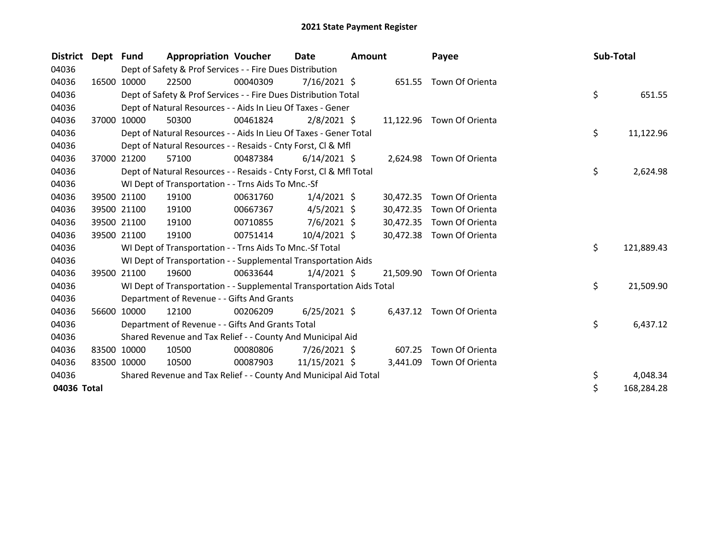| <b>District</b> | Dept Fund |             | <b>Appropriation Voucher</b>                                         |          | Date           | <b>Amount</b> |           | Payee                     | Sub-Total |            |
|-----------------|-----------|-------------|----------------------------------------------------------------------|----------|----------------|---------------|-----------|---------------------------|-----------|------------|
| 04036           |           |             | Dept of Safety & Prof Services - - Fire Dues Distribution            |          |                |               |           |                           |           |            |
| 04036           |           | 16500 10000 | 22500                                                                | 00040309 | $7/16/2021$ \$ |               |           | 651.55 Town Of Orienta    |           |            |
| 04036           |           |             | Dept of Safety & Prof Services - - Fire Dues Distribution Total      |          |                |               |           |                           | \$        | 651.55     |
| 04036           |           |             | Dept of Natural Resources - - Aids In Lieu Of Taxes - Gener          |          |                |               |           |                           |           |            |
| 04036           | 37000     | 10000       | 50300                                                                | 00461824 | $2/8/2021$ \$  |               |           | 11,122.96 Town Of Orienta |           |            |
| 04036           |           |             | Dept of Natural Resources - - Aids In Lieu Of Taxes - Gener Total    |          |                |               |           |                           | \$.       | 11,122.96  |
| 04036           |           |             | Dept of Natural Resources - - Resaids - Cnty Forst, CI & Mfl         |          |                |               |           |                           |           |            |
| 04036           | 37000     | 21200       | 57100                                                                | 00487384 | $6/14/2021$ \$ |               |           | 2,624.98 Town Of Orienta  |           |            |
| 04036           |           |             | Dept of Natural Resources - - Resaids - Cnty Forst, CI & Mfl Total   |          |                |               |           |                           | \$        | 2,624.98   |
| 04036           |           |             | WI Dept of Transportation - - Trns Aids To Mnc.-Sf                   |          |                |               |           |                           |           |            |
| 04036           |           | 39500 21100 | 19100                                                                | 00631760 | $1/4/2021$ \$  |               | 30,472.35 | Town Of Orienta           |           |            |
| 04036           |           | 39500 21100 | 19100                                                                | 00667367 | $4/5/2021$ \$  |               | 30,472.35 | Town Of Orienta           |           |            |
| 04036           |           | 39500 21100 | 19100                                                                | 00710855 | $7/6/2021$ \$  |               | 30,472.35 | Town Of Orienta           |           |            |
| 04036           |           | 39500 21100 | 19100                                                                | 00751414 | 10/4/2021 \$   |               | 30,472.38 | Town Of Orienta           |           |            |
| 04036           |           |             | WI Dept of Transportation - - Trns Aids To Mnc.-Sf Total             |          |                |               |           |                           | \$.       | 121,889.43 |
| 04036           |           |             | WI Dept of Transportation - - Supplemental Transportation Aids       |          |                |               |           |                           |           |            |
| 04036           | 39500     | 21100       | 19600                                                                | 00633644 | $1/4/2021$ \$  |               | 21.509.90 | Town Of Orienta           |           |            |
| 04036           |           |             | WI Dept of Transportation - - Supplemental Transportation Aids Total |          |                |               |           |                           | \$.       | 21,509.90  |
| 04036           |           |             | Department of Revenue - - Gifts And Grants                           |          |                |               |           |                           |           |            |
| 04036           |           | 56600 10000 | 12100                                                                | 00206209 | $6/25/2021$ \$ |               |           | 6,437.12 Town Of Orienta  |           |            |
| 04036           |           |             | Department of Revenue - - Gifts And Grants Total                     |          |                |               |           |                           | \$        | 6,437.12   |
| 04036           |           |             | Shared Revenue and Tax Relief - - County And Municipal Aid           |          |                |               |           |                           |           |            |
| 04036           |           | 83500 10000 | 10500                                                                | 00080806 | 7/26/2021 \$   |               | 607.25    | Town Of Orienta           |           |            |
| 04036           |           | 83500 10000 | 10500                                                                | 00087903 | 11/15/2021 \$  |               | 3,441.09  | Town Of Orienta           |           |            |
| 04036           |           |             | Shared Revenue and Tax Relief - - County And Municipal Aid Total     |          |                |               |           |                           | \$        | 4,048.34   |
| 04036 Total     |           |             |                                                                      |          |                |               |           |                           | Ś         | 168,284.28 |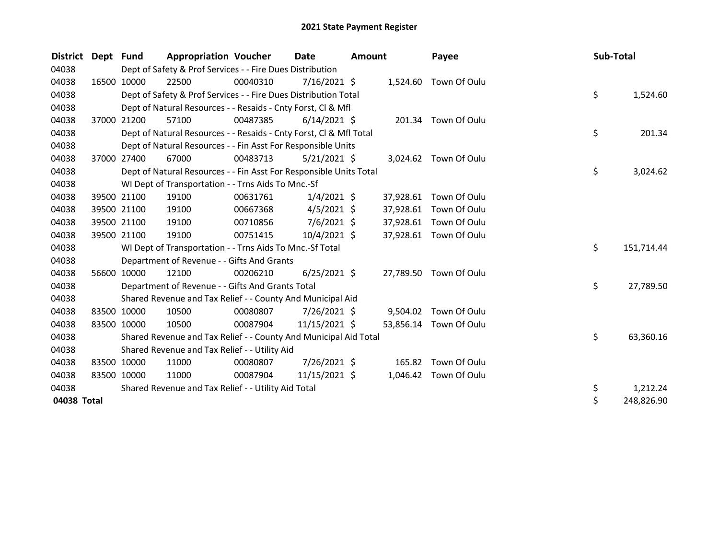| <b>District</b> | Dept  | <b>Fund</b> | <b>Appropriation Voucher</b>                                       |          | <b>Date</b>    | <b>Amount</b> |           | Payee                  | Sub-Total |            |
|-----------------|-------|-------------|--------------------------------------------------------------------|----------|----------------|---------------|-----------|------------------------|-----------|------------|
| 04038           |       |             | Dept of Safety & Prof Services - - Fire Dues Distribution          |          |                |               |           |                        |           |            |
| 04038           | 16500 | 10000       | 22500                                                              | 00040310 | $7/16/2021$ \$ |               | 1,524.60  | Town Of Oulu           |           |            |
| 04038           |       |             | Dept of Safety & Prof Services - - Fire Dues Distribution Total    |          |                |               |           |                        | \$        | 1,524.60   |
| 04038           |       |             | Dept of Natural Resources - - Resaids - Cnty Forst, CI & Mfl       |          |                |               |           |                        |           |            |
| 04038           | 37000 | 21200       | 57100                                                              | 00487385 | $6/14/2021$ \$ |               |           | 201.34 Town Of Oulu    |           |            |
| 04038           |       |             | Dept of Natural Resources - - Resaids - Cnty Forst, CI & Mfl Total |          |                |               |           |                        | \$        | 201.34     |
| 04038           |       |             | Dept of Natural Resources - - Fin Asst For Responsible Units       |          |                |               |           |                        |           |            |
| 04038           | 37000 | 27400       | 67000                                                              | 00483713 | $5/21/2021$ \$ |               |           | 3,024.62 Town Of Oulu  |           |            |
| 04038           |       |             | Dept of Natural Resources - - Fin Asst For Responsible Units Total |          |                |               |           |                        | \$        | 3,024.62   |
| 04038           |       |             | WI Dept of Transportation - - Trns Aids To Mnc.-Sf                 |          |                |               |           |                        |           |            |
| 04038           |       | 39500 21100 | 19100                                                              | 00631761 | $1/4/2021$ \$  |               | 37,928.61 | Town Of Oulu           |           |            |
| 04038           |       | 39500 21100 | 19100                                                              | 00667368 | $4/5/2021$ \$  |               | 37,928.61 | Town Of Oulu           |           |            |
| 04038           |       | 39500 21100 | 19100                                                              | 00710856 | $7/6/2021$ \$  |               | 37,928.61 | Town Of Oulu           |           |            |
| 04038           |       | 39500 21100 | 19100                                                              | 00751415 | $10/4/2021$ \$ |               |           | 37,928.61 Town Of Oulu |           |            |
| 04038           |       |             | WI Dept of Transportation - - Trns Aids To Mnc.-Sf Total           |          |                |               |           |                        | \$        | 151,714.44 |
| 04038           |       |             | Department of Revenue - - Gifts And Grants                         |          |                |               |           |                        |           |            |
| 04038           |       | 56600 10000 | 12100                                                              | 00206210 | $6/25/2021$ \$ |               |           | 27,789.50 Town Of Oulu |           |            |
| 04038           |       |             | Department of Revenue - - Gifts And Grants Total                   |          |                |               |           |                        | \$        | 27,789.50  |
| 04038           |       |             | Shared Revenue and Tax Relief - - County And Municipal Aid         |          |                |               |           |                        |           |            |
| 04038           |       | 83500 10000 | 10500                                                              | 00080807 | $7/26/2021$ \$ |               | 9,504.02  | Town Of Oulu           |           |            |
| 04038           |       | 83500 10000 | 10500                                                              | 00087904 | 11/15/2021 \$  |               | 53,856.14 | Town Of Oulu           |           |            |
| 04038           |       |             | Shared Revenue and Tax Relief - - County And Municipal Aid Total   |          |                |               |           |                        | \$        | 63,360.16  |
| 04038           |       |             | Shared Revenue and Tax Relief - - Utility Aid                      |          |                |               |           |                        |           |            |
| 04038           |       | 83500 10000 | 11000                                                              | 00080807 | 7/26/2021 \$   |               | 165.82    | Town Of Oulu           |           |            |
| 04038           |       | 83500 10000 | 11000                                                              | 00087904 | 11/15/2021 \$  |               | 1,046.42  | Town Of Oulu           |           |            |
| 04038           |       |             | Shared Revenue and Tax Relief - - Utility Aid Total                |          |                |               |           |                        | \$        | 1,212.24   |
| 04038 Total     |       |             |                                                                    |          |                |               |           |                        | \$        | 248,826.90 |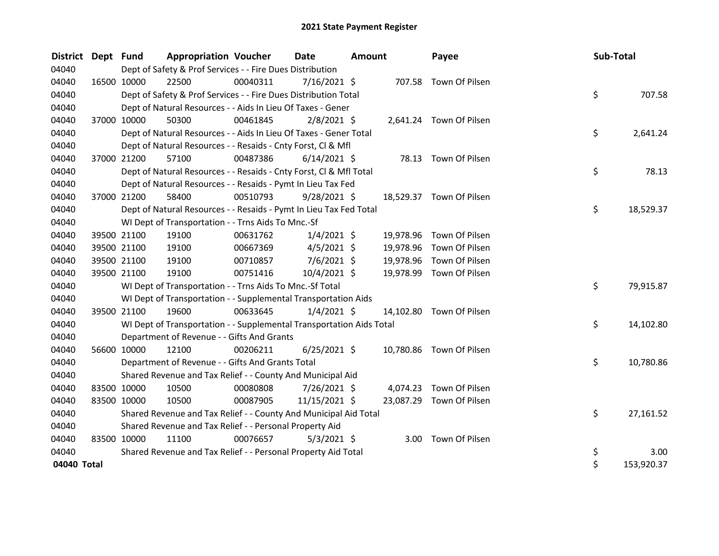| <b>District</b> | Dept Fund |             | <b>Appropriation Voucher</b>                                         |          | <b>Date</b>    | Amount |           | Payee                    | Sub-Total |            |
|-----------------|-----------|-------------|----------------------------------------------------------------------|----------|----------------|--------|-----------|--------------------------|-----------|------------|
| 04040           |           |             | Dept of Safety & Prof Services - - Fire Dues Distribution            |          |                |        |           |                          |           |            |
| 04040           |           | 16500 10000 | 22500                                                                | 00040311 | $7/16/2021$ \$ |        |           | 707.58 Town Of Pilsen    |           |            |
| 04040           |           |             | Dept of Safety & Prof Services - - Fire Dues Distribution Total      |          |                |        |           |                          | \$        | 707.58     |
| 04040           |           |             | Dept of Natural Resources - - Aids In Lieu Of Taxes - Gener          |          |                |        |           |                          |           |            |
| 04040           |           | 37000 10000 | 50300                                                                | 00461845 | $2/8/2021$ \$  |        |           | 2,641.24 Town Of Pilsen  |           |            |
| 04040           |           |             | Dept of Natural Resources - - Aids In Lieu Of Taxes - Gener Total    |          |                |        |           |                          | \$.       | 2,641.24   |
| 04040           |           |             | Dept of Natural Resources - - Resaids - Cnty Forst, Cl & Mfl         |          |                |        |           |                          |           |            |
| 04040           |           | 37000 21200 | 57100                                                                | 00487386 | $6/14/2021$ \$ |        |           | 78.13 Town Of Pilsen     |           |            |
| 04040           |           |             | Dept of Natural Resources - - Resaids - Cnty Forst, Cl & Mfl Total   |          |                |        |           |                          | \$        | 78.13      |
| 04040           |           |             | Dept of Natural Resources - - Resaids - Pymt In Lieu Tax Fed         |          |                |        |           |                          |           |            |
| 04040           |           | 37000 21200 | 58400                                                                | 00510793 | $9/28/2021$ \$ |        |           | 18,529.37 Town Of Pilsen |           |            |
| 04040           |           |             | Dept of Natural Resources - - Resaids - Pymt In Lieu Tax Fed Total   |          |                |        |           |                          | \$        | 18,529.37  |
| 04040           |           |             | WI Dept of Transportation - - Trns Aids To Mnc.-Sf                   |          |                |        |           |                          |           |            |
| 04040           |           | 39500 21100 | 19100                                                                | 00631762 | $1/4/2021$ \$  |        |           | 19,978.96 Town Of Pilsen |           |            |
| 04040           |           | 39500 21100 | 19100                                                                | 00667369 | $4/5/2021$ \$  |        | 19,978.96 | Town Of Pilsen           |           |            |
| 04040           |           | 39500 21100 | 19100                                                                | 00710857 | $7/6/2021$ \$  |        | 19,978.96 | Town Of Pilsen           |           |            |
| 04040           |           | 39500 21100 | 19100                                                                | 00751416 | 10/4/2021 \$   |        | 19,978.99 | Town Of Pilsen           |           |            |
| 04040           |           |             | WI Dept of Transportation - - Trns Aids To Mnc.-Sf Total             |          |                |        |           |                          | \$        | 79,915.87  |
| 04040           |           |             | WI Dept of Transportation - - Supplemental Transportation Aids       |          |                |        |           |                          |           |            |
| 04040           |           | 39500 21100 | 19600                                                                | 00633645 | $1/4/2021$ \$  |        |           | 14,102.80 Town Of Pilsen |           |            |
| 04040           |           |             | WI Dept of Transportation - - Supplemental Transportation Aids Total |          |                |        |           |                          | \$        | 14,102.80  |
| 04040           |           |             | Department of Revenue - - Gifts And Grants                           |          |                |        |           |                          |           |            |
| 04040           |           | 56600 10000 | 12100                                                                | 00206211 | $6/25/2021$ \$ |        |           | 10,780.86 Town Of Pilsen |           |            |
| 04040           |           |             | Department of Revenue - - Gifts And Grants Total                     |          |                |        |           |                          | \$        | 10,780.86  |
| 04040           |           |             | Shared Revenue and Tax Relief - - County And Municipal Aid           |          |                |        |           |                          |           |            |
| 04040           |           | 83500 10000 | 10500                                                                | 00080808 | 7/26/2021 \$   |        |           | 4,074.23 Town Of Pilsen  |           |            |
| 04040           |           | 83500 10000 | 10500                                                                | 00087905 | 11/15/2021 \$  |        | 23,087.29 | Town Of Pilsen           |           |            |
| 04040           |           |             | Shared Revenue and Tax Relief - - County And Municipal Aid Total     |          |                |        |           |                          | \$        | 27,161.52  |
| 04040           |           |             | Shared Revenue and Tax Relief - - Personal Property Aid              |          |                |        |           |                          |           |            |
| 04040           |           | 83500 10000 | 11100                                                                | 00076657 | $5/3/2021$ \$  |        |           | 3.00 Town Of Pilsen      |           |            |
| 04040           |           |             | Shared Revenue and Tax Relief - - Personal Property Aid Total        |          |                |        |           |                          | \$        | 3.00       |
| 04040 Total     |           |             |                                                                      |          |                |        |           |                          | \$        | 153,920.37 |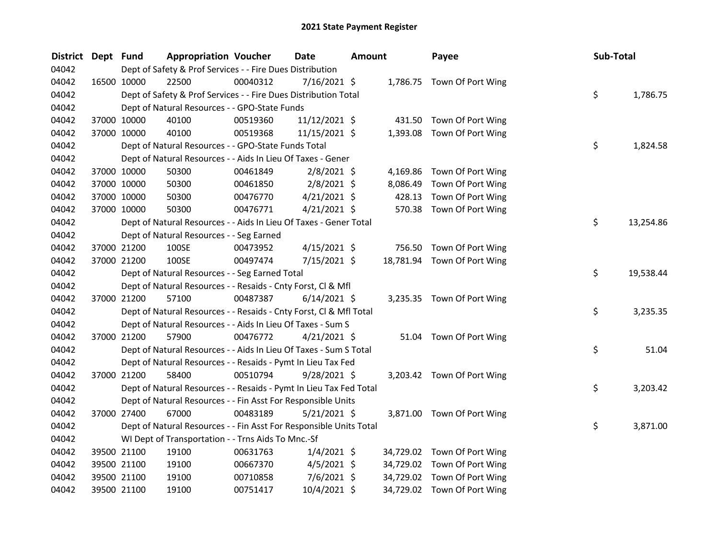| <b>District</b> | Dept Fund |             | <b>Appropriation Voucher</b>                                       |          | Date           | Amount |          | Payee                       | Sub-Total |           |
|-----------------|-----------|-------------|--------------------------------------------------------------------|----------|----------------|--------|----------|-----------------------------|-----------|-----------|
| 04042           |           |             | Dept of Safety & Prof Services - - Fire Dues Distribution          |          |                |        |          |                             |           |           |
| 04042           |           | 16500 10000 | 22500                                                              | 00040312 | 7/16/2021 \$   |        |          | 1,786.75 Town Of Port Wing  |           |           |
| 04042           |           |             | Dept of Safety & Prof Services - - Fire Dues Distribution Total    |          |                |        |          |                             | \$        | 1,786.75  |
| 04042           |           |             | Dept of Natural Resources - - GPO-State Funds                      |          |                |        |          |                             |           |           |
| 04042           |           | 37000 10000 | 40100                                                              | 00519360 | 11/12/2021 \$  |        |          | 431.50 Town Of Port Wing    |           |           |
| 04042           |           | 37000 10000 | 40100                                                              | 00519368 | 11/15/2021 \$  |        |          | 1,393.08 Town Of Port Wing  |           |           |
| 04042           |           |             | Dept of Natural Resources - - GPO-State Funds Total                |          |                |        |          |                             | \$        | 1,824.58  |
| 04042           |           |             | Dept of Natural Resources - - Aids In Lieu Of Taxes - Gener        |          |                |        |          |                             |           |           |
| 04042           |           | 37000 10000 | 50300                                                              | 00461849 | $2/8/2021$ \$  |        | 4,169.86 | Town Of Port Wing           |           |           |
| 04042           |           | 37000 10000 | 50300                                                              | 00461850 | $2/8/2021$ \$  |        | 8,086.49 | Town Of Port Wing           |           |           |
| 04042           |           | 37000 10000 | 50300                                                              | 00476770 | $4/21/2021$ \$ |        | 428.13   | Town Of Port Wing           |           |           |
| 04042           |           | 37000 10000 | 50300                                                              | 00476771 | $4/21/2021$ \$ |        |          | 570.38 Town Of Port Wing    |           |           |
| 04042           |           |             | Dept of Natural Resources - - Aids In Lieu Of Taxes - Gener Total  |          |                |        |          |                             | \$.       | 13,254.86 |
| 04042           |           |             | Dept of Natural Resources - - Seg Earned                           |          |                |        |          |                             |           |           |
| 04042           |           | 37000 21200 | 100SE                                                              | 00473952 | $4/15/2021$ \$ |        |          | 756.50 Town Of Port Wing    |           |           |
| 04042           |           | 37000 21200 | 100SE                                                              | 00497474 | 7/15/2021 \$   |        |          | 18,781.94 Town Of Port Wing |           |           |
| 04042           |           |             | Dept of Natural Resources - - Seg Earned Total                     |          |                |        |          |                             | \$        | 19,538.44 |
| 04042           |           |             | Dept of Natural Resources - - Resaids - Cnty Forst, Cl & Mfl       |          |                |        |          |                             |           |           |
| 04042           |           | 37000 21200 | 57100                                                              | 00487387 | $6/14/2021$ \$ |        |          | 3,235.35 Town Of Port Wing  |           |           |
| 04042           |           |             | Dept of Natural Resources - - Resaids - Cnty Forst, CI & Mfl Total |          |                |        |          |                             | \$        | 3,235.35  |
| 04042           |           |             | Dept of Natural Resources - - Aids In Lieu Of Taxes - Sum S        |          |                |        |          |                             |           |           |
| 04042           |           | 37000 21200 | 57900                                                              | 00476772 | $4/21/2021$ \$ |        | 51.04    | Town Of Port Wing           |           |           |
| 04042           |           |             | Dept of Natural Resources - - Aids In Lieu Of Taxes - Sum S Total  |          |                |        |          |                             | \$        | 51.04     |
| 04042           |           |             | Dept of Natural Resources - - Resaids - Pymt In Lieu Tax Fed       |          |                |        |          |                             |           |           |
| 04042           |           | 37000 21200 | 58400                                                              | 00510794 | $9/28/2021$ \$ |        |          | 3,203.42 Town Of Port Wing  |           |           |
| 04042           |           |             | Dept of Natural Resources - - Resaids - Pymt In Lieu Tax Fed Total |          |                |        |          |                             | \$        | 3,203.42  |
| 04042           |           |             | Dept of Natural Resources - - Fin Asst For Responsible Units       |          |                |        |          |                             |           |           |
| 04042           |           | 37000 27400 | 67000                                                              | 00483189 | $5/21/2021$ \$ |        |          | 3,871.00 Town Of Port Wing  |           |           |
| 04042           |           |             | Dept of Natural Resources - - Fin Asst For Responsible Units Total |          |                |        |          |                             | \$        | 3,871.00  |
| 04042           |           |             | WI Dept of Transportation - - Trns Aids To Mnc.-Sf                 |          |                |        |          |                             |           |           |
| 04042           |           | 39500 21100 | 19100                                                              | 00631763 | $1/4/2021$ \$  |        |          | 34,729.02 Town Of Port Wing |           |           |
| 04042           |           | 39500 21100 | 19100                                                              | 00667370 | $4/5/2021$ \$  |        |          | 34,729.02 Town Of Port Wing |           |           |
| 04042           |           | 39500 21100 | 19100                                                              | 00710858 | $7/6/2021$ \$  |        |          | 34,729.02 Town Of Port Wing |           |           |
| 04042           |           | 39500 21100 | 19100                                                              | 00751417 | 10/4/2021 \$   |        |          | 34,729.02 Town Of Port Wing |           |           |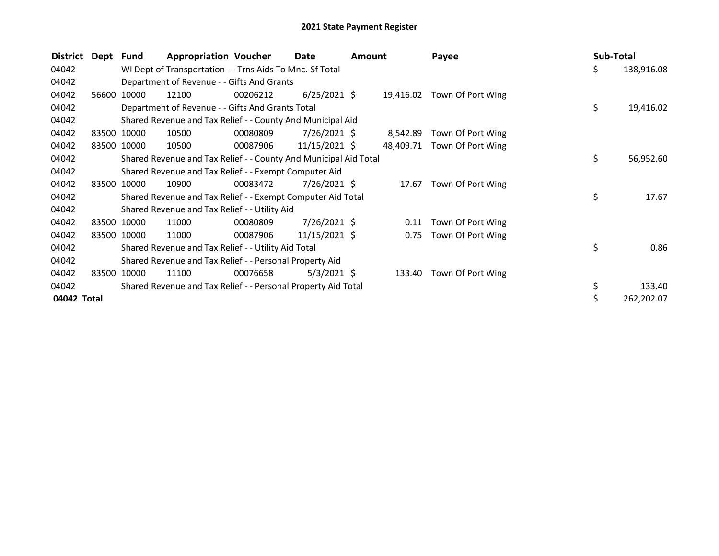| <b>District</b> | Dept Fund |       | <b>Appropriation Voucher</b>                                     |          | Date            | Amount |           | Payee             | Sub-Total |            |
|-----------------|-----------|-------|------------------------------------------------------------------|----------|-----------------|--------|-----------|-------------------|-----------|------------|
| 04042           |           |       | WI Dept of Transportation - - Trns Aids To Mnc.-Sf Total         |          |                 |        |           |                   | \$.       | 138,916.08 |
| 04042           |           |       | Department of Revenue - - Gifts And Grants                       |          |                 |        |           |                   |           |            |
| 04042           | 56600     | 10000 | 12100                                                            | 00206212 | $6/25/2021$ \$  |        | 19,416.02 | Town Of Port Wing |           |            |
| 04042           |           |       | Department of Revenue - - Gifts And Grants Total                 |          |                 |        |           |                   | \$        | 19,416.02  |
| 04042           |           |       | Shared Revenue and Tax Relief - - County And Municipal Aid       |          |                 |        |           |                   |           |            |
| 04042           | 83500     | 10000 | 10500                                                            | 00080809 | 7/26/2021 \$    |        | 8,542.89  | Town Of Port Wing |           |            |
| 04042           | 83500     | 10000 | 10500                                                            | 00087906 | $11/15/2021$ \$ |        | 48,409.71 | Town Of Port Wing |           |            |
| 04042           |           |       | Shared Revenue and Tax Relief - - County And Municipal Aid Total |          |                 |        |           |                   | \$        | 56,952.60  |
| 04042           |           |       | Shared Revenue and Tax Relief - - Exempt Computer Aid            |          |                 |        |           |                   |           |            |
| 04042           | 83500     | 10000 | 10900                                                            | 00083472 | 7/26/2021 \$    |        | 17.67     | Town Of Port Wing |           |            |
| 04042           |           |       | Shared Revenue and Tax Relief - - Exempt Computer Aid Total      |          |                 |        |           |                   | \$        | 17.67      |
| 04042           |           |       | Shared Revenue and Tax Relief - - Utility Aid                    |          |                 |        |           |                   |           |            |
| 04042           | 83500     | 10000 | 11000                                                            | 00080809 | $7/26/2021$ \$  |        | 0.11      | Town Of Port Wing |           |            |
| 04042           | 83500     | 10000 | 11000                                                            | 00087906 | $11/15/2021$ \$ |        | 0.75      | Town Of Port Wing |           |            |
| 04042           |           |       | Shared Revenue and Tax Relief - - Utility Aid Total              |          |                 |        |           |                   | \$        | 0.86       |
| 04042           |           |       | Shared Revenue and Tax Relief - - Personal Property Aid          |          |                 |        |           |                   |           |            |
| 04042           | 83500     | 10000 | 11100                                                            | 00076658 | $5/3/2021$ \$   |        | 133.40    | Town Of Port Wing |           |            |
| 04042           |           |       | Shared Revenue and Tax Relief - - Personal Property Aid Total    |          |                 |        |           |                   | \$        | 133.40     |
| 04042 Total     |           |       |                                                                  |          |                 |        |           |                   |           | 262,202.07 |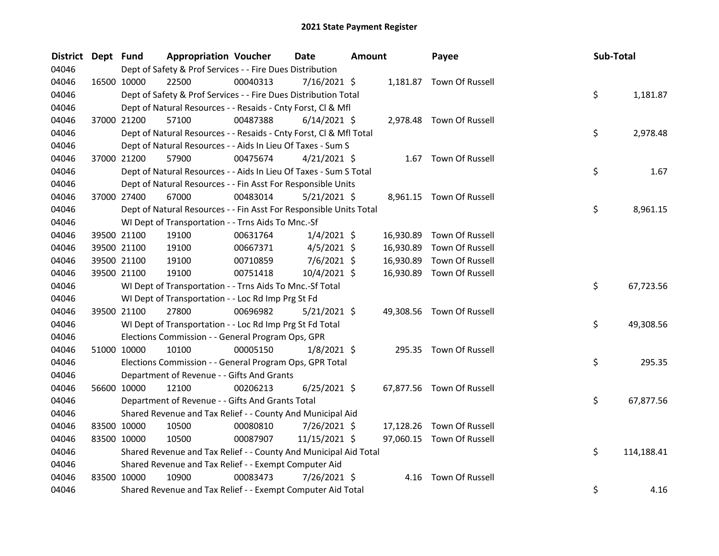| <b>District</b> | Dept Fund |             | <b>Appropriation Voucher</b>                                       |          | <b>Date</b>    | <b>Amount</b> |           | Payee                     | Sub-Total |            |
|-----------------|-----------|-------------|--------------------------------------------------------------------|----------|----------------|---------------|-----------|---------------------------|-----------|------------|
| 04046           |           |             | Dept of Safety & Prof Services - - Fire Dues Distribution          |          |                |               |           |                           |           |            |
| 04046           |           | 16500 10000 | 22500                                                              | 00040313 | 7/16/2021 \$   |               |           | 1,181.87 Town Of Russell  |           |            |
| 04046           |           |             | Dept of Safety & Prof Services - - Fire Dues Distribution Total    |          |                |               |           |                           | \$        | 1,181.87   |
| 04046           |           |             | Dept of Natural Resources - - Resaids - Cnty Forst, Cl & Mfl       |          |                |               |           |                           |           |            |
| 04046           |           | 37000 21200 | 57100                                                              | 00487388 | $6/14/2021$ \$ |               |           | 2,978.48 Town Of Russell  |           |            |
| 04046           |           |             | Dept of Natural Resources - - Resaids - Cnty Forst, Cl & Mfl Total |          |                |               |           |                           | \$        | 2,978.48   |
| 04046           |           |             | Dept of Natural Resources - - Aids In Lieu Of Taxes - Sum S        |          |                |               |           |                           |           |            |
| 04046           |           | 37000 21200 | 57900                                                              | 00475674 | $4/21/2021$ \$ |               |           | 1.67 Town Of Russell      |           |            |
| 04046           |           |             | Dept of Natural Resources - - Aids In Lieu Of Taxes - Sum S Total  |          |                |               |           |                           | \$        | 1.67       |
| 04046           |           |             | Dept of Natural Resources - - Fin Asst For Responsible Units       |          |                |               |           |                           |           |            |
| 04046           |           | 37000 27400 | 67000                                                              | 00483014 | 5/21/2021 \$   |               |           | 8,961.15 Town Of Russell  |           |            |
| 04046           |           |             | Dept of Natural Resources - - Fin Asst For Responsible Units Total |          |                |               |           |                           | \$        | 8,961.15   |
| 04046           |           |             | WI Dept of Transportation - - Trns Aids To Mnc.-Sf                 |          |                |               |           |                           |           |            |
| 04046           |           | 39500 21100 | 19100                                                              | 00631764 | $1/4/2021$ \$  |               | 16,930.89 | Town Of Russell           |           |            |
| 04046           |           | 39500 21100 | 19100                                                              | 00667371 | $4/5/2021$ \$  |               | 16,930.89 | Town Of Russell           |           |            |
| 04046           |           | 39500 21100 | 19100                                                              | 00710859 | $7/6/2021$ \$  |               | 16,930.89 | Town Of Russell           |           |            |
| 04046           |           | 39500 21100 | 19100                                                              | 00751418 | 10/4/2021 \$   |               |           | 16,930.89 Town Of Russell |           |            |
| 04046           |           |             | WI Dept of Transportation - - Trns Aids To Mnc.-Sf Total           |          |                |               |           |                           | \$        | 67,723.56  |
| 04046           |           |             | WI Dept of Transportation - - Loc Rd Imp Prg St Fd                 |          |                |               |           |                           |           |            |
| 04046           |           | 39500 21100 | 27800                                                              | 00696982 | $5/21/2021$ \$ |               |           | 49,308.56 Town Of Russell |           |            |
| 04046           |           |             | WI Dept of Transportation - - Loc Rd Imp Prg St Fd Total           |          |                |               |           |                           | \$        | 49,308.56  |
| 04046           |           |             | Elections Commission - - General Program Ops, GPR                  |          |                |               |           |                           |           |            |
| 04046           |           | 51000 10000 | 10100                                                              | 00005150 | $1/8/2021$ \$  |               |           | 295.35 Town Of Russell    |           |            |
| 04046           |           |             | Elections Commission - - General Program Ops, GPR Total            |          |                |               |           |                           | \$        | 295.35     |
| 04046           |           |             | Department of Revenue - - Gifts And Grants                         |          |                |               |           |                           |           |            |
| 04046           |           | 56600 10000 | 12100                                                              | 00206213 | $6/25/2021$ \$ |               |           | 67,877.56 Town Of Russell |           |            |
| 04046           |           |             | Department of Revenue - - Gifts And Grants Total                   |          |                |               |           |                           | \$        | 67,877.56  |
| 04046           |           |             | Shared Revenue and Tax Relief - - County And Municipal Aid         |          |                |               |           |                           |           |            |
| 04046           |           | 83500 10000 | 10500                                                              | 00080810 | 7/26/2021 \$   |               | 17,128.26 | Town Of Russell           |           |            |
| 04046           |           | 83500 10000 | 10500                                                              | 00087907 | 11/15/2021 \$  |               |           | 97,060.15 Town Of Russell |           |            |
| 04046           |           |             | Shared Revenue and Tax Relief - - County And Municipal Aid Total   |          |                |               |           |                           | \$        | 114,188.41 |
| 04046           |           |             | Shared Revenue and Tax Relief - - Exempt Computer Aid              |          |                |               |           |                           |           |            |
| 04046           |           | 83500 10000 | 10900                                                              | 00083473 | 7/26/2021 \$   |               | 4.16      | Town Of Russell           |           |            |
| 04046           |           |             | Shared Revenue and Tax Relief - - Exempt Computer Aid Total        |          |                |               |           |                           | \$        | 4.16       |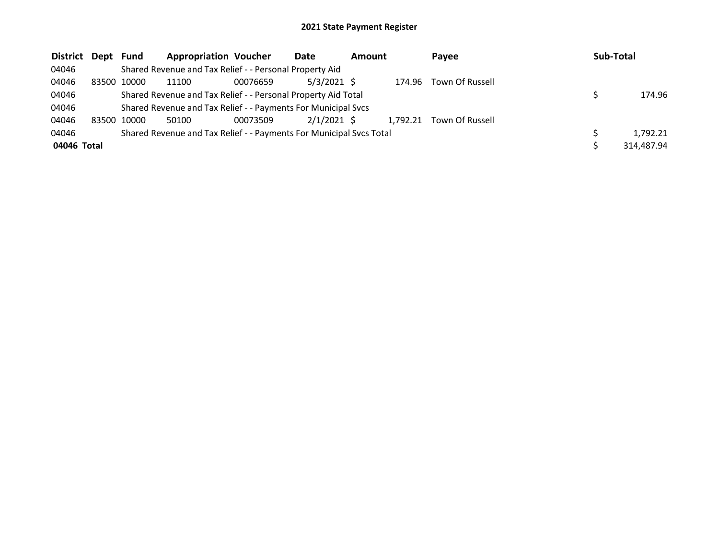| District Dept | Fund        | <b>Appropriation Voucher</b>                                        |          | Date          | <b>Amount</b> |          | Payee           | Sub-Total |            |
|---------------|-------------|---------------------------------------------------------------------|----------|---------------|---------------|----------|-----------------|-----------|------------|
| 04046         |             | Shared Revenue and Tax Relief - - Personal Property Aid             |          |               |               |          |                 |           |            |
| 04046         | 83500 10000 | 11100                                                               | 00076659 | $5/3/2021$ \$ |               | 174.96   | Town Of Russell |           |            |
| 04046         |             | Shared Revenue and Tax Relief - - Personal Property Aid Total       |          |               |               |          |                 |           | 174.96     |
| 04046         |             | Shared Revenue and Tax Relief - - Payments For Municipal Svcs       |          |               |               |          |                 |           |            |
| 04046         | 83500 10000 | 50100                                                               | 00073509 | $2/1/2021$ \$ |               | 1,792.21 | Town Of Russell |           |            |
| 04046         |             | Shared Revenue and Tax Relief - - Payments For Municipal Svcs Total |          |               |               |          |                 |           | 1,792.21   |
| 04046 Total   |             |                                                                     |          |               |               |          |                 |           | 314,487.94 |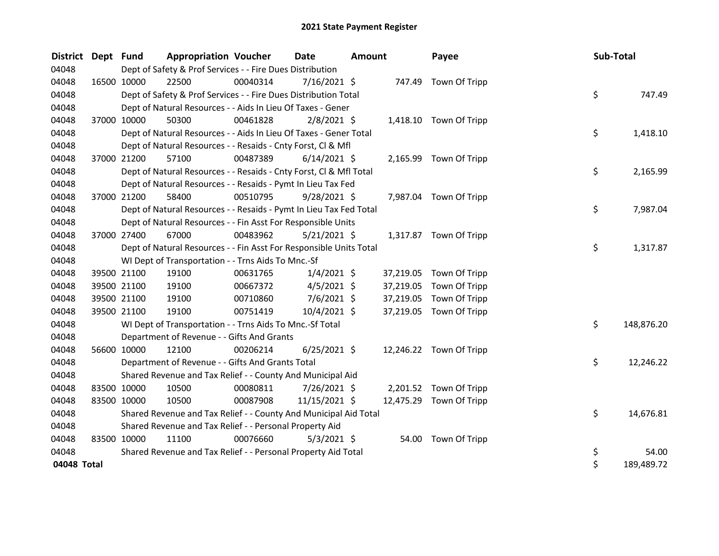| <b>District</b> | Dept Fund |             | <b>Appropriation Voucher</b>                                       |          | <b>Date</b>    | <b>Amount</b> |           | Payee                   | Sub-Total |            |
|-----------------|-----------|-------------|--------------------------------------------------------------------|----------|----------------|---------------|-----------|-------------------------|-----------|------------|
| 04048           |           |             | Dept of Safety & Prof Services - - Fire Dues Distribution          |          |                |               |           |                         |           |            |
| 04048           |           | 16500 10000 | 22500                                                              | 00040314 | $7/16/2021$ \$ |               |           | 747.49 Town Of Tripp    |           |            |
| 04048           |           |             | Dept of Safety & Prof Services - - Fire Dues Distribution Total    |          |                |               |           |                         | \$        | 747.49     |
| 04048           |           |             | Dept of Natural Resources - - Aids In Lieu Of Taxes - Gener        |          |                |               |           |                         |           |            |
| 04048           |           | 37000 10000 | 50300                                                              | 00461828 | $2/8/2021$ \$  |               |           | 1,418.10 Town Of Tripp  |           |            |
| 04048           |           |             | Dept of Natural Resources - - Aids In Lieu Of Taxes - Gener Total  |          |                |               |           |                         | \$        | 1,418.10   |
| 04048           |           |             | Dept of Natural Resources - - Resaids - Cnty Forst, Cl & Mfl       |          |                |               |           |                         |           |            |
| 04048           |           | 37000 21200 | 57100                                                              | 00487389 | $6/14/2021$ \$ |               |           | 2,165.99 Town Of Tripp  |           |            |
| 04048           |           |             | Dept of Natural Resources - - Resaids - Cnty Forst, Cl & Mfl Total |          |                |               |           |                         | \$        | 2,165.99   |
| 04048           |           |             | Dept of Natural Resources - - Resaids - Pymt In Lieu Tax Fed       |          |                |               |           |                         |           |            |
| 04048           |           | 37000 21200 | 58400                                                              | 00510795 | $9/28/2021$ \$ |               | 7,987.04  | Town Of Tripp           |           |            |
| 04048           |           |             | Dept of Natural Resources - - Resaids - Pymt In Lieu Tax Fed Total |          |                |               |           |                         | \$        | 7,987.04   |
| 04048           |           |             | Dept of Natural Resources - - Fin Asst For Responsible Units       |          |                |               |           |                         |           |            |
| 04048           |           | 37000 27400 | 67000                                                              | 00483962 | $5/21/2021$ \$ |               |           | 1,317.87 Town Of Tripp  |           |            |
| 04048           |           |             | Dept of Natural Resources - - Fin Asst For Responsible Units Total |          |                |               |           |                         | \$        | 1,317.87   |
| 04048           |           |             | WI Dept of Transportation - - Trns Aids To Mnc.-Sf                 |          |                |               |           |                         |           |            |
| 04048           |           | 39500 21100 | 19100                                                              | 00631765 | $1/4/2021$ \$  |               | 37,219.05 | Town Of Tripp           |           |            |
| 04048           |           | 39500 21100 | 19100                                                              | 00667372 | $4/5/2021$ \$  |               | 37,219.05 | Town Of Tripp           |           |            |
| 04048           |           | 39500 21100 | 19100                                                              | 00710860 | $7/6/2021$ \$  |               | 37,219.05 | Town Of Tripp           |           |            |
| 04048           |           | 39500 21100 | 19100                                                              | 00751419 | 10/4/2021 \$   |               | 37,219.05 | Town Of Tripp           |           |            |
| 04048           |           |             | WI Dept of Transportation - - Trns Aids To Mnc.-Sf Total           |          |                |               |           |                         | \$        | 148,876.20 |
| 04048           |           |             | Department of Revenue - - Gifts And Grants                         |          |                |               |           |                         |           |            |
| 04048           |           | 56600 10000 | 12100                                                              | 00206214 | $6/25/2021$ \$ |               |           | 12,246.22 Town Of Tripp |           |            |
| 04048           |           |             | Department of Revenue - - Gifts And Grants Total                   |          |                |               |           |                         | \$        | 12,246.22  |
| 04048           |           |             | Shared Revenue and Tax Relief - - County And Municipal Aid         |          |                |               |           |                         |           |            |
| 04048           |           | 83500 10000 | 10500                                                              | 00080811 | 7/26/2021 \$   |               |           | 2,201.52 Town Of Tripp  |           |            |
| 04048           |           | 83500 10000 | 10500                                                              | 00087908 | 11/15/2021 \$  |               | 12,475.29 | Town Of Tripp           |           |            |
| 04048           |           |             | Shared Revenue and Tax Relief - - County And Municipal Aid Total   |          |                |               |           |                         | \$        | 14,676.81  |
| 04048           |           |             | Shared Revenue and Tax Relief - - Personal Property Aid            |          |                |               |           |                         |           |            |
| 04048           |           | 83500 10000 | 11100                                                              | 00076660 | $5/3/2021$ \$  |               | 54.00     | Town Of Tripp           |           |            |
| 04048           |           |             | Shared Revenue and Tax Relief - - Personal Property Aid Total      |          |                |               |           |                         | \$        | 54.00      |
| 04048 Total     |           |             |                                                                    |          |                |               |           |                         | \$        | 189,489.72 |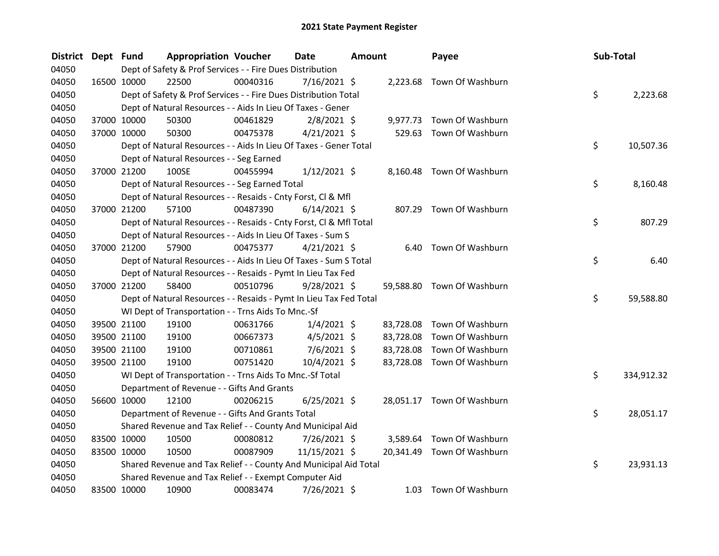| <b>District</b> | Dept Fund   |                      | <b>Appropriation Voucher</b>                                       | Date           | <b>Amount</b> | Payee                      | Sub-Total        |
|-----------------|-------------|----------------------|--------------------------------------------------------------------|----------------|---------------|----------------------------|------------------|
| 04050           |             |                      | Dept of Safety & Prof Services - - Fire Dues Distribution          |                |               |                            |                  |
| 04050           |             | 16500 10000<br>22500 | 00040316                                                           | 7/16/2021 \$   |               | 2,223.68 Town Of Washburn  |                  |
| 04050           |             |                      | Dept of Safety & Prof Services - - Fire Dues Distribution Total    |                |               |                            | \$<br>2,223.68   |
| 04050           |             |                      | Dept of Natural Resources - - Aids In Lieu Of Taxes - Gener        |                |               |                            |                  |
| 04050           |             | 37000 10000<br>50300 | 00461829                                                           | $2/8/2021$ \$  |               | 9,977.73 Town Of Washburn  |                  |
| 04050           |             | 37000 10000<br>50300 | 00475378                                                           | $4/21/2021$ \$ |               | 529.63 Town Of Washburn    |                  |
| 04050           |             |                      | Dept of Natural Resources - - Aids In Lieu Of Taxes - Gener Total  |                |               |                            | \$<br>10,507.36  |
| 04050           |             |                      | Dept of Natural Resources - - Seg Earned                           |                |               |                            |                  |
| 04050           |             | 100SE<br>37000 21200 | 00455994                                                           | $1/12/2021$ \$ |               | 8,160.48 Town Of Washburn  |                  |
| 04050           |             |                      | Dept of Natural Resources - - Seg Earned Total                     |                |               |                            | \$<br>8,160.48   |
| 04050           |             |                      | Dept of Natural Resources - - Resaids - Cnty Forst, Cl & Mfl       |                |               |                            |                  |
| 04050           |             | 37000 21200<br>57100 | 00487390                                                           | $6/14/2021$ \$ |               | 807.29 Town Of Washburn    |                  |
| 04050           |             |                      | Dept of Natural Resources - - Resaids - Cnty Forst, Cl & Mfl Total |                |               |                            | \$<br>807.29     |
| 04050           |             |                      | Dept of Natural Resources - - Aids In Lieu Of Taxes - Sum S        |                |               |                            |                  |
| 04050           |             | 57900<br>37000 21200 | 00475377                                                           | $4/21/2021$ \$ |               | 6.40 Town Of Washburn      |                  |
| 04050           |             |                      | Dept of Natural Resources - - Aids In Lieu Of Taxes - Sum S Total  |                |               |                            | \$<br>6.40       |
| 04050           |             |                      | Dept of Natural Resources - - Resaids - Pymt In Lieu Tax Fed       |                |               |                            |                  |
| 04050           |             | 37000 21200<br>58400 | 00510796                                                           | $9/28/2021$ \$ |               | 59,588.80 Town Of Washburn |                  |
| 04050           |             |                      | Dept of Natural Resources - - Resaids - Pymt In Lieu Tax Fed Total |                |               |                            | \$<br>59,588.80  |
| 04050           |             |                      | WI Dept of Transportation - - Trns Aids To Mnc.-Sf                 |                |               |                            |                  |
| 04050           |             | 39500 21100<br>19100 | 00631766                                                           | $1/4/2021$ \$  | 83,728.08     | Town Of Washburn           |                  |
| 04050           |             | 39500 21100<br>19100 | 00667373                                                           | $4/5/2021$ \$  | 83,728.08     | Town Of Washburn           |                  |
| 04050           |             | 39500 21100<br>19100 | 00710861                                                           | $7/6/2021$ \$  | 83,728.08     | Town Of Washburn           |                  |
| 04050           |             | 39500 21100<br>19100 | 00751420                                                           | 10/4/2021 \$   |               | 83,728.08 Town Of Washburn |                  |
| 04050           |             |                      | WI Dept of Transportation - - Trns Aids To Mnc.-Sf Total           |                |               |                            | \$<br>334,912.32 |
| 04050           |             |                      | Department of Revenue - - Gifts And Grants                         |                |               |                            |                  |
| 04050           |             | 56600 10000<br>12100 | 00206215                                                           | $6/25/2021$ \$ |               | 28,051.17 Town Of Washburn |                  |
| 04050           |             |                      | Department of Revenue - - Gifts And Grants Total                   |                |               |                            | \$<br>28,051.17  |
| 04050           |             |                      | Shared Revenue and Tax Relief - - County And Municipal Aid         |                |               |                            |                  |
| 04050           | 83500 10000 | 10500                | 00080812                                                           | 7/26/2021 \$   |               | 3,589.64 Town Of Washburn  |                  |
| 04050           | 83500 10000 | 10500                | 00087909                                                           | 11/15/2021 \$  |               | 20,341.49 Town Of Washburn |                  |
| 04050           |             |                      | Shared Revenue and Tax Relief - - County And Municipal Aid Total   |                |               |                            | \$<br>23,931.13  |
| 04050           |             |                      | Shared Revenue and Tax Relief - - Exempt Computer Aid              |                |               |                            |                  |
| 04050           |             | 83500 10000<br>10900 | 00083474                                                           | 7/26/2021 \$   |               | 1.03 Town Of Washburn      |                  |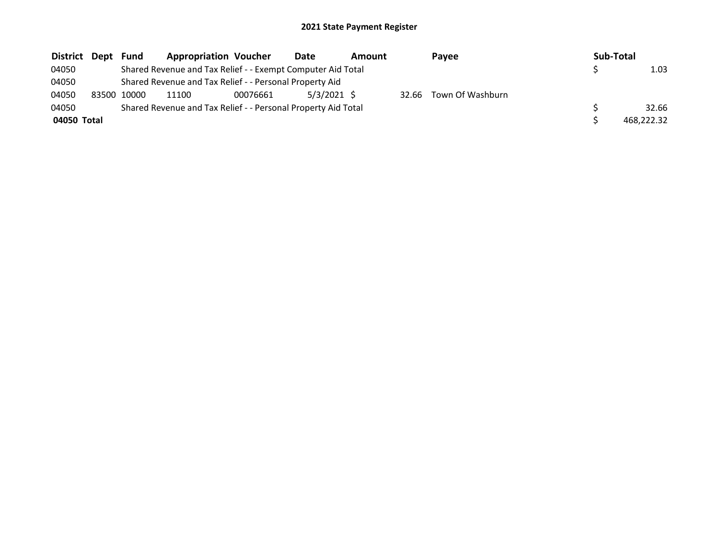| District Dept |                                                               | Fund  | <b>Appropriation Voucher</b>                                |          | Date          | Amount |       | Pavee            |  | Sub-Total |            |  |  |
|---------------|---------------------------------------------------------------|-------|-------------------------------------------------------------|----------|---------------|--------|-------|------------------|--|-----------|------------|--|--|
| 04050         |                                                               |       | Shared Revenue and Tax Relief - - Exempt Computer Aid Total |          |               | 1.03   |       |                  |  |           |            |  |  |
| 04050         |                                                               |       | Shared Revenue and Tax Relief - - Personal Property Aid     |          |               |        |       |                  |  |           |            |  |  |
| 04050         | 83500                                                         | 10000 | 11100                                                       | 00076661 | $5/3/2021$ \$ |        | 32.66 | Town Of Washburn |  |           |            |  |  |
| 04050         | Shared Revenue and Tax Relief - - Personal Property Aid Total |       |                                                             |          |               |        |       |                  |  |           | 32.66      |  |  |
| 04050 Total   |                                                               |       |                                                             |          |               |        |       |                  |  |           | 468.222.32 |  |  |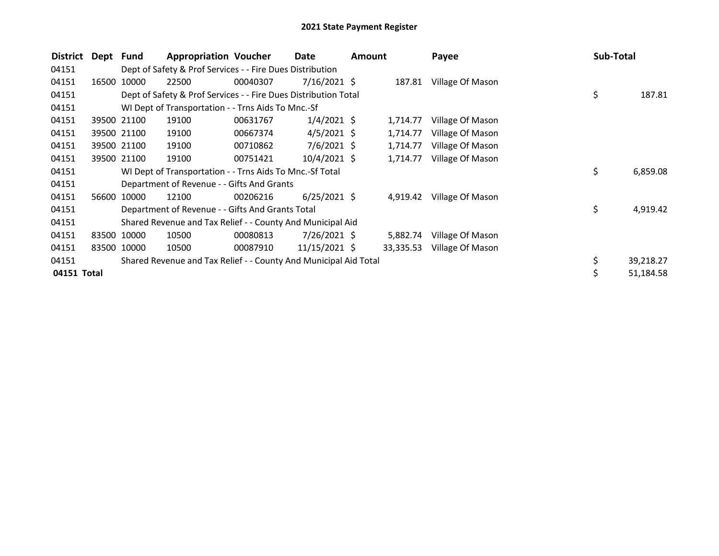| District    | Dept  | Fund        | <b>Appropriation Voucher</b>                                     |          | Date            | <b>Amount</b> |           | Payee            | Sub-Total |           |
|-------------|-------|-------------|------------------------------------------------------------------|----------|-----------------|---------------|-----------|------------------|-----------|-----------|
| 04151       |       |             | Dept of Safety & Prof Services - - Fire Dues Distribution        |          |                 |               |           |                  |           |           |
| 04151       | 16500 | 10000       | 22500                                                            | 00040307 | $7/16/2021$ \$  |               | 187.81    | Village Of Mason |           |           |
| 04151       |       |             | Dept of Safety & Prof Services - - Fire Dues Distribution Total  |          |                 |               |           |                  | \$        | 187.81    |
| 04151       |       |             | WI Dept of Transportation - - Trns Aids To Mnc.-Sf               |          |                 |               |           |                  |           |           |
| 04151       |       | 39500 21100 | 19100                                                            | 00631767 | $1/4/2021$ \$   |               | 1,714.77  | Village Of Mason |           |           |
| 04151       |       | 39500 21100 | 19100                                                            | 00667374 | $4/5/2021$ \$   |               | 1,714.77  | Village Of Mason |           |           |
| 04151       |       | 39500 21100 | 19100                                                            | 00710862 | $7/6/2021$ \$   |               | 1,714.77  | Village Of Mason |           |           |
| 04151       |       | 39500 21100 | 19100                                                            | 00751421 | 10/4/2021 \$    |               | 1,714.77  | Village Of Mason |           |           |
| 04151       |       |             | WI Dept of Transportation - - Trns Aids To Mnc.-Sf Total         |          |                 |               |           |                  | \$        | 6,859.08  |
| 04151       |       |             | Department of Revenue - - Gifts And Grants                       |          |                 |               |           |                  |           |           |
| 04151       | 56600 | 10000       | 12100                                                            | 00206216 | $6/25/2021$ \$  |               | 4,919.42  | Village Of Mason |           |           |
| 04151       |       |             | Department of Revenue - - Gifts And Grants Total                 |          |                 |               |           |                  | \$        | 4,919.42  |
| 04151       |       |             | Shared Revenue and Tax Relief - - County And Municipal Aid       |          |                 |               |           |                  |           |           |
| 04151       |       | 83500 10000 | 10500                                                            | 00080813 | 7/26/2021 \$    |               | 5,882.74  | Village Of Mason |           |           |
| 04151       |       | 83500 10000 | 10500                                                            | 00087910 | $11/15/2021$ \$ |               | 33,335.53 | Village Of Mason |           |           |
| 04151       |       |             | Shared Revenue and Tax Relief - - County And Municipal Aid Total |          |                 |               |           |                  | \$        | 39,218.27 |
| 04151 Total |       |             |                                                                  |          |                 |               |           |                  |           | 51,184.58 |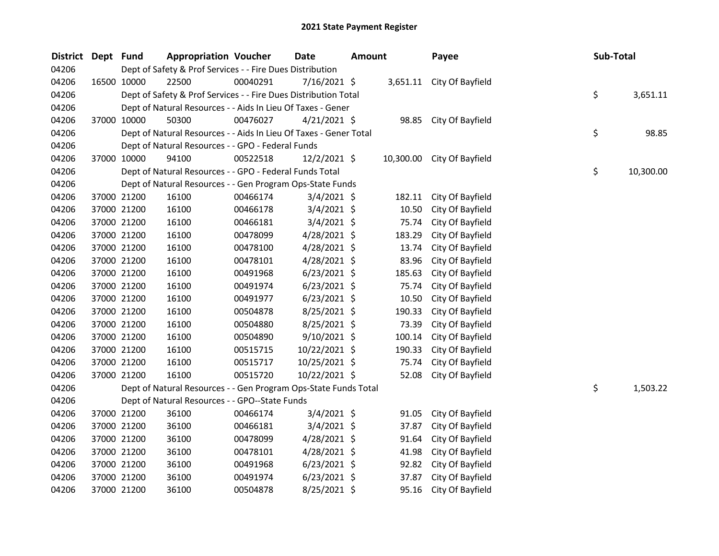| District | Dept | Fund        | <b>Appropriation Voucher</b>                                      |          | <b>Date</b>    | <b>Amount</b> |        | Payee                      | <b>Sub-Total</b> |           |
|----------|------|-------------|-------------------------------------------------------------------|----------|----------------|---------------|--------|----------------------------|------------------|-----------|
| 04206    |      |             | Dept of Safety & Prof Services - - Fire Dues Distribution         |          |                |               |        |                            |                  |           |
| 04206    |      | 16500 10000 | 22500                                                             | 00040291 | 7/16/2021 \$   |               |        | 3,651.11 City Of Bayfield  |                  |           |
| 04206    |      |             | Dept of Safety & Prof Services - - Fire Dues Distribution Total   |          |                |               |        |                            | \$               | 3,651.11  |
| 04206    |      |             | Dept of Natural Resources - - Aids In Lieu Of Taxes - Gener       |          |                |               |        |                            |                  |           |
| 04206    |      | 37000 10000 | 50300                                                             | 00476027 | $4/21/2021$ \$ |               |        | 98.85 City Of Bayfield     |                  |           |
| 04206    |      |             | Dept of Natural Resources - - Aids In Lieu Of Taxes - Gener Total |          |                |               |        |                            | \$               | 98.85     |
| 04206    |      |             | Dept of Natural Resources - - GPO - Federal Funds                 |          |                |               |        |                            |                  |           |
| 04206    |      | 37000 10000 | 94100                                                             | 00522518 | $12/2/2021$ \$ |               |        | 10,300.00 City Of Bayfield |                  |           |
| 04206    |      |             | Dept of Natural Resources - - GPO - Federal Funds Total           |          |                |               |        |                            | \$               | 10,300.00 |
| 04206    |      |             | Dept of Natural Resources - - Gen Program Ops-State Funds         |          |                |               |        |                            |                  |           |
| 04206    |      | 37000 21200 | 16100                                                             | 00466174 | $3/4/2021$ \$  |               | 182.11 | City Of Bayfield           |                  |           |
| 04206    |      | 37000 21200 | 16100                                                             | 00466178 | $3/4/2021$ \$  |               | 10.50  | City Of Bayfield           |                  |           |
| 04206    |      | 37000 21200 | 16100                                                             | 00466181 | 3/4/2021 \$    |               | 75.74  | City Of Bayfield           |                  |           |
| 04206    |      | 37000 21200 | 16100                                                             | 00478099 | 4/28/2021 \$   |               | 183.29 | City Of Bayfield           |                  |           |
| 04206    |      | 37000 21200 | 16100                                                             | 00478100 | 4/28/2021 \$   |               | 13.74  | City Of Bayfield           |                  |           |
| 04206    |      | 37000 21200 | 16100                                                             | 00478101 | 4/28/2021 \$   |               | 83.96  | City Of Bayfield           |                  |           |
| 04206    |      | 37000 21200 | 16100                                                             | 00491968 | $6/23/2021$ \$ |               | 185.63 | City Of Bayfield           |                  |           |
| 04206    |      | 37000 21200 | 16100                                                             | 00491974 | $6/23/2021$ \$ |               | 75.74  | City Of Bayfield           |                  |           |
| 04206    |      | 37000 21200 | 16100                                                             | 00491977 | $6/23/2021$ \$ |               | 10.50  | City Of Bayfield           |                  |           |
| 04206    |      | 37000 21200 | 16100                                                             | 00504878 | 8/25/2021 \$   |               | 190.33 | City Of Bayfield           |                  |           |
| 04206    |      | 37000 21200 | 16100                                                             | 00504880 | $8/25/2021$ \$ |               | 73.39  | City Of Bayfield           |                  |           |
| 04206    |      | 37000 21200 | 16100                                                             | 00504890 | 9/10/2021 \$   |               | 100.14 | City Of Bayfield           |                  |           |
| 04206    |      | 37000 21200 | 16100                                                             | 00515715 | 10/22/2021 \$  |               | 190.33 | City Of Bayfield           |                  |           |
| 04206    |      | 37000 21200 | 16100                                                             | 00515717 | 10/25/2021 \$  |               | 75.74  | City Of Bayfield           |                  |           |
| 04206    |      | 37000 21200 | 16100                                                             | 00515720 | 10/22/2021 \$  |               | 52.08  | City Of Bayfield           |                  |           |
| 04206    |      |             | Dept of Natural Resources - - Gen Program Ops-State Funds Total   |          |                |               |        |                            | \$               | 1,503.22  |
| 04206    |      |             | Dept of Natural Resources - - GPO--State Funds                    |          |                |               |        |                            |                  |           |
| 04206    |      | 37000 21200 | 36100                                                             | 00466174 | 3/4/2021 \$    |               | 91.05  | City Of Bayfield           |                  |           |
| 04206    |      | 37000 21200 | 36100                                                             | 00466181 | 3/4/2021 \$    |               | 37.87  | City Of Bayfield           |                  |           |
| 04206    |      | 37000 21200 | 36100                                                             | 00478099 | 4/28/2021 \$   |               | 91.64  | City Of Bayfield           |                  |           |
| 04206    |      | 37000 21200 | 36100                                                             | 00478101 | 4/28/2021 \$   |               | 41.98  | City Of Bayfield           |                  |           |
| 04206    |      | 37000 21200 | 36100                                                             | 00491968 | $6/23/2021$ \$ |               | 92.82  | City Of Bayfield           |                  |           |
| 04206    |      | 37000 21200 | 36100                                                             | 00491974 | $6/23/2021$ \$ |               | 37.87  | City Of Bayfield           |                  |           |
| 04206    |      | 37000 21200 | 36100                                                             | 00504878 | 8/25/2021 \$   |               | 95.16  | City Of Bayfield           |                  |           |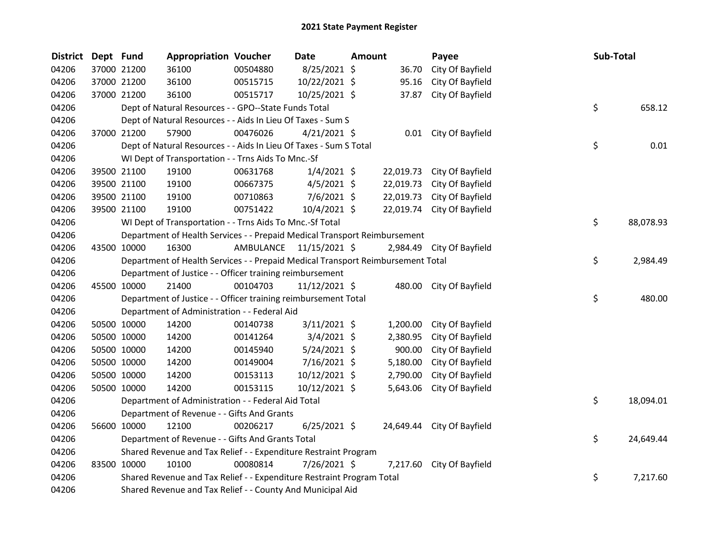| <b>District</b> | Dept Fund |             | <b>Appropriation Voucher</b>                                                    |           | Date           | <b>Amount</b> |           | Payee                      | Sub-Total |           |
|-----------------|-----------|-------------|---------------------------------------------------------------------------------|-----------|----------------|---------------|-----------|----------------------------|-----------|-----------|
| 04206           |           | 37000 21200 | 36100                                                                           | 00504880  | 8/25/2021 \$   |               | 36.70     | City Of Bayfield           |           |           |
| 04206           |           | 37000 21200 | 36100                                                                           | 00515715  | 10/22/2021 \$  |               | 95.16     | City Of Bayfield           |           |           |
| 04206           |           | 37000 21200 | 36100                                                                           | 00515717  | 10/25/2021 \$  |               | 37.87     | City Of Bayfield           |           |           |
| 04206           |           |             | Dept of Natural Resources - - GPO--State Funds Total                            |           |                |               |           |                            | \$        | 658.12    |
| 04206           |           |             | Dept of Natural Resources - - Aids In Lieu Of Taxes - Sum S                     |           |                |               |           |                            |           |           |
| 04206           |           | 37000 21200 | 57900                                                                           | 00476026  | $4/21/2021$ \$ |               |           | 0.01 City Of Bayfield      |           |           |
| 04206           |           |             | Dept of Natural Resources - - Aids In Lieu Of Taxes - Sum S Total               |           |                |               |           |                            | \$        | 0.01      |
| 04206           |           |             | WI Dept of Transportation - - Trns Aids To Mnc.-Sf                              |           |                |               |           |                            |           |           |
| 04206           |           | 39500 21100 | 19100                                                                           | 00631768  | $1/4/2021$ \$  |               | 22,019.73 | City Of Bayfield           |           |           |
| 04206           |           | 39500 21100 | 19100                                                                           | 00667375  | $4/5/2021$ \$  |               | 22,019.73 | City Of Bayfield           |           |           |
| 04206           |           | 39500 21100 | 19100                                                                           | 00710863  | $7/6/2021$ \$  |               | 22,019.73 | City Of Bayfield           |           |           |
| 04206           |           | 39500 21100 | 19100                                                                           | 00751422  | 10/4/2021 \$   |               |           | 22,019.74 City Of Bayfield |           |           |
| 04206           |           |             | WI Dept of Transportation - - Trns Aids To Mnc.-Sf Total                        |           |                |               |           |                            | \$        | 88,078.93 |
| 04206           |           |             | Department of Health Services - - Prepaid Medical Transport Reimbursement       |           |                |               |           |                            |           |           |
| 04206           |           | 43500 10000 | 16300                                                                           | AMBULANCE | 11/15/2021 \$  |               |           | 2,984.49 City Of Bayfield  |           |           |
| 04206           |           |             | Department of Health Services - - Prepaid Medical Transport Reimbursement Total |           |                |               |           |                            | \$        | 2,984.49  |
| 04206           |           |             | Department of Justice - - Officer training reimbursement                        |           |                |               |           |                            |           |           |
| 04206           |           | 45500 10000 | 21400                                                                           | 00104703  | 11/12/2021 \$  |               |           | 480.00 City Of Bayfield    |           |           |
| 04206           |           |             | Department of Justice - - Officer training reimbursement Total                  |           |                |               |           |                            | \$        | 480.00    |
| 04206           |           |             | Department of Administration - - Federal Aid                                    |           |                |               |           |                            |           |           |
| 04206           |           | 50500 10000 | 14200                                                                           | 00140738  | $3/11/2021$ \$ |               | 1,200.00  | City Of Bayfield           |           |           |
| 04206           |           | 50500 10000 | 14200                                                                           | 00141264  | $3/4/2021$ \$  |               | 2,380.95  | City Of Bayfield           |           |           |
| 04206           |           | 50500 10000 | 14200                                                                           | 00145940  | $5/24/2021$ \$ |               | 900.00    | City Of Bayfield           |           |           |
| 04206           |           | 50500 10000 | 14200                                                                           | 00149004  | 7/16/2021 \$   |               | 5,180.00  | City Of Bayfield           |           |           |
| 04206           |           | 50500 10000 | 14200                                                                           | 00153113  | 10/12/2021 \$  |               | 2,790.00  | City Of Bayfield           |           |           |
| 04206           |           | 50500 10000 | 14200                                                                           | 00153115  | 10/12/2021 \$  |               | 5,643.06  | City Of Bayfield           |           |           |
| 04206           |           |             | Department of Administration - - Federal Aid Total                              |           |                |               |           |                            | \$        | 18,094.01 |
| 04206           |           |             | Department of Revenue - - Gifts And Grants                                      |           |                |               |           |                            |           |           |
| 04206           |           | 56600 10000 | 12100                                                                           | 00206217  | $6/25/2021$ \$ |               |           | 24,649.44 City Of Bayfield |           |           |
| 04206           |           |             | Department of Revenue - - Gifts And Grants Total                                |           |                |               |           |                            | \$        | 24,649.44 |
| 04206           |           |             | Shared Revenue and Tax Relief - - Expenditure Restraint Program                 |           |                |               |           |                            |           |           |
| 04206           |           | 83500 10000 | 10100                                                                           | 00080814  | 7/26/2021 \$   |               |           | 7,217.60 City Of Bayfield  |           |           |
| 04206           |           |             | Shared Revenue and Tax Relief - - Expenditure Restraint Program Total           |           |                |               |           |                            | \$        | 7,217.60  |
| 04206           |           |             | Shared Revenue and Tax Relief - - County And Municipal Aid                      |           |                |               |           |                            |           |           |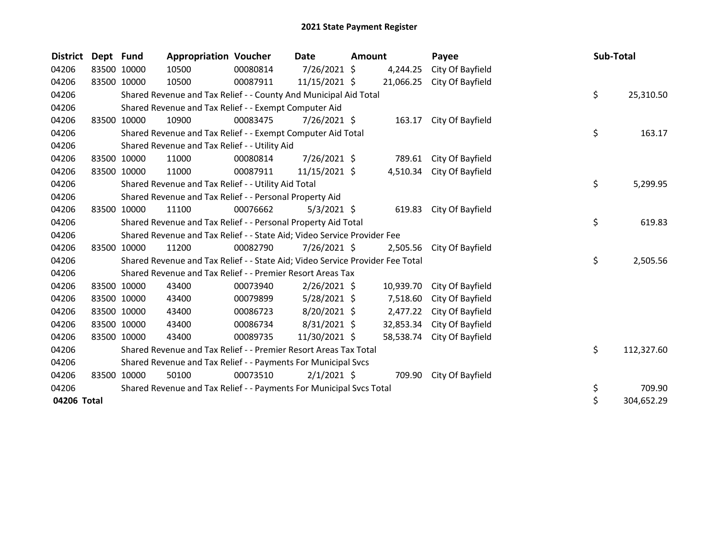| <b>District</b> | Dept Fund   |                                                               | <b>Appropriation Voucher</b>                                                  |          | Date           | <b>Amount</b> |           | Payee            | Sub-Total |            |
|-----------------|-------------|---------------------------------------------------------------|-------------------------------------------------------------------------------|----------|----------------|---------------|-----------|------------------|-----------|------------|
| 04206           | 83500 10000 |                                                               | 10500                                                                         | 00080814 | 7/26/2021 \$   |               | 4,244.25  | City Of Bayfield |           |            |
| 04206           |             | 83500 10000                                                   | 10500                                                                         | 00087911 | 11/15/2021 \$  |               | 21,066.25 | City Of Bayfield |           |            |
| 04206           |             |                                                               | Shared Revenue and Tax Relief - - County And Municipal Aid Total              |          |                |               |           |                  | \$        | 25,310.50  |
| 04206           |             |                                                               | Shared Revenue and Tax Relief - - Exempt Computer Aid                         |          |                |               |           |                  |           |            |
| 04206           | 83500       | 10000                                                         | 10900                                                                         | 00083475 | $7/26/2021$ \$ |               | 163.17    | City Of Bayfield |           |            |
| 04206           |             |                                                               | Shared Revenue and Tax Relief - - Exempt Computer Aid Total                   |          |                |               |           |                  | \$        | 163.17     |
| 04206           |             |                                                               | Shared Revenue and Tax Relief - - Utility Aid                                 |          |                |               |           |                  |           |            |
| 04206           |             | 83500 10000                                                   | 11000                                                                         | 00080814 | 7/26/2021 \$   |               | 789.61    | City Of Bayfield |           |            |
| 04206           |             | 83500 10000                                                   | 11000                                                                         | 00087911 | 11/15/2021 \$  |               | 4,510.34  | City Of Bayfield |           |            |
| 04206           |             |                                                               | Shared Revenue and Tax Relief - - Utility Aid Total                           |          |                |               |           |                  | \$        | 5,299.95   |
| 04206           |             |                                                               | Shared Revenue and Tax Relief - - Personal Property Aid                       |          |                |               |           |                  |           |            |
| 04206           |             | 83500 10000                                                   | 11100                                                                         | 00076662 | $5/3/2021$ \$  |               | 619.83    | City Of Bayfield |           |            |
| 04206           |             |                                                               | Shared Revenue and Tax Relief - - Personal Property Aid Total                 |          |                |               |           |                  | \$        | 619.83     |
| 04206           |             |                                                               | Shared Revenue and Tax Relief - - State Aid; Video Service Provider Fee       |          |                |               |           |                  |           |            |
| 04206           |             | 83500 10000                                                   | 11200                                                                         | 00082790 | $7/26/2021$ \$ |               | 2,505.56  | City Of Bayfield |           |            |
| 04206           |             |                                                               | Shared Revenue and Tax Relief - - State Aid; Video Service Provider Fee Total |          |                |               |           |                  | \$        | 2,505.56   |
| 04206           |             |                                                               | Shared Revenue and Tax Relief - - Premier Resort Areas Tax                    |          |                |               |           |                  |           |            |
| 04206           |             | 83500 10000                                                   | 43400                                                                         | 00073940 | $2/26/2021$ \$ |               | 10,939.70 | City Of Bayfield |           |            |
| 04206           |             | 83500 10000                                                   | 43400                                                                         | 00079899 | $5/28/2021$ \$ |               | 7,518.60  | City Of Bayfield |           |            |
| 04206           |             | 83500 10000                                                   | 43400                                                                         | 00086723 | $8/20/2021$ \$ |               | 2,477.22  | City Of Bayfield |           |            |
| 04206           |             | 83500 10000                                                   | 43400                                                                         | 00086734 | $8/31/2021$ \$ |               | 32,853.34 | City Of Bayfield |           |            |
| 04206           |             | 83500 10000                                                   | 43400                                                                         | 00089735 | 11/30/2021 \$  |               | 58,538.74 | City Of Bayfield |           |            |
| 04206           |             |                                                               | Shared Revenue and Tax Relief - - Premier Resort Areas Tax Total              |          |                |               |           |                  | \$        | 112,327.60 |
| 04206           |             | Shared Revenue and Tax Relief - - Payments For Municipal Svcs |                                                                               |          |                |               |           |                  |           |            |
| 04206           |             | 83500 10000                                                   | 50100                                                                         | 00073510 | $2/1/2021$ \$  |               | 709.90    | City Of Bayfield |           |            |
| 04206           |             |                                                               | Shared Revenue and Tax Relief - - Payments For Municipal Svcs Total           |          |                |               |           |                  | \$        | 709.90     |
| 04206 Total     |             |                                                               |                                                                               |          |                |               |           |                  | \$        | 304,652.29 |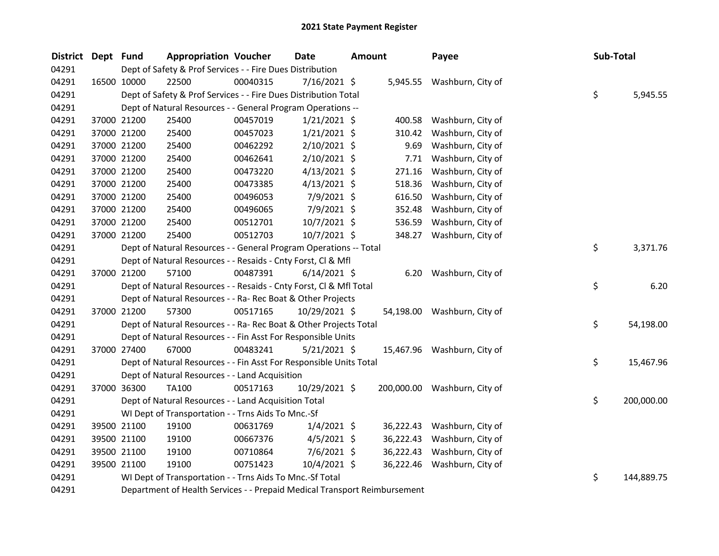| District Dept Fund |             | <b>Appropriation Voucher</b>                                              |          | <b>Date</b><br><b>Amount</b> |  | Payee     | Sub-Total                    |    |            |
|--------------------|-------------|---------------------------------------------------------------------------|----------|------------------------------|--|-----------|------------------------------|----|------------|
| 04291              |             | Dept of Safety & Prof Services - - Fire Dues Distribution                 |          |                              |  |           |                              |    |            |
| 04291              | 16500 10000 | 22500                                                                     | 00040315 | $7/16/2021$ \$               |  |           | 5,945.55 Washburn, City of   |    |            |
| 04291              |             | Dept of Safety & Prof Services - - Fire Dues Distribution Total           |          |                              |  |           |                              | \$ | 5,945.55   |
| 04291              |             | Dept of Natural Resources - - General Program Operations --               |          |                              |  |           |                              |    |            |
| 04291              | 37000 21200 | 25400                                                                     | 00457019 | $1/21/2021$ \$               |  | 400.58    | Washburn, City of            |    |            |
| 04291              | 37000 21200 | 25400                                                                     | 00457023 | $1/21/2021$ \$               |  | 310.42    | Washburn, City of            |    |            |
| 04291              | 37000 21200 | 25400                                                                     | 00462292 | $2/10/2021$ \$               |  | 9.69      | Washburn, City of            |    |            |
| 04291              | 37000 21200 | 25400                                                                     | 00462641 | $2/10/2021$ \$               |  | 7.71      | Washburn, City of            |    |            |
| 04291              | 37000 21200 | 25400                                                                     | 00473220 | $4/13/2021$ \$               |  | 271.16    | Washburn, City of            |    |            |
| 04291              | 37000 21200 | 25400                                                                     | 00473385 | $4/13/2021$ \$               |  | 518.36    | Washburn, City of            |    |            |
| 04291              | 37000 21200 | 25400                                                                     | 00496053 | 7/9/2021 \$                  |  | 616.50    | Washburn, City of            |    |            |
| 04291              | 37000 21200 | 25400                                                                     | 00496065 | 7/9/2021 \$                  |  | 352.48    | Washburn, City of            |    |            |
| 04291              | 37000 21200 | 25400                                                                     | 00512701 | 10/7/2021 \$                 |  | 536.59    | Washburn, City of            |    |            |
| 04291              | 37000 21200 | 25400                                                                     | 00512703 | 10/7/2021 \$                 |  | 348.27    | Washburn, City of            |    |            |
| 04291              |             | Dept of Natural Resources - - General Program Operations -- Total         |          |                              |  |           |                              | \$ | 3,371.76   |
| 04291              |             | Dept of Natural Resources - - Resaids - Cnty Forst, Cl & Mfl              |          |                              |  |           |                              |    |            |
| 04291              | 37000 21200 | 57100                                                                     | 00487391 | $6/14/2021$ \$               |  | 6.20      | Washburn, City of            |    |            |
| 04291              |             | Dept of Natural Resources - - Resaids - Cnty Forst, Cl & Mfl Total        |          |                              |  |           |                              | \$ | 6.20       |
| 04291              |             | Dept of Natural Resources - - Ra- Rec Boat & Other Projects               |          |                              |  |           |                              |    |            |
| 04291              | 37000 21200 | 57300                                                                     | 00517165 | 10/29/2021 \$                |  |           | 54,198.00 Washburn, City of  |    |            |
| 04291              |             | Dept of Natural Resources - - Ra- Rec Boat & Other Projects Total         |          |                              |  |           |                              | \$ | 54,198.00  |
| 04291              |             | Dept of Natural Resources - - Fin Asst For Responsible Units              |          |                              |  |           |                              |    |            |
| 04291              | 37000 27400 | 67000                                                                     | 00483241 | $5/21/2021$ \$               |  |           | 15,467.96 Washburn, City of  |    |            |
| 04291              |             | Dept of Natural Resources - - Fin Asst For Responsible Units Total        |          |                              |  |           |                              | \$ | 15,467.96  |
| 04291              |             | Dept of Natural Resources - - Land Acquisition                            |          |                              |  |           |                              |    |            |
| 04291              | 37000 36300 | TA100                                                                     | 00517163 | 10/29/2021 \$                |  |           | 200,000.00 Washburn, City of |    |            |
| 04291              |             | Dept of Natural Resources - - Land Acquisition Total                      |          |                              |  |           |                              | \$ | 200,000.00 |
| 04291              |             | WI Dept of Transportation - - Trns Aids To Mnc.-Sf                        |          |                              |  |           |                              |    |            |
| 04291              | 39500 21100 | 19100                                                                     | 00631769 | $1/4/2021$ \$                |  | 36,222.43 | Washburn, City of            |    |            |
| 04291              | 39500 21100 | 19100                                                                     | 00667376 | $4/5/2021$ \$                |  | 36,222.43 | Washburn, City of            |    |            |
| 04291              | 39500 21100 | 19100                                                                     | 00710864 | 7/6/2021 \$                  |  | 36,222.43 | Washburn, City of            |    |            |
| 04291              | 39500 21100 | 19100                                                                     | 00751423 | 10/4/2021 \$                 |  |           | 36,222.46 Washburn, City of  |    |            |
| 04291              |             | WI Dept of Transportation - - Trns Aids To Mnc.-Sf Total                  |          |                              |  |           |                              | \$ | 144,889.75 |
| 04291              |             | Department of Health Services - - Prepaid Medical Transport Reimbursement |          |                              |  |           |                              |    |            |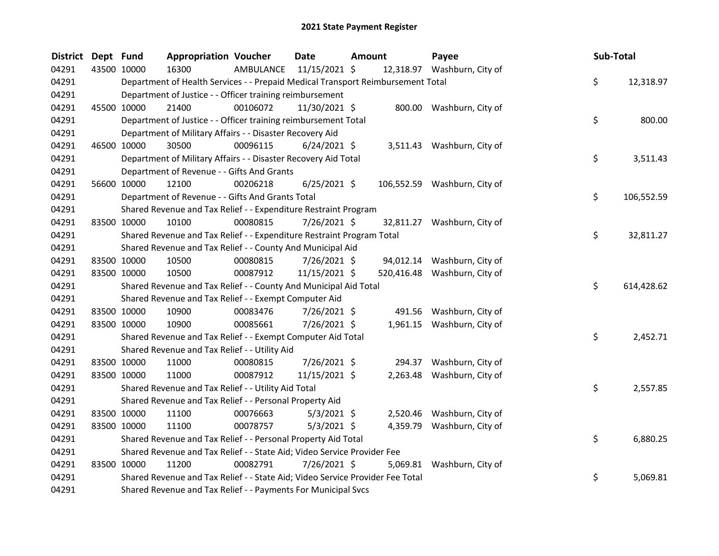| <b>District</b> | Dept Fund |             | <b>Appropriation Voucher</b>                                                    |           | <b>Date</b>     | Amount |           | Payee                        | Sub-Total |            |
|-----------------|-----------|-------------|---------------------------------------------------------------------------------|-----------|-----------------|--------|-----------|------------------------------|-----------|------------|
| 04291           |           | 43500 10000 | 16300                                                                           | AMBULANCE | $11/15/2021$ \$ |        |           | 12,318.97 Washburn, City of  |           |            |
| 04291           |           |             | Department of Health Services - - Prepaid Medical Transport Reimbursement Total |           |                 |        |           |                              | \$.       | 12,318.97  |
| 04291           |           |             | Department of Justice - - Officer training reimbursement                        |           |                 |        |           |                              |           |            |
| 04291           |           | 45500 10000 | 21400                                                                           | 00106072  | 11/30/2021 \$   |        |           | 800.00 Washburn, City of     |           |            |
| 04291           |           |             | Department of Justice - - Officer training reimbursement Total                  |           |                 |        |           |                              | \$        | 800.00     |
| 04291           |           |             | Department of Military Affairs - - Disaster Recovery Aid                        |           |                 |        |           |                              |           |            |
| 04291           |           | 46500 10000 | 30500                                                                           | 00096115  | $6/24/2021$ \$  |        |           | 3,511.43 Washburn, City of   |           |            |
| 04291           |           |             | Department of Military Affairs - - Disaster Recovery Aid Total                  |           |                 |        |           |                              | \$        | 3,511.43   |
| 04291           |           |             | Department of Revenue - - Gifts And Grants                                      |           |                 |        |           |                              |           |            |
| 04291           |           | 56600 10000 | 12100                                                                           | 00206218  | $6/25/2021$ \$  |        |           | 106,552.59 Washburn, City of |           |            |
| 04291           |           |             | Department of Revenue - - Gifts And Grants Total                                |           |                 |        |           |                              | \$.       | 106,552.59 |
| 04291           |           |             | Shared Revenue and Tax Relief - - Expenditure Restraint Program                 |           |                 |        |           |                              |           |            |
| 04291           |           | 83500 10000 | 10100                                                                           | 00080815  | 7/26/2021 \$    |        |           | 32,811.27 Washburn, City of  |           |            |
| 04291           |           |             | Shared Revenue and Tax Relief - - Expenditure Restraint Program Total           |           |                 |        |           |                              | \$.       | 32,811.27  |
| 04291           |           |             | Shared Revenue and Tax Relief - - County And Municipal Aid                      |           |                 |        |           |                              |           |            |
| 04291           |           | 83500 10000 | 10500                                                                           | 00080815  | $7/26/2021$ \$  |        | 94,012.14 | Washburn, City of            |           |            |
| 04291           |           | 83500 10000 | 10500                                                                           | 00087912  | 11/15/2021 \$   |        |           | 520,416.48 Washburn, City of |           |            |
| 04291           |           |             | Shared Revenue and Tax Relief - - County And Municipal Aid Total                |           |                 |        |           |                              | \$        | 614,428.62 |
| 04291           |           |             | Shared Revenue and Tax Relief - - Exempt Computer Aid                           |           |                 |        |           |                              |           |            |
| 04291           |           | 83500 10000 | 10900                                                                           | 00083476  | $7/26/2021$ \$  |        |           | 491.56 Washburn, City of     |           |            |
| 04291           |           | 83500 10000 | 10900                                                                           | 00085661  | 7/26/2021 \$    |        |           | 1,961.15 Washburn, City of   |           |            |
| 04291           |           |             | Shared Revenue and Tax Relief - - Exempt Computer Aid Total                     |           |                 |        |           |                              | \$        | 2,452.71   |
| 04291           |           |             | Shared Revenue and Tax Relief - - Utility Aid                                   |           |                 |        |           |                              |           |            |
| 04291           |           | 83500 10000 | 11000                                                                           | 00080815  | 7/26/2021 \$    |        | 294.37    | Washburn, City of            |           |            |
| 04291           |           | 83500 10000 | 11000                                                                           | 00087912  | 11/15/2021 \$   |        |           | 2,263.48 Washburn, City of   |           |            |
| 04291           |           |             | Shared Revenue and Tax Relief - - Utility Aid Total                             |           |                 |        |           |                              | \$        | 2,557.85   |
| 04291           |           |             | Shared Revenue and Tax Relief - - Personal Property Aid                         |           |                 |        |           |                              |           |            |
| 04291           |           | 83500 10000 | 11100                                                                           | 00076663  | $5/3/2021$ \$   |        |           | 2,520.46 Washburn, City of   |           |            |
| 04291           |           | 83500 10000 | 11100                                                                           | 00078757  | $5/3/2021$ \$   |        |           | 4,359.79 Washburn, City of   |           |            |
| 04291           |           |             | Shared Revenue and Tax Relief - - Personal Property Aid Total                   |           |                 |        |           |                              | \$.       | 6,880.25   |
| 04291           |           |             | Shared Revenue and Tax Relief - - State Aid; Video Service Provider Fee         |           |                 |        |           |                              |           |            |
| 04291           |           | 83500 10000 | 11200                                                                           | 00082791  | 7/26/2021 \$    |        |           | 5,069.81 Washburn, City of   |           |            |
| 04291           |           |             | Shared Revenue and Tax Relief - - State Aid; Video Service Provider Fee Total   |           |                 |        |           |                              | \$        | 5,069.81   |
| 04291           |           |             | Shared Revenue and Tax Relief - - Payments For Municipal Svcs                   |           |                 |        |           |                              |           |            |